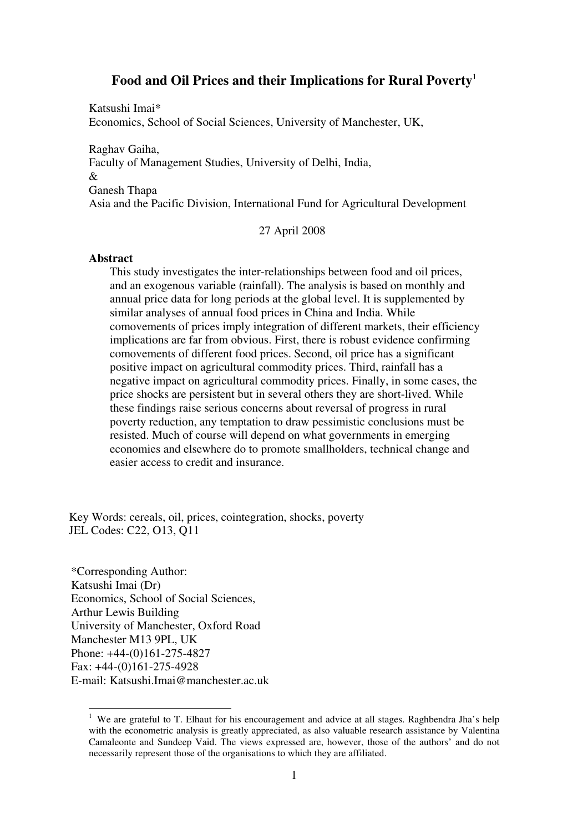# **Food and Oil Prices and their Implications for Rural Poverty**<sup>1</sup>

Katsushi Imai\*

Economics, School of Social Sciences, University of Manchester, UK,

Raghav Gaiha, Faculty of Management Studies, University of Delhi, India, & Ganesh Thapa Asia and the Pacific Division, International Fund for Agricultural Development

#### 27 April 2008

#### **Abstract**

This study investigates the inter-relationships between food and oil prices, and an exogenous variable (rainfall). The analysis is based on monthly and annual price data for long periods at the global level. It is supplemented by similar analyses of annual food prices in China and India. While comovements of prices imply integration of different markets, their efficiency implications are far from obvious. First, there is robust evidence confirming comovements of different food prices. Second, oil price has a significant positive impact on agricultural commodity prices. Third, rainfall has a negative impact on agricultural commodity prices. Finally, in some cases, the price shocks are persistent but in several others they are short-lived. While these findings raise serious concerns about reversal of progress in rural poverty reduction, any temptation to draw pessimistic conclusions must be resisted. Much of course will depend on what governments in emerging economies and elsewhere do to promote smallholders, technical change and easier access to credit and insurance.

Key Words: cereals, oil, prices, cointegration, shocks, poverty JEL Codes: C22, O13, Q11

\*Corresponding Author: Katsushi Imai (Dr) Economics, School of Social Sciences, Arthur Lewis Building University of Manchester, Oxford Road Manchester M13 9PL, UK Phone: +44-(0)161-275-4827 Fax: +44-(0)161-275-4928 E-mail: Katsushi.Imai@manchester.ac.uk

<sup>&</sup>lt;sup>1</sup> We are grateful to T. Elhaut for his encouragement and advice at all stages. Raghbendra Jha's help with the econometric analysis is greatly appreciated, as also valuable research assistance by Valentina Camaleonte and Sundeep Vaid. The views expressed are, however, those of the authors' and do not necessarily represent those of the organisations to which they are affiliated.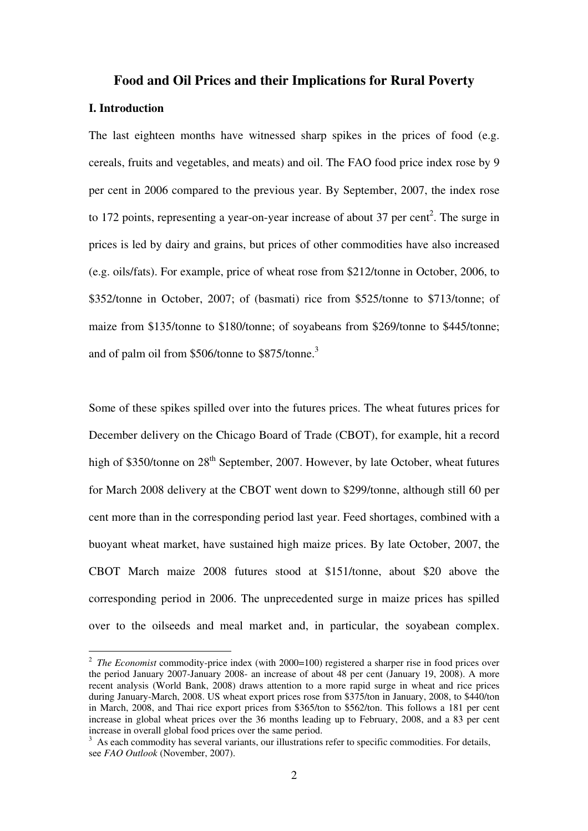# **Food and Oil Prices and their Implications for Rural Poverty I. Introduction**

The last eighteen months have witnessed sharp spikes in the prices of food (e.g. cereals, fruits and vegetables, and meats) and oil. The FAO food price index rose by 9 per cent in 2006 compared to the previous year. By September, 2007, the index rose to 172 points, representing a year-on-year increase of about 37 per cent<sup>2</sup>. The surge in prices is led by dairy and grains, but prices of other commodities have also increased (e.g. oils/fats). For example, price of wheat rose from \$212/tonne in October, 2006, to \$352/tonne in October, 2007; of (basmati) rice from \$525/tonne to \$713/tonne; of maize from \$135/tonne to \$180/tonne; of soyabeans from \$269/tonne to \$445/tonne; and of palm oil from \$506/tonne to \$875/tonne.<sup>3</sup>

Some of these spikes spilled over into the futures prices. The wheat futures prices for December delivery on the Chicago Board of Trade (CBOT), for example, hit a record high of \$350/tonne on  $28<sup>th</sup>$  September, 2007. However, by late October, wheat futures for March 2008 delivery at the CBOT went down to \$299/tonne, although still 60 per cent more than in the corresponding period last year. Feed shortages, combined with a buoyant wheat market, have sustained high maize prices. By late October, 2007, the CBOT March maize 2008 futures stood at \$151/tonne, about \$20 above the corresponding period in 2006. The unprecedented surge in maize prices has spilled over to the oilseeds and meal market and, in particular, the soyabean complex.

<sup>&</sup>lt;sup>2</sup> The Economist commodity-price index (with 2000=100) registered a sharper rise in food prices over the period January 2007-January 2008- an increase of about 48 per cent (January 19, 2008). A more recent analysis (World Bank, 2008) draws attention to a more rapid surge in wheat and rice prices during January-March, 2008. US wheat export prices rose from \$375/ton in January, 2008, to \$440/ton in March, 2008, and Thai rice export prices from \$365/ton to \$562/ton. This follows a 181 per cent increase in global wheat prices over the 36 months leading up to February, 2008, and a 83 per cent increase in overall global food prices over the same period.

<sup>&</sup>lt;sup>3</sup> As each commodity has several variants, our illustrations refer to specific commodities. For details, see *FAO Outlook* (November, 2007).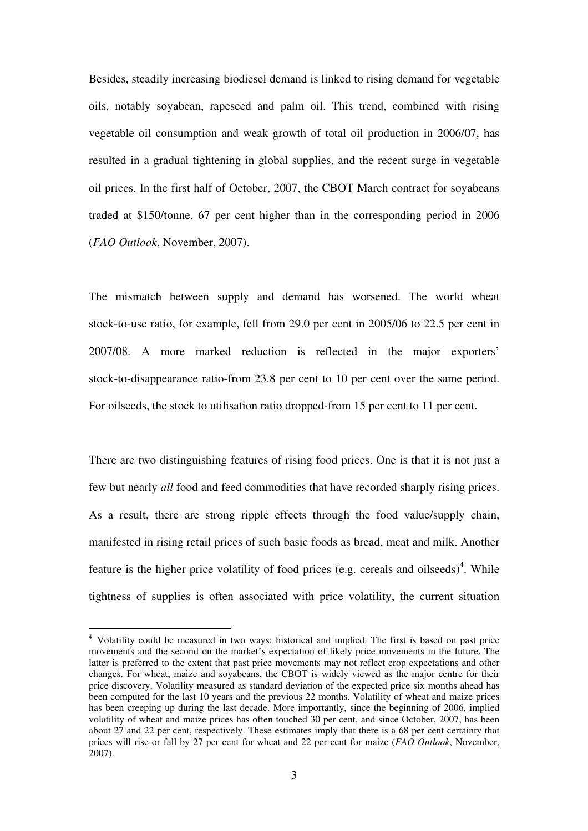Besides, steadily increasing biodiesel demand is linked to rising demand for vegetable oils, notably soyabean, rapeseed and palm oil. This trend, combined with rising vegetable oil consumption and weak growth of total oil production in 2006/07, has resulted in a gradual tightening in global supplies, and the recent surge in vegetable oil prices. In the first half of October, 2007, the CBOT March contract for soyabeans traded at \$150/tonne, 67 per cent higher than in the corresponding period in 2006 (*FAO Outlook*, November, 2007).

The mismatch between supply and demand has worsened. The world wheat stock-to-use ratio, for example, fell from 29.0 per cent in 2005/06 to 22.5 per cent in 2007/08. A more marked reduction is reflected in the major exporters' stock-to-disappearance ratio-from 23.8 per cent to 10 per cent over the same period. For oilseeds, the stock to utilisation ratio dropped-from 15 per cent to 11 per cent.

There are two distinguishing features of rising food prices. One is that it is not just a few but nearly *all* food and feed commodities that have recorded sharply rising prices. As a result, there are strong ripple effects through the food value/supply chain, manifested in rising retail prices of such basic foods as bread, meat and milk. Another feature is the higher price volatility of food prices (e.g. cereals and oilseeds)<sup>4</sup>. While tightness of supplies is often associated with price volatility, the current situation

<sup>&</sup>lt;sup>4</sup> Volatility could be measured in two ways: historical and implied. The first is based on past price movements and the second on the market's expectation of likely price movements in the future. The latter is preferred to the extent that past price movements may not reflect crop expectations and other changes. For wheat, maize and soyabeans, the CBOT is widely viewed as the major centre for their price discovery. Volatility measured as standard deviation of the expected price six months ahead has been computed for the last 10 years and the previous 22 months. Volatility of wheat and maize prices has been creeping up during the last decade. More importantly, since the beginning of 2006, implied volatility of wheat and maize prices has often touched 30 per cent, and since October, 2007, has been about 27 and 22 per cent, respectively. These estimates imply that there is a 68 per cent certainty that prices will rise or fall by 27 per cent for wheat and 22 per cent for maize (*FAO Outlook*, November, 2007).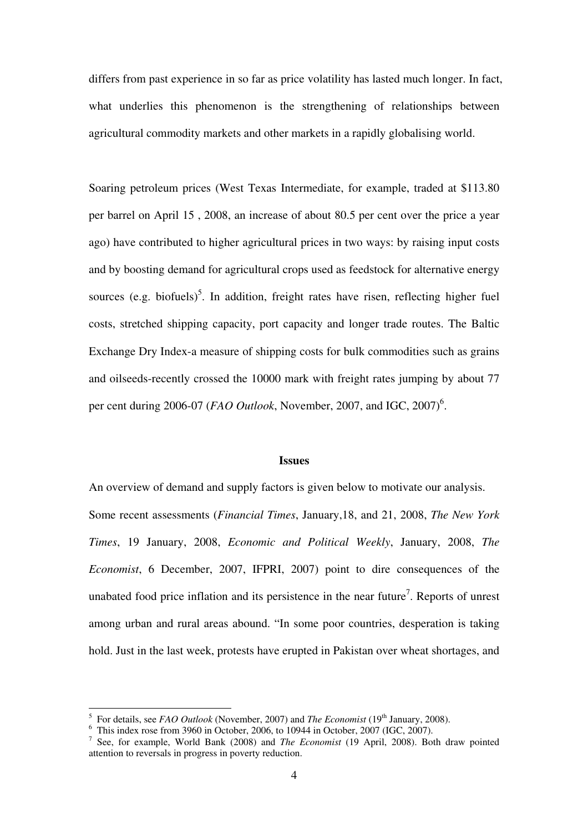differs from past experience in so far as price volatility has lasted much longer. In fact, what underlies this phenomenon is the strengthening of relationships between agricultural commodity markets and other markets in a rapidly globalising world.

Soaring petroleum prices (West Texas Intermediate, for example, traded at \$113.80 per barrel on April 15 , 2008, an increase of about 80.5 per cent over the price a year ago) have contributed to higher agricultural prices in two ways: by raising input costs and by boosting demand for agricultural crops used as feedstock for alternative energy sources (e.g. biofuels)<sup>5</sup>. In addition, freight rates have risen, reflecting higher fuel costs, stretched shipping capacity, port capacity and longer trade routes. The Baltic Exchange Dry Index-a measure of shipping costs for bulk commodities such as grains and oilseeds-recently crossed the 10000 mark with freight rates jumping by about 77 per cent during 2006-07 (*FAO Outlook*, November, 2007, and IGC, 2007)<sup>6</sup>.

#### **Issues**

An overview of demand and supply factors is given below to motivate our analysis. Some recent assessments (*Financial Times*, January,18, and 21, 2008, *The New York Times*, 19 January, 2008, *Economic and Political Weekly*, January, 2008, *The Economist*, 6 December, 2007, IFPRI, 2007) point to dire consequences of the unabated food price inflation and its persistence in the near future<sup>7</sup>. Reports of unrest among urban and rural areas abound. "In some poor countries, desperation is taking hold. Just in the last week, protests have erupted in Pakistan over wheat shortages, and

<sup>&</sup>lt;sup>5</sup> For details, see *FAO Outlook* (November, 2007) and *The Economist* (19<sup>th</sup> January, 2008).

 $6$  This index rose from 3960 in October, 2006, to 10944 in October, 2007 (IGC, 2007).

<sup>7</sup> See, for example, World Bank (2008) and *The Economist* (19 April, 2008). Both draw pointed attention to reversals in progress in poverty reduction.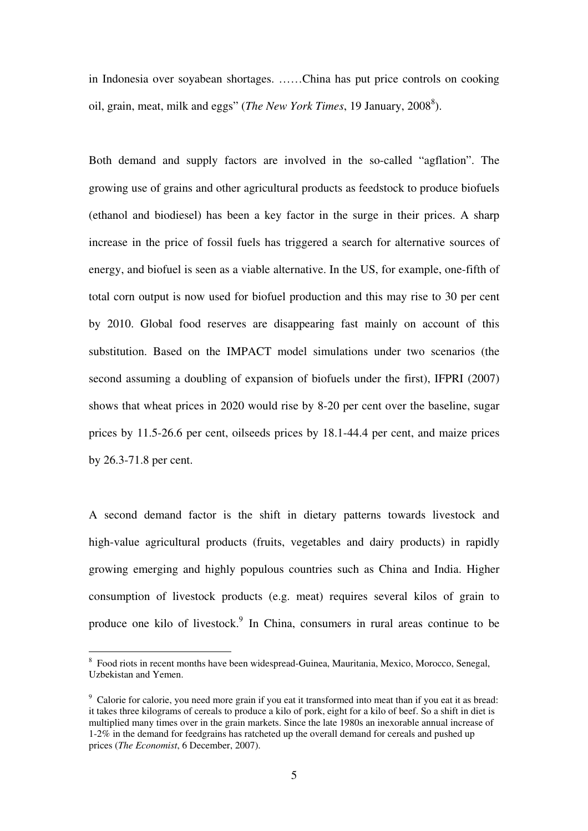in Indonesia over soyabean shortages. ……China has put price controls on cooking oil, grain, meat, milk and eggs" (*The New York Times*, 19 January, 2008<sup>8</sup>).

Both demand and supply factors are involved in the so-called "agflation". The growing use of grains and other agricultural products as feedstock to produce biofuels (ethanol and biodiesel) has been a key factor in the surge in their prices. A sharp increase in the price of fossil fuels has triggered a search for alternative sources of energy, and biofuel is seen as a viable alternative. In the US, for example, one-fifth of total corn output is now used for biofuel production and this may rise to 30 per cent by 2010. Global food reserves are disappearing fast mainly on account of this substitution. Based on the IMPACT model simulations under two scenarios (the second assuming a doubling of expansion of biofuels under the first), IFPRI (2007) shows that wheat prices in 2020 would rise by 8-20 per cent over the baseline, sugar prices by 11.5-26.6 per cent, oilseeds prices by 18.1-44.4 per cent, and maize prices by 26.3-71.8 per cent.

A second demand factor is the shift in dietary patterns towards livestock and high-value agricultural products (fruits, vegetables and dairy products) in rapidly growing emerging and highly populous countries such as China and India. Higher consumption of livestock products (e.g. meat) requires several kilos of grain to produce one kilo of livestock.<sup>9</sup> In China, consumers in rural areas continue to be

<sup>&</sup>lt;sup>8</sup> Food riots in recent months have been widespread-Guinea, Mauritania, Mexico, Morocco, Senegal, Uzbekistan and Yemen.

<sup>&</sup>lt;sup>9</sup> Calorie for calorie, you need more grain if you eat it transformed into meat than if you eat it as bread: it takes three kilograms of cereals to produce a kilo of pork, eight for a kilo of beef. So a shift in diet is multiplied many times over in the grain markets. Since the late 1980s an inexorable annual increase of 1-2% in the demand for feedgrains has ratcheted up the overall demand for cereals and pushed up prices (*The Economist*, 6 December, 2007).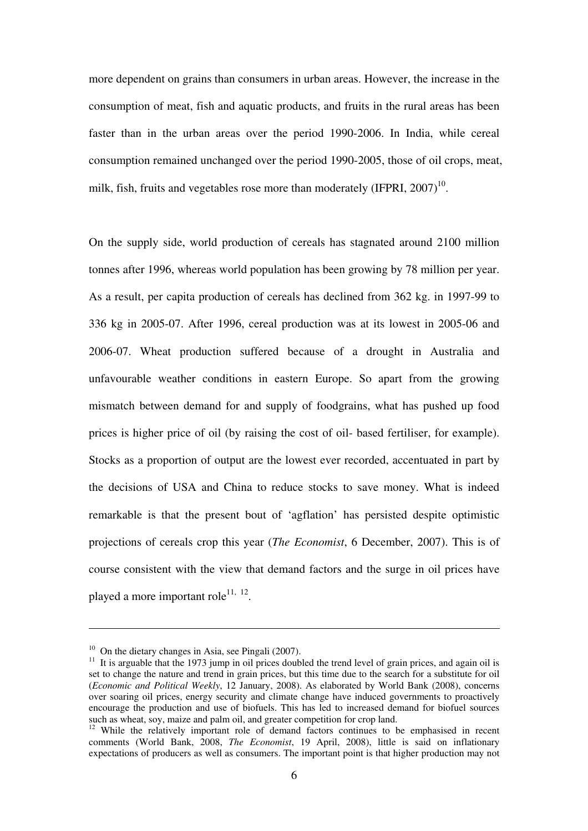more dependent on grains than consumers in urban areas. However, the increase in the consumption of meat, fish and aquatic products, and fruits in the rural areas has been faster than in the urban areas over the period 1990-2006. In India, while cereal consumption remained unchanged over the period 1990-2005, those of oil crops, meat, milk, fish, fruits and vegetables rose more than moderately (IFPRI,  $2007$ )<sup>10</sup>.

On the supply side, world production of cereals has stagnated around 2100 million tonnes after 1996, whereas world population has been growing by 78 million per year. As a result, per capita production of cereals has declined from 362 kg. in 1997-99 to 336 kg in 2005-07. After 1996, cereal production was at its lowest in 2005-06 and 2006-07. Wheat production suffered because of a drought in Australia and unfavourable weather conditions in eastern Europe. So apart from the growing mismatch between demand for and supply of foodgrains, what has pushed up food prices is higher price of oil (by raising the cost of oil- based fertiliser, for example). Stocks as a proportion of output are the lowest ever recorded, accentuated in part by the decisions of USA and China to reduce stocks to save money. What is indeed remarkable is that the present bout of 'agflation' has persisted despite optimistic projections of cereals crop this year (*The Economist*, 6 December, 2007). This is of course consistent with the view that demand factors and the surge in oil prices have played a more important role<sup>11, 12</sup>.

<u>.</u>

 $10$  On the dietary changes in Asia, see Pingali (2007).

 $11$  It is arguable that the 1973 jump in oil prices doubled the trend level of grain prices, and again oil is set to change the nature and trend in grain prices, but this time due to the search for a substitute for oil (*Economic and Political Weekly*, 12 January, 2008). As elaborated by World Bank (2008), concerns over soaring oil prices, energy security and climate change have induced governments to proactively encourage the production and use of biofuels. This has led to increased demand for biofuel sources such as wheat, soy, maize and palm oil, and greater competition for crop land.

<sup>&</sup>lt;sup>12</sup> While the relatively important role of demand factors continues to be emphasised in recent comments (World Bank, 2008, *The Economist*, 19 April, 2008), little is said on inflationary expectations of producers as well as consumers. The important point is that higher production may not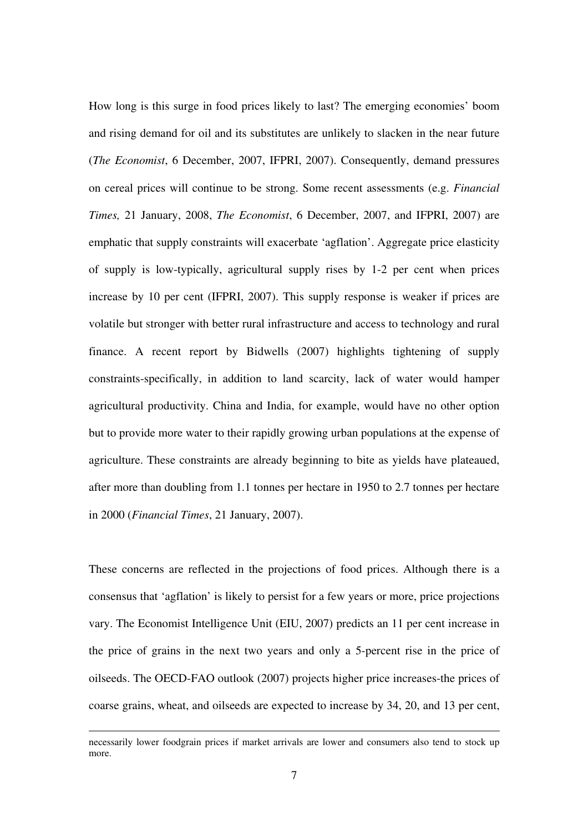How long is this surge in food prices likely to last? The emerging economies' boom and rising demand for oil and its substitutes are unlikely to slacken in the near future (*The Economist*, 6 December, 2007, IFPRI, 2007). Consequently, demand pressures on cereal prices will continue to be strong. Some recent assessments (e.g. *Financial Times,* 21 January, 2008, *The Economist*, 6 December, 2007, and IFPRI, 2007) are emphatic that supply constraints will exacerbate 'agflation'. Aggregate price elasticity of supply is low-typically, agricultural supply rises by 1-2 per cent when prices increase by 10 per cent (IFPRI, 2007). This supply response is weaker if prices are volatile but stronger with better rural infrastructure and access to technology and rural finance. A recent report by Bidwells (2007) highlights tightening of supply constraints-specifically, in addition to land scarcity, lack of water would hamper agricultural productivity. China and India, for example, would have no other option but to provide more water to their rapidly growing urban populations at the expense of agriculture. These constraints are already beginning to bite as yields have plateaued, after more than doubling from 1.1 tonnes per hectare in 1950 to 2.7 tonnes per hectare in 2000 (*Financial Times*, 21 January, 2007).

These concerns are reflected in the projections of food prices. Although there is a consensus that 'agflation' is likely to persist for a few years or more, price projections vary. The Economist Intelligence Unit (EIU, 2007) predicts an 11 per cent increase in the price of grains in the next two years and only a 5-percent rise in the price of oilseeds. The OECD-FAO outlook (2007) projects higher price increases-the prices of coarse grains, wheat, and oilseeds are expected to increase by 34, 20, and 13 per cent,

-

necessarily lower foodgrain prices if market arrivals are lower and consumers also tend to stock up more.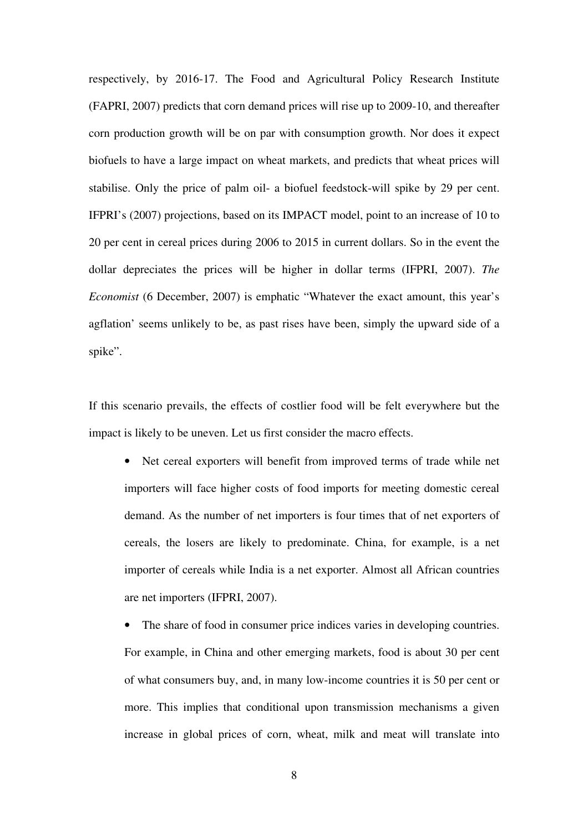respectively, by 2016-17. The Food and Agricultural Policy Research Institute (FAPRI, 2007) predicts that corn demand prices will rise up to 2009-10, and thereafter corn production growth will be on par with consumption growth. Nor does it expect biofuels to have a large impact on wheat markets, and predicts that wheat prices will stabilise. Only the price of palm oil- a biofuel feedstock-will spike by 29 per cent. IFPRI's (2007) projections, based on its IMPACT model, point to an increase of 10 to 20 per cent in cereal prices during 2006 to 2015 in current dollars. So in the event the dollar depreciates the prices will be higher in dollar terms (IFPRI, 2007). *The Economist* (6 December, 2007) is emphatic "Whatever the exact amount, this year's agflation' seems unlikely to be, as past rises have been, simply the upward side of a spike".

If this scenario prevails, the effects of costlier food will be felt everywhere but the impact is likely to be uneven. Let us first consider the macro effects.

- Net cereal exporters will benefit from improved terms of trade while net importers will face higher costs of food imports for meeting domestic cereal demand. As the number of net importers is four times that of net exporters of cereals, the losers are likely to predominate. China, for example, is a net importer of cereals while India is a net exporter. Almost all African countries are net importers (IFPRI, 2007).
- The share of food in consumer price indices varies in developing countries. For example, in China and other emerging markets, food is about 30 per cent of what consumers buy, and, in many low-income countries it is 50 per cent or more. This implies that conditional upon transmission mechanisms a given increase in global prices of corn, wheat, milk and meat will translate into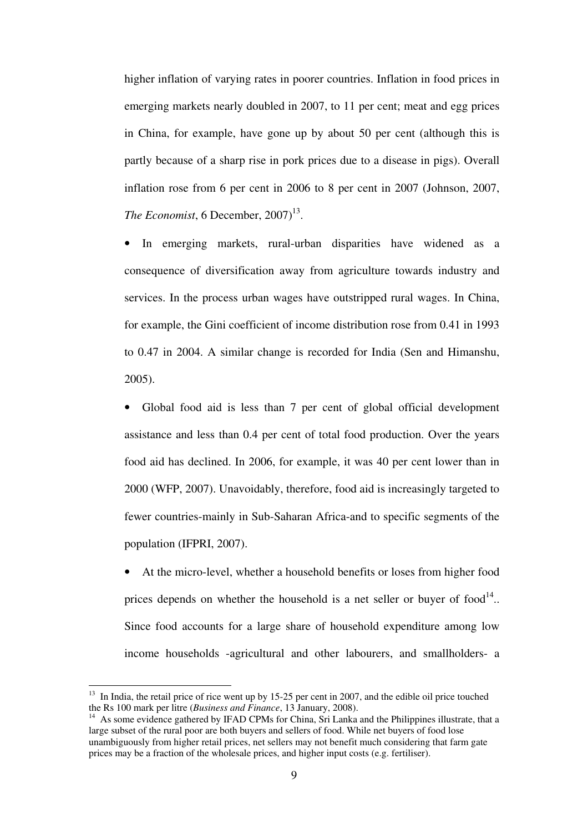higher inflation of varying rates in poorer countries. Inflation in food prices in emerging markets nearly doubled in 2007, to 11 per cent; meat and egg prices in China, for example, have gone up by about 50 per cent (although this is partly because of a sharp rise in pork prices due to a disease in pigs). Overall inflation rose from 6 per cent in 2006 to 8 per cent in 2007 (Johnson, 2007, *The Economist*, 6 December,  $2007$ <sup>13</sup>.

• In emerging markets, rural-urban disparities have widened as a consequence of diversification away from agriculture towards industry and services. In the process urban wages have outstripped rural wages. In China, for example, the Gini coefficient of income distribution rose from 0.41 in 1993 to 0.47 in 2004. A similar change is recorded for India (Sen and Himanshu, 2005).

- Global food aid is less than 7 per cent of global official development assistance and less than 0.4 per cent of total food production. Over the years food aid has declined. In 2006, for example, it was 40 per cent lower than in 2000 (WFP, 2007). Unavoidably, therefore, food aid is increasingly targeted to fewer countries-mainly in Sub-Saharan Africa-and to specific segments of the population (IFPRI, 2007).
- At the micro-level, whether a household benefits or loses from higher food prices depends on whether the household is a net seller or buyer of food $14$ . Since food accounts for a large share of household expenditure among low income households -agricultural and other labourers, and smallholders- a

<sup>&</sup>lt;sup>13</sup> In India, the retail price of rice went up by 15-25 per cent in 2007, and the edible oil price touched the Rs 100 mark per litre (*Business and Finance*, 13 January, 2008).

<sup>&</sup>lt;sup>14</sup> As some evidence gathered by IFAD CPMs for China, Sri Lanka and the Philippines illustrate, that a large subset of the rural poor are both buyers and sellers of food. While net buyers of food lose unambiguously from higher retail prices, net sellers may not benefit much considering that farm gate prices may be a fraction of the wholesale prices, and higher input costs (e.g. fertiliser).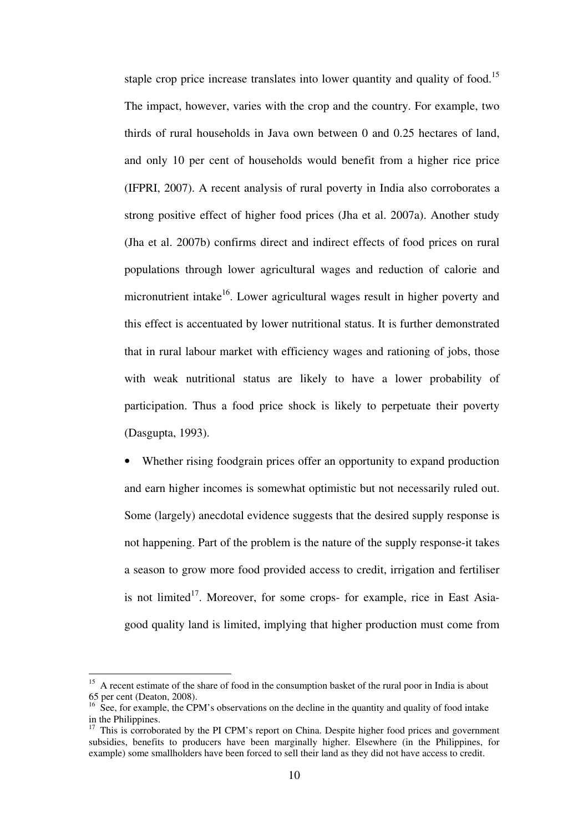staple crop price increase translates into lower quantity and quality of food.<sup>15</sup> The impact, however, varies with the crop and the country. For example, two thirds of rural households in Java own between 0 and 0.25 hectares of land, and only 10 per cent of households would benefit from a higher rice price (IFPRI, 2007). A recent analysis of rural poverty in India also corroborates a strong positive effect of higher food prices (Jha et al. 2007a). Another study (Jha et al. 2007b) confirms direct and indirect effects of food prices on rural populations through lower agricultural wages and reduction of calorie and micronutrient intake<sup>16</sup>. Lower agricultural wages result in higher poverty and this effect is accentuated by lower nutritional status. It is further demonstrated that in rural labour market with efficiency wages and rationing of jobs, those with weak nutritional status are likely to have a lower probability of participation. Thus a food price shock is likely to perpetuate their poverty (Dasgupta, 1993).

• Whether rising foodgrain prices offer an opportunity to expand production and earn higher incomes is somewhat optimistic but not necessarily ruled out. Some (largely) anecdotal evidence suggests that the desired supply response is not happening. Part of the problem is the nature of the supply response-it takes a season to grow more food provided access to credit, irrigation and fertiliser is not limited<sup>17</sup>. Moreover, for some crops- for example, rice in East Asiagood quality land is limited, implying that higher production must come from

<sup>&</sup>lt;sup>15</sup> A recent estimate of the share of food in the consumption basket of the rural poor in India is about 65 per cent (Deaton, 2008).

 $16\text{}$  See, for example, the CPM's observations on the decline in the quantity and quality of food intake in the Philippines.

<sup>&</sup>lt;sup>17</sup> This is corroborated by the PI CPM's report on China. Despite higher food prices and government subsidies, benefits to producers have been marginally higher. Elsewhere (in the Philippines, for example) some smallholders have been forced to sell their land as they did not have access to credit.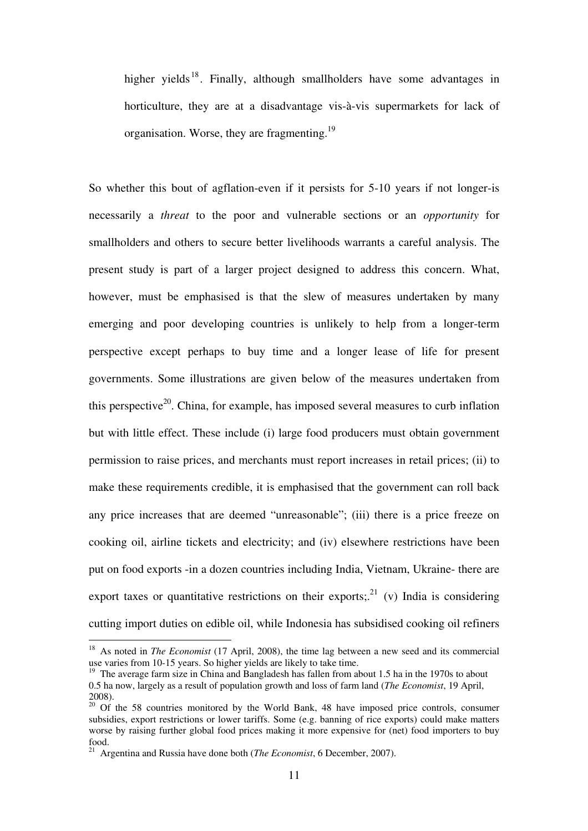higher yields  $18$ . Finally, although smallholders have some advantages in horticulture, they are at a disadvantage vis-à-vis supermarkets for lack of organisation. Worse, they are fragmenting.<sup>19</sup>

So whether this bout of agflation-even if it persists for 5-10 years if not longer-is necessarily a *threat* to the poor and vulnerable sections or an *opportunity* for smallholders and others to secure better livelihoods warrants a careful analysis. The present study is part of a larger project designed to address this concern. What, however, must be emphasised is that the slew of measures undertaken by many emerging and poor developing countries is unlikely to help from a longer-term perspective except perhaps to buy time and a longer lease of life for present governments. Some illustrations are given below of the measures undertaken from this perspective<sup>20</sup>. China, for example, has imposed several measures to curb inflation but with little effect. These include (i) large food producers must obtain government permission to raise prices, and merchants must report increases in retail prices; (ii) to make these requirements credible, it is emphasised that the government can roll back any price increases that are deemed "unreasonable"; (iii) there is a price freeze on cooking oil, airline tickets and electricity; and (iv) elsewhere restrictions have been put on food exports -in a dozen countries including India, Vietnam, Ukraine- there are export taxes or quantitative restrictions on their exports;  $2^{1}$  (v) India is considering cutting import duties on edible oil, while Indonesia has subsidised cooking oil refiners

<sup>&</sup>lt;sup>18</sup> As noted in *The Economist* (17 April, 2008), the time lag between a new seed and its commercial use varies from 10-15 years. So higher yields are likely to take time.

<sup>&</sup>lt;sup>19</sup> The average farm size in China and Bangladesh has fallen from about 1.5 ha in the 1970s to about 0.5 ha now, largely as a result of population growth and loss of farm land (*The Economist*, 19 April, 2008).

 $20$  Of the 58 countries monitored by the World Bank, 48 have imposed price controls, consumer subsidies, export restrictions or lower tariffs. Some (e.g. banning of rice exports) could make matters worse by raising further global food prices making it more expensive for (net) food importers to buy food.

<sup>21</sup> Argentina and Russia have done both (*The Economist*, 6 December, 2007).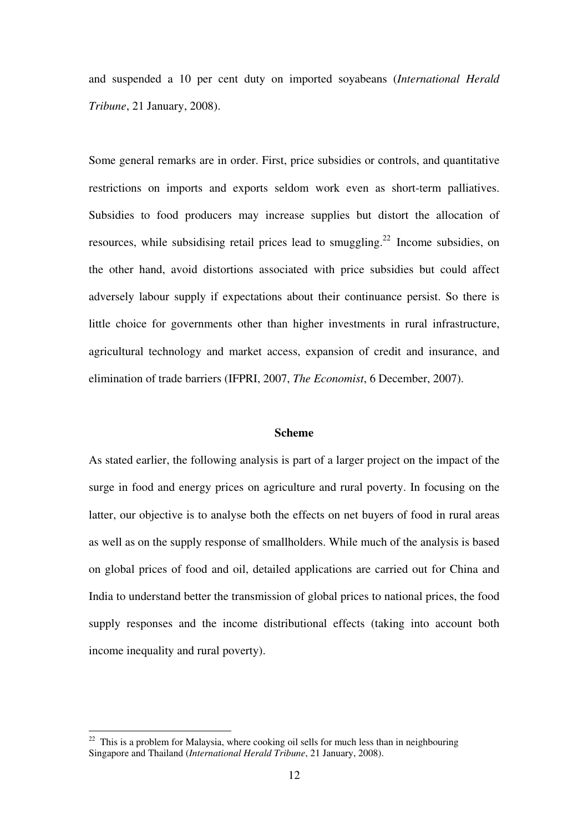and suspended a 10 per cent duty on imported soyabeans (*International Herald Tribune*, 21 January, 2008).

Some general remarks are in order. First, price subsidies or controls, and quantitative restrictions on imports and exports seldom work even as short-term palliatives. Subsidies to food producers may increase supplies but distort the allocation of resources, while subsidising retail prices lead to smuggling.<sup>22</sup> Income subsidies, on the other hand, avoid distortions associated with price subsidies but could affect adversely labour supply if expectations about their continuance persist. So there is little choice for governments other than higher investments in rural infrastructure, agricultural technology and market access, expansion of credit and insurance, and elimination of trade barriers (IFPRI, 2007, *The Economist*, 6 December, 2007).

#### **Scheme**

As stated earlier, the following analysis is part of a larger project on the impact of the surge in food and energy prices on agriculture and rural poverty. In focusing on the latter, our objective is to analyse both the effects on net buyers of food in rural areas as well as on the supply response of smallholders. While much of the analysis is based on global prices of food and oil, detailed applications are carried out for China and India to understand better the transmission of global prices to national prices, the food supply responses and the income distributional effects (taking into account both income inequality and rural poverty).

 $22$  This is a problem for Malaysia, where cooking oil sells for much less than in neighbouring Singapore and Thailand (*International Herald Tribune*, 21 January, 2008).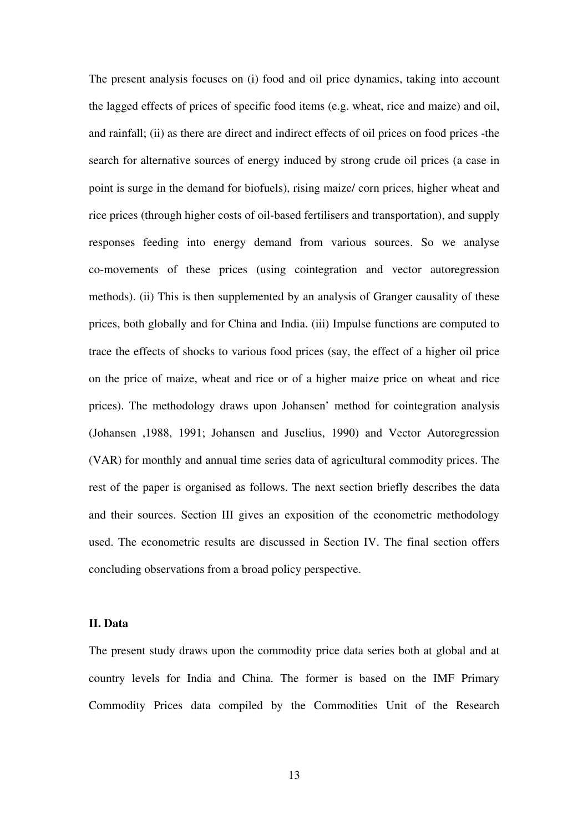The present analysis focuses on (i) food and oil price dynamics, taking into account the lagged effects of prices of specific food items (e.g. wheat, rice and maize) and oil, and rainfall; (ii) as there are direct and indirect effects of oil prices on food prices -the search for alternative sources of energy induced by strong crude oil prices (a case in point is surge in the demand for biofuels), rising maize/ corn prices, higher wheat and rice prices (through higher costs of oil-based fertilisers and transportation), and supply responses feeding into energy demand from various sources. So we analyse co-movements of these prices (using cointegration and vector autoregression methods). (ii) This is then supplemented by an analysis of Granger causality of these prices, both globally and for China and India. (iii) Impulse functions are computed to trace the effects of shocks to various food prices (say, the effect of a higher oil price on the price of maize, wheat and rice or of a higher maize price on wheat and rice prices). The methodology draws upon Johansen' method for cointegration analysis (Johansen ,1988, 1991; Johansen and Juselius, 1990) and Vector Autoregression (VAR) for monthly and annual time series data of agricultural commodity prices. The rest of the paper is organised as follows. The next section briefly describes the data and their sources. Section III gives an exposition of the econometric methodology used. The econometric results are discussed in Section IV. The final section offers concluding observations from a broad policy perspective.

#### **II. Data**

The present study draws upon the commodity price data series both at global and at country levels for India and China. The former is based on the IMF Primary Commodity Prices data compiled by the Commodities Unit of the Research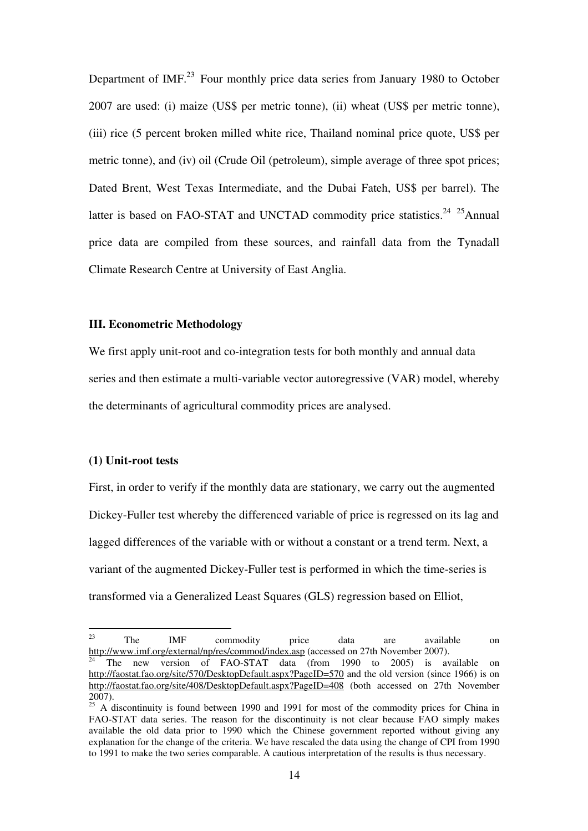Department of  $IMF<sup>23</sup>$  Four monthly price data series from January 1980 to October 2007 are used: (i) maize (US\$ per metric tonne), (ii) wheat (US\$ per metric tonne), (iii) rice (5 percent broken milled white rice, Thailand nominal price quote, US\$ per metric tonne), and (iv) oil (Crude Oil (petroleum), simple average of three spot prices; Dated Brent, West Texas Intermediate, and the Dubai Fateh, US\$ per barrel). The latter is based on FAO-STAT and UNCTAD commodity price statistics.<sup>24</sup>  $25$ Annual price data are compiled from these sources, and rainfall data from the Tynadall Climate Research Centre at University of East Anglia.

#### **III. Econometric Methodology**

We first apply unit-root and co-integration tests for both monthly and annual data series and then estimate a multi-variable vector autoregressive (VAR) model, whereby the determinants of agricultural commodity prices are analysed.

#### **(1) Unit-root tests**

First, in order to verify if the monthly data are stationary, we carry out the augmented Dickey-Fuller test whereby the differenced variable of price is regressed on its lag and lagged differences of the variable with or without a constant or a trend term. Next, a variant of the augmented Dickey-Fuller test is performed in which the time-series is transformed via a Generalized Least Squares (GLS) regression based on Elliot,

 $23$  $23$  The IMF commodity price data are available on http://www.imf.org/external/np/res/commod/index.asp (accessed on 27th November 2007). <sup>24</sup> The new version of FAO-STAT data (from 1990 to 2005) is available on http://faostat.fao.org/site/570/DesktopDefault.aspx?PageID=570 and the old version (since 1966) is on http://faostat.fao.org/site/408/DesktopDefault.aspx?PageID=408 (both accessed on 27th November 2007).

 $25$  A discontinuity is found between 1990 and 1991 for most of the commodity prices for China in FAO-STAT data series. The reason for the discontinuity is not clear because FAO simply makes available the old data prior to 1990 which the Chinese government reported without giving any explanation for the change of the criteria. We have rescaled the data using the change of CPI from 1990 to 1991 to make the two series comparable. A cautious interpretation of the results is thus necessary.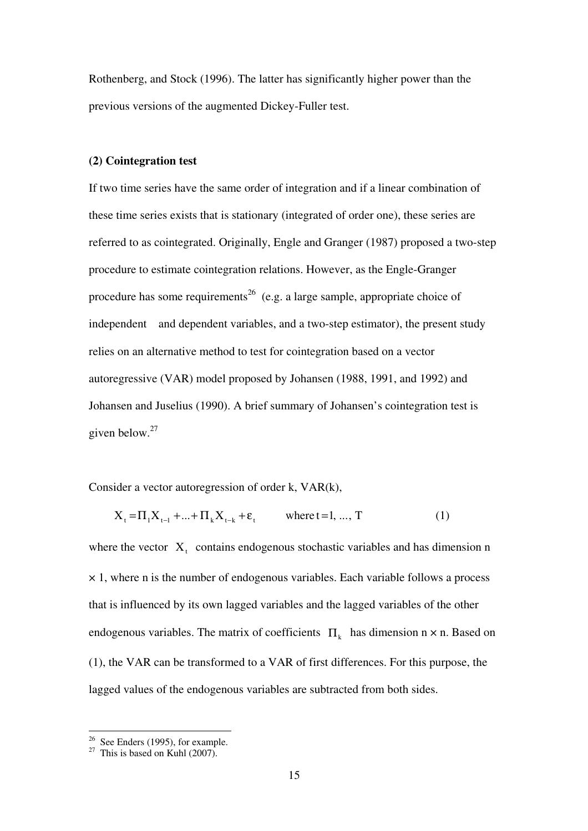Rothenberg, and Stock (1996). The latter has significantly higher power than the previous versions of the augmented Dickey-Fuller test.

#### **(2) Cointegration test**

If two time series have the same order of integration and if a linear combination of these time series exists that is stationary (integrated of order one), these series are referred to as cointegrated. Originally, Engle and Granger (1987) proposed a two-step procedure to estimate cointegration relations. However, as the Engle-Granger procedure has some requirements<sup>26</sup> (e.g. a large sample, appropriate choice of independent and dependent variables, and a two-step estimator), the present study relies on an alternative method to test for cointegration based on a vector autoregressive (VAR) model proposed by Johansen (1988, 1991, and 1992) and Johansen and Juselius (1990). A brief summary of Johansen's cointegration test is given below.<sup>27</sup>

Consider a vector autoregression of order k, VAR(k),

$$
X_{t} = \Pi_{1} X_{t-1} + ... + \Pi_{k} X_{t-k} + \varepsilon_{t} \qquad \text{where } t = 1, ..., T
$$
 (1)

where the vector  $X_t$  contains endogenous stochastic variables and has dimension n  $\times$  1, where n is the number of endogenous variables. Each variable follows a process that is influenced by its own lagged variables and the lagged variables of the other endogenous variables. The matrix of coefficients  $\Pi_k$  has dimension n  $\times$  n. Based on (1), the VAR can be transformed to a VAR of first differences. For this purpose, the lagged values of the endogenous variables are subtracted from both sides.

 $26$  See Enders (1995), for example.

 $27$  This is based on Kuhl (2007).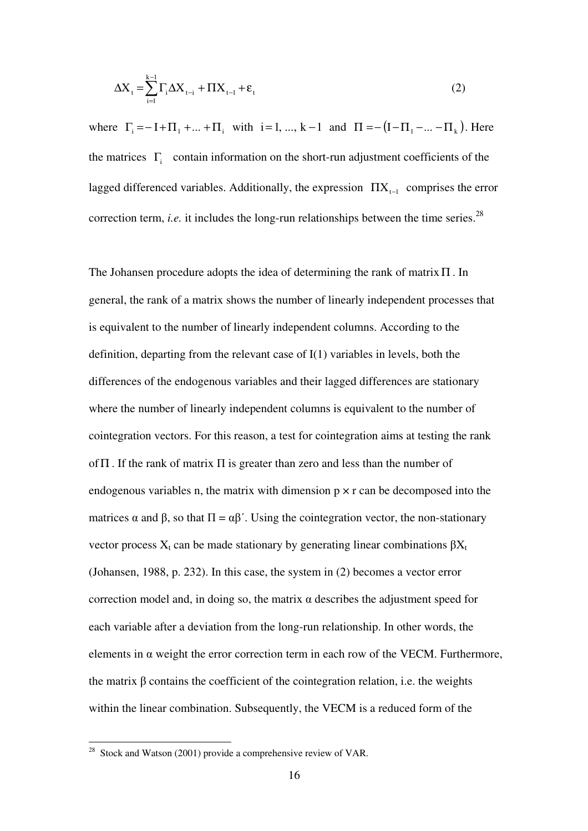$$
\Delta X_{t} = \sum_{i=1}^{k-1} \Gamma_{i} \Delta X_{t-i} + \Pi X_{t-1} + \varepsilon_{t}
$$
\n(2)

where  $\Gamma_i = -I + \Pi_1 + ... + \Pi_i$  with  $i = 1, ..., k - 1$  and  $\Pi = -(\Pi_1 - ... - \Pi_k)$ . Here the matrices  $\Gamma_i$  contain information on the short-run adjustment coefficients of the lagged differenced variables. Additionally, the expression  $\left.\Pi X_{t-1}\right.$  comprises the error correction term, *i.e.* it includes the long-run relationships between the time series.<sup>28</sup>

The Johansen procedure adopts the idea of determining the rank of matrix  $\Pi$ . In general, the rank of a matrix shows the number of linearly independent processes that is equivalent to the number of linearly independent columns. According to the definition, departing from the relevant case of I(1) variables in levels, both the differences of the endogenous variables and their lagged differences are stationary where the number of linearly independent columns is equivalent to the number of cointegration vectors. For this reason, a test for cointegration aims at testing the rank of  $\Pi$ . If the rank of matrix  $\Pi$  is greater than zero and less than the number of endogenous variables n, the matrix with dimension  $p \times r$  can be decomposed into the matrices  $\alpha$  and  $\beta$ , so that  $\Pi = \alpha \beta'$ . Using the cointegration vector, the non-stationary vector process  $X_t$  can be made stationary by generating linear combinations  $\beta X_t$ (Johansen, 1988, p. 232). In this case, the system in (2) becomes a vector error correction model and, in doing so, the matrix α describes the adjustment speed for each variable after a deviation from the long-run relationship. In other words, the elements in  $\alpha$  weight the error correction term in each row of the VECM. Furthermore, the matrix  $\beta$  contains the coefficient of the cointegration relation, i.e. the weights within the linear combination. Subsequently, the VECM is a reduced form of the

 $28$  Stock and Watson (2001) provide a comprehensive review of VAR.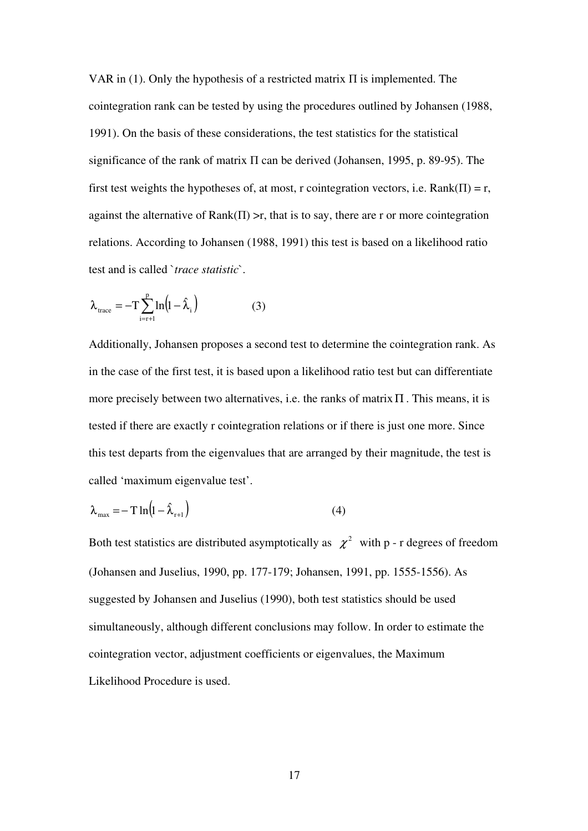VAR in (1). Only the hypothesis of a restricted matrix  $\Pi$  is implemented. The cointegration rank can be tested by using the procedures outlined by Johansen (1988, 1991). On the basis of these considerations, the test statistics for the statistical significance of the rank of matrix Π can be derived (Johansen, 1995, p. 89-95). The first test weights the hypotheses of, at most, r cointegration vectors, i.e.  $Rank(\Pi) = r$ , against the alternative of  $Rank(\Pi) > r$ , that is to say, there are r or more cointegration relations. According to Johansen (1988, 1991) this test is based on a likelihood ratio test and is called `*trace statistic*`.

$$
\lambda_{\text{trace}} = -T \sum_{i=r+1}^{p} \ln(1 - \hat{\lambda}_i)
$$
 (3)

Additionally, Johansen proposes a second test to determine the cointegration rank. As in the case of the first test, it is based upon a likelihood ratio test but can differentiate more precisely between two alternatives, i.e. the ranks of matrix  $\Pi$ . This means, it is tested if there are exactly r cointegration relations or if there is just one more. Since this test departs from the eigenvalues that are arranged by their magnitude, the test is called 'maximum eigenvalue test'.

$$
\lambda_{\max} = -\operatorname{T} \ln \left( 1 - \hat{\lambda}_{r+1} \right) \tag{4}
$$

Both test statistics are distributed asymptotically as  $\chi^2$  with p - r degrees of freedom (Johansen and Juselius, 1990, pp. 177-179; Johansen, 1991, pp. 1555-1556). As suggested by Johansen and Juselius (1990), both test statistics should be used simultaneously, although different conclusions may follow. In order to estimate the cointegration vector, adjustment coefficients or eigenvalues, the Maximum Likelihood Procedure is used.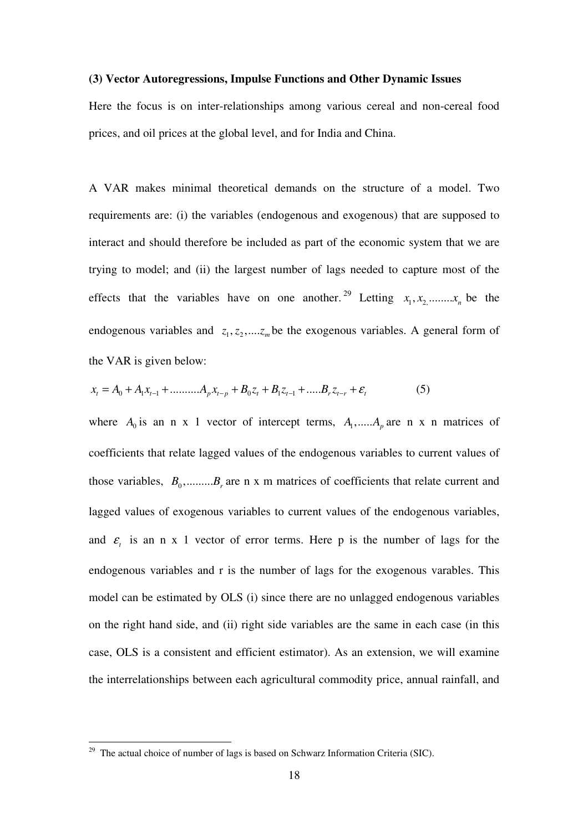#### **(3) Vector Autoregressions, Impulse Functions and Other Dynamic Issues**

Here the focus is on inter-relationships among various cereal and non-cereal food prices, and oil prices at the global level, and for India and China.

A VAR makes minimal theoretical demands on the structure of a model. Two requirements are: (i) the variables (endogenous and exogenous) that are supposed to interact and should therefore be included as part of the economic system that we are trying to model; and (ii) the largest number of lags needed to capture most of the effects that the variables have on one another.<sup>29</sup> Letting  $x_1, x_2, \dots, x_n$  be the endogenous variables and  $z_1, z_2, \dots, z_m$  be the exogenous variables. A general form of the VAR is given below:

$$
x_{t} = A_{0} + A_{1}x_{t-1} + \dots + A_{p}x_{t-p} + B_{0}z_{t} + B_{1}z_{t-1} + \dots + B_{r}z_{t-r} + \varepsilon_{t}
$$
(5)

where  $A_0$  is an n x 1 vector of intercept terms,  $A_1, \dots, A_p$  are n x n matrices of coefficients that relate lagged values of the endogenous variables to current values of those variables,  $B_0$ ,......... $B_r$  are n x m matrices of coefficients that relate current and lagged values of exogenous variables to current values of the endogenous variables, and  $\varepsilon$ <sub>t</sub> is an n x 1 vector of error terms. Here p is the number of lags for the endogenous variables and r is the number of lags for the exogenous varables. This model can be estimated by OLS (i) since there are no unlagged endogenous variables on the right hand side, and (ii) right side variables are the same in each case (in this case, OLS is a consistent and efficient estimator). As an extension, we will examine the interrelationships between each agricultural commodity price, annual rainfall, and

 $29$  The actual choice of number of lags is based on Schwarz Information Criteria (SIC).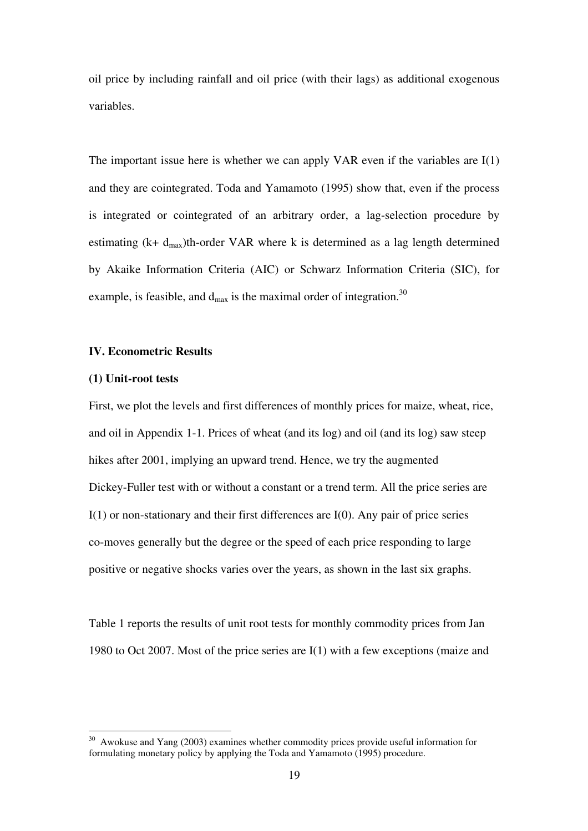oil price by including rainfall and oil price (with their lags) as additional exogenous variables.

The important issue here is whether we can apply VAR even if the variables are I(1) and they are cointegrated. Toda and Yamamoto (1995) show that, even if the process is integrated or cointegrated of an arbitrary order, a lag-selection procedure by estimating  $(k + d_{max})$ th-order VAR where k is determined as a lag length determined by Akaike Information Criteria (AIC) or Schwarz Information Criteria (SIC), for example, is feasible, and  $d_{max}$  is the maximal order of integration.<sup>30</sup>

# **IV. Econometric Results**

#### **(1) Unit-root tests**

 $\overline{a}$ 

First, we plot the levels and first differences of monthly prices for maize, wheat, rice, and oil in Appendix 1-1. Prices of wheat (and its log) and oil (and its log) saw steep hikes after 2001, implying an upward trend. Hence, we try the augmented Dickey-Fuller test with or without a constant or a trend term. All the price series are  $I(1)$  or non-stationary and their first differences are  $I(0)$ . Any pair of price series co-moves generally but the degree or the speed of each price responding to large positive or negative shocks varies over the years, as shown in the last six graphs.

Table 1 reports the results of unit root tests for monthly commodity prices from Jan 1980 to Oct 2007. Most of the price series are I(1) with a few exceptions (maize and

 $30$  Awokuse and Yang (2003) examines whether commodity prices provide useful information for formulating monetary policy by applying the Toda and Yamamoto (1995) procedure.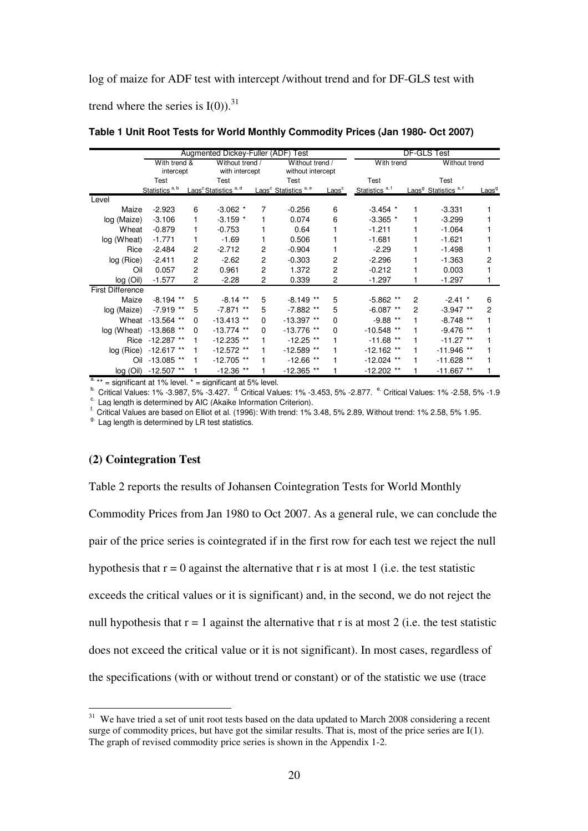log of maize for ADF test with intercept /without trend and for DF-GLS test with

trend where the series is  $I(0)$ .<sup>31</sup>

|                         |                            |   | Augmented Dickey-Fuller (ADF) Test           |                |                                              |                   |                           |   | <b>DF-GLS Test</b>                          |                   |
|-------------------------|----------------------------|---|----------------------------------------------|----------------|----------------------------------------------|-------------------|---------------------------|---|---------------------------------------------|-------------------|
|                         | With trend &               |   | Without trend /                              |                | Without trend /                              |                   | With trend                |   | Without trend                               |                   |
|                         | intercept                  |   | with intercept                               |                | without intercept                            |                   |                           |   |                                             |                   |
|                         | Test                       |   | Test                                         |                | Test                                         |                   | Test                      |   | Test                                        |                   |
|                         | Statistics <sup>a, b</sup> |   | Lags <sup>c</sup> Statistics <sup>a, d</sup> |                | Lags <sup>c</sup> Statistics <sup>a, e</sup> | Lags <sup>c</sup> | Statistics <sup>a,f</sup> |   | Lags <sup>9</sup> Statistics <sup>a,t</sup> | Lags <sup>g</sup> |
| Level                   |                            |   |                                              |                |                                              |                   |                           |   |                                             |                   |
| Maize                   | $-2.923$                   | 6 | $-3.062$ *                                   | 7              | $-0.256$                                     | 6                 | $-3.454$ *                |   | $-3.331$                                    |                   |
| log (Maize)             | $-3.106$                   |   | $-3.159$ *                                   |                | 0.074                                        | 6                 | $-3.365$ *                |   | $-3.299$                                    |                   |
| Wheat                   | $-0.879$                   |   | $-0.753$                                     |                | 0.64                                         |                   | $-1.211$                  |   | $-1.064$                                    |                   |
| log (Wheat)             | $-1.771$                   |   | $-1.69$                                      |                | 0.506                                        |                   | $-1.681$                  |   | $-1.621$                                    |                   |
| Rice                    | $-2.484$                   | 2 | $-2.712$                                     | $\overline{c}$ | $-0.904$                                     |                   | $-2.29$                   |   | $-1.498$                                    |                   |
| log (Rice)              | $-2.411$                   | 2 | $-2.62$                                      | 2              | $-0.303$                                     | 2                 | $-2.296$                  |   | $-1.363$                                    | 2                 |
| Oil                     | 0.057                      | 2 | 0.961                                        | 2              | 1.372                                        | 2                 | $-0.212$                  |   | 0.003                                       |                   |
| log (Oil)               | $-1.577$                   | 2 | $-2.28$                                      | 2              | 0.339                                        | 2                 | $-1.297$                  |   | $-1.297$                                    |                   |
| <b>First Difference</b> |                            |   |                                              |                |                                              |                   |                           |   |                                             |                   |
| Maize                   | $-8.194$ **                | 5 | $-8.14$ **                                   | 5              | $-8.149$ **                                  | 5                 | $-5.862$ **               | 2 | $-2.41$ *                                   | 6                 |
| log (Maize)             | $-7.919**$                 | 5 | $-7.871$ **                                  | 5              | $-7.882**$                                   | 5                 | $-6.087**$                | 2 | $-3.947$ **                                 | 2                 |
| Wheat                   | $-13.564$ **               | 0 | $-13.413$ **                                 | 0              | $-13.397$ **                                 | 0                 | $-9.88$ **                |   | $-8.748$ **                                 |                   |
| log (Wheat)             | $-13.868$ **               | 0 | $-13.774$ **                                 | $\Omega$       | $-13.776$                                    | $\Omega$          | $-10.548$ **              |   | $-9.476$ **                                 |                   |
|                         | Rice -12.287 **            | 1 | $-12.235$ **                                 |                | $-12.25$ **                                  |                   | $-11.68$ **               |   | $-11.27$ **                                 |                   |
| log (Rice)              | $-12.617$ **               |   | $-12.572$ **                                 |                | $-12.589$<br>$**$                            |                   | $-12.162$ **              |   | $-11.946$ **                                |                   |
| Oil                     | $-13.085$ **               |   | $-12.705$ **                                 |                | $-12.66$<br>$***$                            |                   | $-12.024$ **              |   | $-11.628$ **                                |                   |
| log (Oil)               | $-12.507$ **               |   | $-12.36$ **                                  |                | $-12.365$<br>$***$                           |                   | $-12.202$ **              |   | $-11.667$ **                                |                   |

|  |  |  | Table 1 Unit Root Tests for World Monthly Commodity Prices (Jan 1980- Oct 2007) |
|--|--|--|---------------------------------------------------------------------------------|
|  |  |  |                                                                                 |

 $*$  = significant at 1% level.  $*$  = significant at 5% level.

b. Critical Values: 1% -3.987, 5% -3.427. d. Critical Values: 1% -3.453, 5% -2.877. e. Critical Values: 1% -2.58, 5% -1.9 <sup>c.</sup> Lag length is determined by AIC (Akaike Information Criterion).

 $<sup>1</sup>$  Critical Values are based on Elliot et al. (1996): With trend: 1% 3.48, 5% 2.89, Without trend: 1% 2.58, 5% 1.95.</sup>

g. Lag length is determined by LR test statistics.

# **(2) Cointegration Test**

 $\overline{a}$ 

Table 2 reports the results of Johansen Cointegration Tests for World Monthly Commodity Prices from Jan 1980 to Oct 2007. As a general rule, we can conclude the pair of the price series is cointegrated if in the first row for each test we reject the null hypothesis that  $r = 0$  against the alternative that r is at most 1 (i.e. the test statistic exceeds the critical values or it is significant) and, in the second, we do not reject the null hypothesis that  $r = 1$  against the alternative that r is at most 2 (i.e. the test statistic does not exceed the critical value or it is not significant). In most cases, regardless of the specifications (with or without trend or constant) or of the statistic we use (trace

<sup>&</sup>lt;sup>31</sup> We have tried a set of unit root tests based on the data updated to March 2008 considering a recent surge of commodity prices, but have got the similar results. That is, most of the price series are I(1). The graph of revised commodity price series is shown in the Appendix 1-2.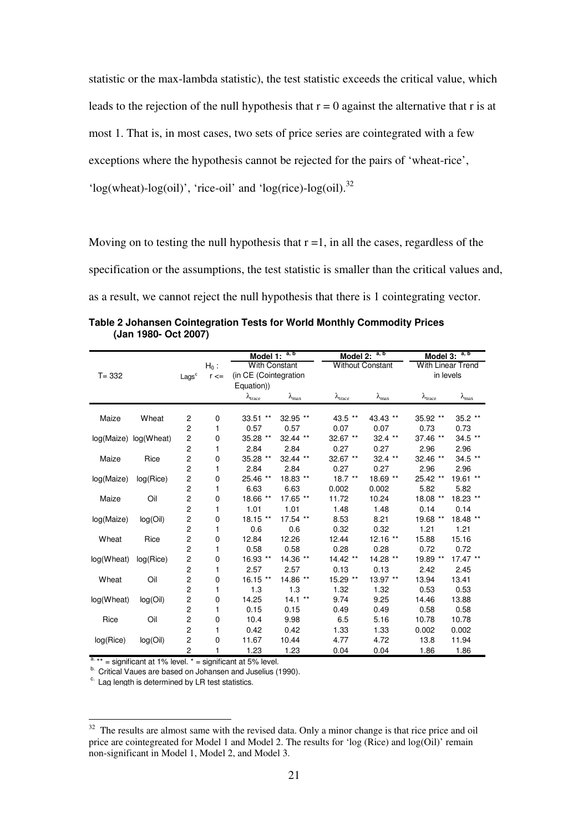statistic or the max-lambda statistic), the test statistic exceeds the critical value, which leads to the rejection of the null hypothesis that  $r = 0$  against the alternative that r is at most 1. That is, in most cases, two sets of price series are cointegrated with a few exceptions where the hypothesis cannot be rejected for the pairs of 'wheat-rice', ' $log($ wheat)- $log($ oil)', 'rice-oil' and ' $log($ rice)- $log($ oil). $32$ 

Moving on to testing the null hypothesis that  $r = 1$ , in all the cases, regardless of the specification or the assumptions, the test statistic is smaller than the critical values and, as a result, we cannot reject the null hypothesis that there is 1 cointegrating vector.

|            |                       |                         |            | Model 1:                 | a, b                   | Model 2:                 | a, b                   | Model 3:                 | a, b                     |
|------------|-----------------------|-------------------------|------------|--------------------------|------------------------|--------------------------|------------------------|--------------------------|--------------------------|
|            |                       |                         | $H_0$ :    | <b>With Constant</b>     |                        | <b>Without Constant</b>  |                        |                          | <b>With Linear Trend</b> |
| $T = 332$  |                       | $\textsf{Lags}^c$       | $r \leq r$ | (in CE (Cointegration    |                        |                          |                        | in levels                |                          |
|            |                       |                         |            | Equation))               |                        |                          |                        |                          |                          |
|            |                       |                         |            | $\lambda_{\text{trace}}$ | $\lambda_{\text{max}}$ | $\lambda_{\text{trace}}$ | $\lambda_{\text{max}}$ | $\lambda_{\text{trace}}$ | $\lambda_{max}$          |
| Maize      | Wheat                 | $\overline{c}$          | 0          | $***$<br>33.51           | 32.95 **               | 43.5 **                  | 43.43 **               | 35.92 **                 | $35.2$ **                |
|            |                       | $\overline{2}$          | 1          | 0.57                     | 0.57                   | 0.07                     | 0.07                   | 0.73                     | 0.73                     |
|            |                       |                         |            |                          |                        |                          |                        |                          |                          |
|            | log(Maize) log(Wheat) | $\overline{c}$          | 0          | 35.28 **                 | 32.44 **               | 32.67 **                 | $32.4$ **              | 37.46 **                 | $34.5$ **                |
|            |                       | $\overline{c}$          | 1          | 2.84                     | 2.84                   | 0.27                     | 0.27                   | 2.96                     | 2.96                     |
| Maize      | Rice                  | 2                       | 0          | 35.28 **                 | 32.44 **               | 32.67 **                 | $32.4$ **              | 32.46 **                 | $34.5$ **                |
|            |                       | $\overline{2}$          | 1          | 2.84                     | 2.84                   | 0.27                     | 0.27                   | 2.96                     | 2.96                     |
| log(Maize) | log(Rice)             | $\overline{c}$          | 0          | 25.46 **                 | 18.83 **               | $18.7***$                | 18.69 **               | 25.42 **                 | 19.61 **                 |
|            |                       | $\overline{c}$          | 1          | 6.63                     | 6.63                   | 0.002                    | 0.002                  | 5.82                     | 5.82                     |
| Maize      | Oil                   | $\overline{c}$          | 0          | 18.66 **                 | 17.65 **               | 11.72                    | 10.24                  | 18.08 **                 | 18.23 **                 |
|            |                       | $\overline{c}$          | 1          | 1.01                     | 1.01                   | 1.48                     | 1.48                   | 0.14                     | 0.14                     |
| log(Maize) | log(Oil)              | $\overline{\mathbf{c}}$ | 0          | 18.15 **                 | 17.54 **               | 8.53                     | 8.21                   | 19.68 **                 | 18.48 **                 |
|            |                       | $\overline{c}$          | 1          | 0.6                      | 0.6                    | 0.32                     | 0.32                   | 1.21                     | 1.21                     |
| Wheat      | Rice                  | $\overline{c}$          | 0          | 12.84                    | 12.26                  | 12.44                    | 12.16 **               | 15.88                    | 15.16                    |
|            |                       | $\overline{2}$          | 1          | 0.58                     | 0.58                   | 0.28                     | 0.28                   | 0.72                     | 0.72                     |
| log(Wheat) | log(Rice)             | $\overline{c}$          | 0          | 16.93 **                 | 14.36 **               | 14.42 **                 | 14.28 **               | 19.89 **                 | $17.47$ **               |
|            |                       | $\overline{c}$          | 1          | 2.57                     | 2.57                   | 0.13                     | 0.13                   | 2.42                     | 2.45                     |
| Wheat      | Oil                   | $\mathbf 2$             | 0          | 16.15 **                 | 14.86 **               | 15.29 **                 | 13.97 **               | 13.94                    | 13.41                    |
|            |                       | $\overline{c}$          | 1          | 1.3                      | 1.3                    | 1.32                     | 1.32                   | 0.53                     | 0.53                     |
| log(Wheat) | log(Oil)              | 2                       | 0          | 14.25                    | $14.1***$              | 9.74                     | 9.25                   | 14.46                    | 13.88                    |
|            |                       | $\overline{c}$          | 1          | 0.15                     | 0.15                   | 0.49                     | 0.49                   | 0.58                     | 0.58                     |
| Rice       | Oil                   | $\overline{c}$          | 0          | 10.4                     | 9.98                   | 6.5                      | 5.16                   | 10.78                    | 10.78                    |
|            |                       | $\overline{c}$          | 1          | 0.42                     | 0.42                   | 1.33                     | 1.33                   | 0.002                    | 0.002                    |
| log(Rice)  | log(Oil)              | 2                       | 0          | 11.67                    | 10.44                  | 4.77                     | 4.72                   | 13.8                     | 11.94                    |
|            |                       | 2                       | 1          | 1.23                     | 1.23                   | 0.04                     | 0.04                   | 1.86                     | 1.86                     |

**Table 2 Johansen Cointegration Tests for World Monthly Commodity Prices (Jan 1980- Oct 2007)** 

 $a.**$  = significant at 1% level. \* = significant at 5% level.

b. Critical Vaues are based on Johansen and Juselius (1990).

<sup>c.</sup> Lag length is determined by LR test statistics.

 $32$  The results are almost same with the revised data. Only a minor change is that rice price and oil price are cointegreated for Model 1 and Model 2. The results for 'log (Rice) and log(Oil)' remain non-significant in Model 1, Model 2, and Model 3.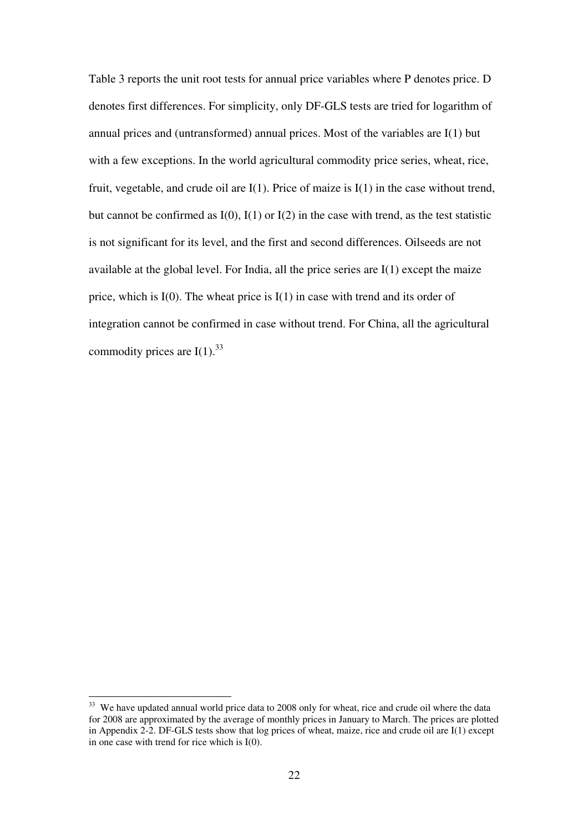Table 3 reports the unit root tests for annual price variables where P denotes price. D denotes first differences. For simplicity, only DF-GLS tests are tried for logarithm of annual prices and (untransformed) annual prices. Most of the variables are I(1) but with a few exceptions. In the world agricultural commodity price series, wheat, rice, fruit, vegetable, and crude oil are I(1). Price of maize is I(1) in the case without trend, but cannot be confirmed as  $I(0)$ ,  $I(1)$  or  $I(2)$  in the case with trend, as the test statistic is not significant for its level, and the first and second differences. Oilseeds are not available at the global level. For India, all the price series are I(1) except the maize price, which is I(0). The wheat price is I(1) in case with trend and its order of integration cannot be confirmed in case without trend. For China, all the agricultural commodity prices are  $I(1)$ .<sup>33</sup>

 $33$  We have updated annual world price data to 2008 only for wheat, rice and crude oil where the data for 2008 are approximated by the average of monthly prices in January to March. The prices are plotted in Appendix 2-2. DF-GLS tests show that log prices of wheat, maize, rice and crude oil are I(1) except in one case with trend for rice which is I(0).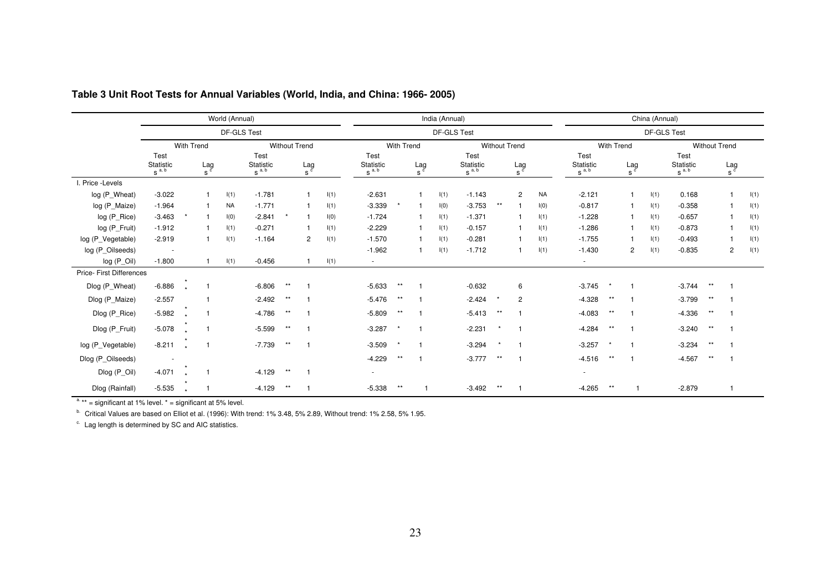|                          |                                 |            |                   | World (Annual)     |                                 |       |                      |      |                                 |            |                   | India (Annual)     |                                 |         |                                          |           |                                 |                   |                   | China (Annual)     |                                 |                      |                   |      |
|--------------------------|---------------------------------|------------|-------------------|--------------------|---------------------------------|-------|----------------------|------|---------------------------------|------------|-------------------|--------------------|---------------------------------|---------|------------------------------------------|-----------|---------------------------------|-------------------|-------------------|--------------------|---------------------------------|----------------------|-------------------|------|
|                          |                                 |            |                   | <b>DF-GLS Test</b> |                                 |       |                      |      |                                 |            |                   | <b>DF-GLS Test</b> |                                 |         |                                          |           |                                 |                   |                   | <b>DF-GLS Test</b> |                                 |                      |                   |      |
|                          |                                 | With Trend |                   |                    |                                 |       | <b>Without Trend</b> |      |                                 | With Trend |                   |                    |                                 |         | <b>Without Trend</b>                     |           |                                 | <b>With Trend</b> |                   |                    |                                 | <b>Without Trend</b> |                   |      |
|                          | Test<br>Statistic<br>$s^{a, b}$ |            | $\frac{Lag}{s^c}$ |                    | Test<br>Statistic<br>$s^{a, b}$ |       | $\frac{Lag}{s^c}$    |      | Test<br>Statistic<br>$s^{a, b}$ |            | $\frac{Lag}{s^c}$ |                    | Test<br>Statistic<br>$s^{a, b}$ |         | $\frac{\text{Lag}}{\text{s}^{\text{c}}}$ |           | Test<br>Statistic<br>$s^{a, b}$ |                   | $\frac{Lag}{s^c}$ |                    | Test<br>Statistic<br>$s^{a, b}$ |                      | $\frac{Lag}{s^c}$ |      |
| I. Price - Levels        |                                 |            |                   |                    |                                 |       |                      |      |                                 |            |                   |                    |                                 |         |                                          |           |                                 |                   |                   |                    |                                 |                      |                   |      |
| log (P_Wheat)            | $-3.022$                        | -1         |                   | I(1)               | $-1.781$                        |       | -1                   | I(1) | $-2.631$                        |            |                   | I(1)               | $-1.143$                        |         | $\overline{2}$                           | <b>NA</b> | $-2.121$                        |                   |                   | I(1)               | 0.168                           |                      |                   | I(1) |
| log (P_Maize)            | $-1.964$                        |            |                   | <b>NA</b>          | $-1.771$                        |       |                      | I(1) | $-3.339$                        |            |                   | I(0)               | $-3.753$                        | $***$   |                                          | I(0)      | $-0.817$                        |                   |                   | I(1)               | $-0.358$                        |                      |                   | I(1) |
| log (P_Rice)             | $-3.463$                        |            |                   | I(0)               | $-2.841$                        |       |                      | I(0) | $-1.724$                        |            |                   | I(1)               | $-1.371$                        |         |                                          | I(1)      | $-1.228$                        |                   |                   | I(1)               | $-0.657$                        |                      |                   | I(1) |
| log (P_Fruit)            | $-1.912$                        |            |                   | I(1)               | $-0.271$                        |       |                      | I(1) | $-2.229$                        |            |                   | I(1)               | $-0.157$                        |         |                                          | I(1)      | $-1.286$                        |                   |                   | I(1)               | $-0.873$                        |                      |                   | I(1) |
| log (P_Vegetable)        | $-2.919$                        |            |                   | I(1)               | $-1.164$                        |       | $\overline{c}$       | I(1) | $-1.570$                        |            |                   | I(1)               | $-0.281$                        |         |                                          | I(1)      | $-1.755$                        |                   |                   | I(1)               | $-0.493$                        |                      |                   | I(1) |
| log (P_Oilseeds)         |                                 |            |                   |                    |                                 |       |                      |      | $-1.962$                        |            | -1                | I(1)               | $-1.712$                        |         |                                          | I(1)      | $-1.430$                        |                   | $\overline{c}$    | I(1)               | $-0.835$                        |                      | 2                 | I(1) |
| log (P_Oil)              | $-1.800$                        | -1         |                   | I(1)               | $-0.456$                        |       | $\mathbf{1}$         | I(1) | $\sim$                          |            |                   |                    |                                 |         |                                          |           | $\overline{\phantom{a}}$        |                   |                   |                    |                                 |                      |                   |      |
| Price- First Differences |                                 |            |                   |                    |                                 |       |                      |      |                                 |            |                   |                    |                                 |         |                                          |           |                                 |                   |                   |                    |                                 |                      |                   |      |
| Dlog (P_Wheat)           | $-6.886$                        |            |                   |                    | $-6.806$                        | $***$ |                      |      | $-5.633$                        | $***$      |                   |                    | $-0.632$                        |         | 6                                        |           | $-3.745$                        | $\star$           |                   |                    | $-3.744$                        | $***$                |                   |      |
| Dlog (P_Maize)           | $-2.557$                        |            |                   |                    | $-2.492$                        | $***$ |                      |      | $-5.476$                        | $***$      |                   |                    | $-2.424$                        |         | $\overline{2}$                           |           | $-4.328$                        | $***$             |                   |                    | $-3.799$                        | $^{\star\star}$      |                   |      |
| Dlog (P_Rice)            | $-5.982$                        |            |                   |                    | $-4.786$                        | $***$ |                      |      | $-5.809$                        | $***$      |                   |                    | $-5.413$                        | $***$   |                                          |           | $-4.083$                        | $***$             |                   |                    | $-4.336$                        | $***$                |                   |      |
| Dlog (P_Fruit)           | $-5.078$                        |            |                   |                    | $-5.599$                        | $***$ |                      |      | $-3.287$                        |            |                   |                    | $-2.231$                        | $\star$ |                                          |           | $-4.284$                        | $***$             |                   |                    | $-3.240$                        | $***$                |                   |      |
| log (P_Vegetable)        | $-8.211$                        |            |                   |                    | $-7.739$                        | $***$ | $\overline{1}$       |      | $-3.509$                        |            |                   |                    | $-3.294$                        | $\star$ |                                          |           | $-3.257$                        |                   |                   |                    | $-3.234$                        | $***$                |                   |      |
| Dlog (P_Oilseeds)        | $\overline{\phantom{a}}$        |            |                   |                    |                                 |       |                      |      | $-4.229$                        | $***$      |                   |                    | $-3.777$                        | $***$   |                                          |           | $-4.516$                        | $***$             |                   |                    | $-4.567$                        | $***$                |                   |      |
| Dlog (P_Oil)             | $-4.071$                        |            |                   |                    | $-4.129$                        | $***$ |                      |      |                                 |            |                   |                    |                                 |         |                                          |           |                                 |                   |                   |                    |                                 |                      |                   |      |
| Dlog (Rainfall)          | $-5.535$                        |            |                   |                    | $-4.129$                        | $***$ |                      |      | $-5.338$                        | $***$      |                   |                    | $-3.492$                        | $***$   |                                          |           | $-4.265$                        | $***$             |                   |                    | $-2.879$                        |                      |                   |      |

# **Table 3 Unit Root Tests for Annual Variables (World, India, and China: 1966- 2005)**

 $a.**$  = significant at 1% level.  $*$  = significant at 5% level.

 $^{\rm b.}$  Critical Values are based on Elliot et al. (1996): With trend: 1% 3.48, 5% 2.89, Without trend: 1% 2.58, 5% 1.95.

c. Lag length is determined by SC and AIC statistics.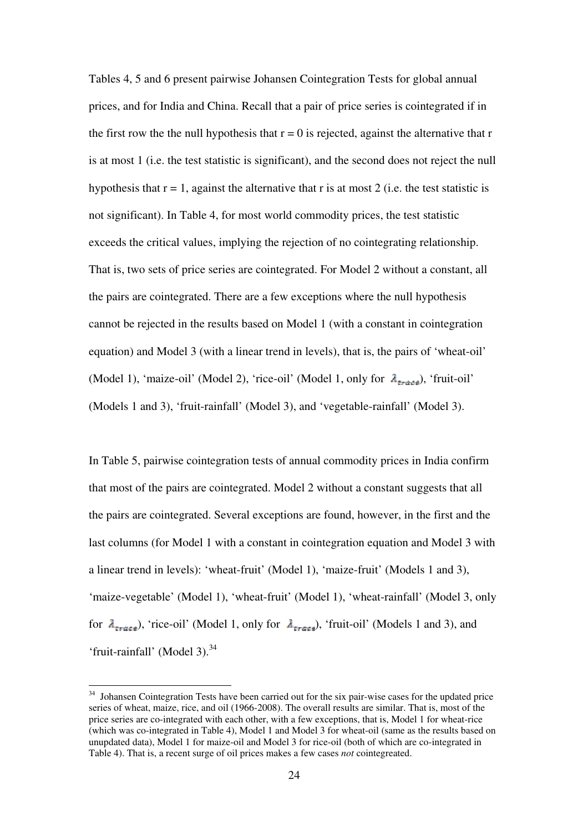Tables 4, 5 and 6 present pairwise Johansen Cointegration Tests for global annual prices, and for India and China. Recall that a pair of price series is cointegrated if in the first row the the null hypothesis that  $r = 0$  is rejected, against the alternative that r is at most 1 (i.e. the test statistic is significant), and the second does not reject the null hypothesis that  $r = 1$ , against the alternative that r is at most 2 (i.e. the test statistic is not significant). In Table 4, for most world commodity prices, the test statistic exceeds the critical values, implying the rejection of no cointegrating relationship. That is, two sets of price series are cointegrated. For Model 2 without a constant, all the pairs are cointegrated. There are a few exceptions where the null hypothesis cannot be rejected in the results based on Model 1 (with a constant in cointegration equation) and Model 3 (with a linear trend in levels), that is, the pairs of 'wheat-oil' (Model 1), 'maize-oil' (Model 2), 'rice-oil' (Model 1, only for  $\lambda_{\text{trace}}$ ), 'fruit-oil' (Models 1 and 3), 'fruit-rainfall' (Model 3), and 'vegetable-rainfall' (Model 3).

In Table 5, pairwise cointegration tests of annual commodity prices in India confirm that most of the pairs are cointegrated. Model 2 without a constant suggests that all the pairs are cointegrated. Several exceptions are found, however, in the first and the last columns (for Model 1 with a constant in cointegration equation and Model 3 with a linear trend in levels): 'wheat-fruit' (Model 1), 'maize-fruit' (Models 1 and 3), 'maize-vegetable' (Model 1), 'wheat-fruit' (Model 1), 'wheat-rainfall' (Model 3, only for  $\lambda_{\text{praces}}$ , 'rice-oil' (Model 1, only for  $\lambda_{\text{praces}}$ ), 'fruit-oil' (Models 1 and 3), and 'fruit-rainfall' (Model 3).<sup>34</sup>

<sup>&</sup>lt;sup>34</sup> Johansen Cointegration Tests have been carried out for the six pair-wise cases for the updated price series of wheat, maize, rice, and oil (1966-2008). The overall results are similar. That is, most of the price series are co-integrated with each other, with a few exceptions, that is, Model 1 for wheat-rice (which was co-integrated in Table 4), Model 1 and Model 3 for wheat-oil (same as the results based on unupdated data), Model 1 for maize-oil and Model 3 for rice-oil (both of which are co-integrated in Table 4). That is, a recent surge of oil prices makes a few cases *not* cointegreated.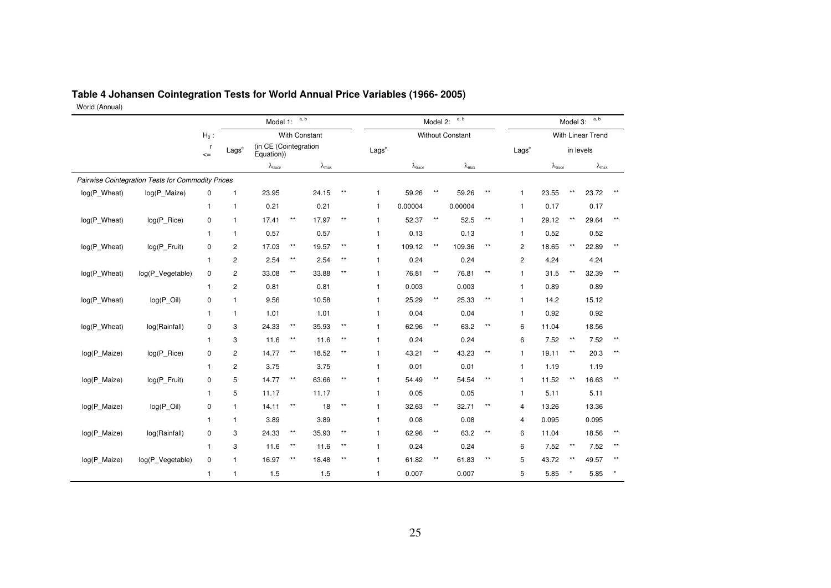# **Table 4 Johansen Cointegration Tests for World Annual Price Variables (1966- 2005)**

World (Annual)

|              |                                                   |                  |                            | Model 1:                            |                 | a, b                   |                 |                   |                          | Model 2:        | a, b                    |              |                   |                          | Model 3:        | a, b              |                 |
|--------------|---------------------------------------------------|------------------|----------------------------|-------------------------------------|-----------------|------------------------|-----------------|-------------------|--------------------------|-----------------|-------------------------|--------------|-------------------|--------------------------|-----------------|-------------------|-----------------|
|              |                                                   | $\mathsf{H}_0$ : |                            |                                     |                 | With Constant          |                 |                   |                          |                 | <b>Without Constant</b> |              |                   |                          |                 | With Linear Trend |                 |
|              |                                                   | - r<br>$\leq$    | $\mathsf{Lags}^\mathsf{c}$ | (in CE (Cointegration<br>Equation)) |                 |                        |                 | Lags <sup>c</sup> |                          |                 |                         |              | Lags <sup>c</sup> |                          |                 | in levels         |                 |
|              |                                                   |                  |                            | $\lambda_{\text{trace}}$            |                 | $\lambda_{\text{max}}$ |                 |                   | $\lambda_{\text{trace}}$ |                 | $\lambda_{\text{max}}$  |              |                   | $\lambda_{\text{trace}}$ |                 | $\lambda_{max}$   |                 |
|              | Pairwise Cointegration Tests for Commodity Prices |                  |                            |                                     |                 |                        |                 |                   |                          |                 |                         |              |                   |                          |                 |                   |                 |
| log(P_Wheat) | log(P_Maize)                                      | $\mathbf 0$      | $\mathbf{1}$               | 23.95                               |                 | 24.15                  | $***$           | $\mathbf{1}$      | 59.26                    | $***$           | 59.26                   | $***$        | $\mathbf{1}$      | 23.55                    | $***$           | 23.72             | $^{\star\star}$ |
|              |                                                   | 1                | $\mathbf{1}$               | 0.21                                |                 | 0.21                   |                 | $\mathbf{1}$      | 0.00004                  |                 | 0.00004                 |              | 1                 | 0.17                     |                 | 0.17              |                 |
| log(P_Wheat) | log(P_Rice)                                       | $\pmb{0}$        | $\mathbf{1}$               | 17.41                               | $^{\star\star}$ | 17.97                  | $^{\star\star}$ | $\mathbf{1}$      | 52.37                    | $^{\star\star}$ | 52.5                    | $\star\star$ | $\mathbf{1}$      | 29.12                    | $***$           | 29.64             | $^{\star\star}$ |
|              |                                                   | $\mathbf{1}$     | $\mathbf{1}$               | 0.57                                |                 | 0.57                   |                 | $\mathbf{1}$      | 0.13                     |                 | 0.13                    |              | $\mathbf{1}$      | 0.52                     |                 | 0.52              |                 |
| log(P_Wheat) | log(P_Fruit)                                      | $\mathbf 0$      | $\overline{c}$             | 17.03                               | $^{\star\star}$ | 19.57                  | $^{\star\star}$ | $\mathbf{1}$      | 109.12                   | $^{\star\star}$ | 109.36                  | $***$        | $\overline{c}$    | 18.65                    | $***$           | 22.89             | $^{\star\star}$ |
|              |                                                   | 1                | $\overline{\mathbf{c}}$    | 2.54                                | $^{\star\star}$ | 2.54                   | $***$           | $\mathbf{1}$      | 0.24                     |                 | 0.24                    |              | $\overline{c}$    | 4.24                     |                 | 4.24              |                 |
| log(P_Wheat) | log(P_Vegetable)                                  | $\pmb{0}$        | $\mathbf{2}$               | 33.08                               | $^{\star\star}$ | 33.88                  | $***$           | $\mathbf{1}$      | 76.81                    | $^{\star\star}$ | 76.81                   | $***$        | 1                 | 31.5                     | $^{\star\star}$ | 32.39             | $^{\star\star}$ |
|              |                                                   | 1                | $\overline{c}$             | 0.81                                |                 | 0.81                   |                 | $\mathbf{1}$      | 0.003                    |                 | 0.003                   |              | 1                 | 0.89                     |                 | 0.89              |                 |
| log(P_Wheat) | $log(P_$ Oil)                                     | $\pmb{0}$        | $\mathbf{1}$               | 9.56                                |                 | 10.58                  |                 | $\mathbf{1}$      | 25.29                    | $^{\star\star}$ | 25.33                   | $***$        | $\mathbf{1}$      | 14.2                     |                 | 15.12             |                 |
|              |                                                   | 1                | 1                          | 1.01                                |                 | 1.01                   |                 | $\mathbf{1}$      | 0.04                     |                 | 0.04                    |              | $\mathbf{1}$      | 0.92                     |                 | 0.92              |                 |
| log(P_Wheat) | log(Rainfall)                                     | $\mathbf 0$      | 3                          | 24.33                               | $^{\star\star}$ | 35.93                  | $***$           | $\mathbf{1}$      | 62.96                    | $^{\star\star}$ | 63.2                    | $***$        | 6                 | 11.04                    |                 | 18.56             |                 |
|              |                                                   | 1                | 3                          | 11.6                                | $^{\star\star}$ | 11.6                   | $^{\star\star}$ | $\mathbf{1}$      | 0.24                     |                 | 0.24                    |              | 6                 | 7.52                     | $***$           | 7.52              | $^{\star\star}$ |
| log(P_Maize) | log(P_Rice)                                       | $\pmb{0}$        | $\overline{\mathbf{c}}$    | 14.77                               | $^{\star\star}$ | 18.52                  | $^{\star\star}$ | $\mathbf{1}$      | 43.21                    | $^{\star\star}$ | 43.23                   | $***$        | $\mathbf{1}$      | 19.11                    | $^{\star\star}$ | 20.3              | $***$           |
|              |                                                   | 1                | $\mathbf 2$                | 3.75                                |                 | 3.75                   |                 | $\mathbf{1}$      | 0.01                     |                 | 0.01                    |              | $\mathbf{1}$      | 1.19                     |                 | 1.19              |                 |
| log(P_Maize) | log(P_Fruit)                                      | $\pmb{0}$        | 5                          | 14.77                               | $^{\star\star}$ | 63.66                  | $***$           | $\mathbf{1}$      | 54.49                    | $^{\star\star}$ | 54.54                   | $***$        | $\mathbf{1}$      | 11.52                    | $***$           | 16.63             | $\star\star$    |
|              |                                                   | 1                | 5                          | 11.17                               |                 | 11.17                  |                 | $\mathbf{1}$      | 0.05                     |                 | 0.05                    |              | $\mathbf{1}$      | 5.11                     |                 | 5.11              |                 |
| log(P_Maize) | $log(P_$ Oil)                                     | $\mathbf 0$      | $\mathbf{1}$               | 14.11                               | $^{\star\star}$ | 18                     | $^{\star\star}$ | $\mathbf{1}$      | 32.63                    | $^{\star\star}$ | 32.71                   | $\star\star$ | 4                 | 13.26                    |                 | 13.36             |                 |
|              |                                                   | 1                | $\mathbf{1}$               | 3.89                                |                 | 3.89                   |                 | $\mathbf{1}$      | 0.08                     |                 | 0.08                    |              | 4                 | 0.095                    |                 | 0.095             |                 |
| log(P_Maize) | log(Rainfall)                                     | $\pmb{0}$        | 3                          | 24.33                               | $^{\star\star}$ | 35.93                  | $***$           | $\mathbf{1}$      | 62.96                    | $^{\star\star}$ | 63.2                    | $***$        | 6                 | 11.04                    |                 | 18.56             | $^{\star\star}$ |
|              |                                                   | 1                | 3                          | 11.6                                | $^{\star\star}$ | 11.6                   | $***$           | $\mathbf{1}$      | 0.24                     |                 | 0.24                    |              | 6                 | 7.52                     | $\star\star$    | 7.52              | $^{\star\star}$ |
| log(P_Maize) | log(P_Vegetable)                                  | $\pmb{0}$        | $\mathbf{1}$               | 16.97                               | $^{\star\star}$ | 18.48                  | $^{\star\star}$ | $\mathbf{1}$      | 61.82                    | $^{\star\star}$ | 61.83                   | $\star\star$ | 5                 | 43.72                    | $\star\star$    | 49.57             | $\star\star$    |
|              |                                                   | 1                | 1                          | 1.5                                 |                 | 1.5                    |                 | $\mathbf{1}$      | 0.007                    |                 | 0.007                   |              | 5                 | 5.85                     | $\star$         | 5.85              | $\star$         |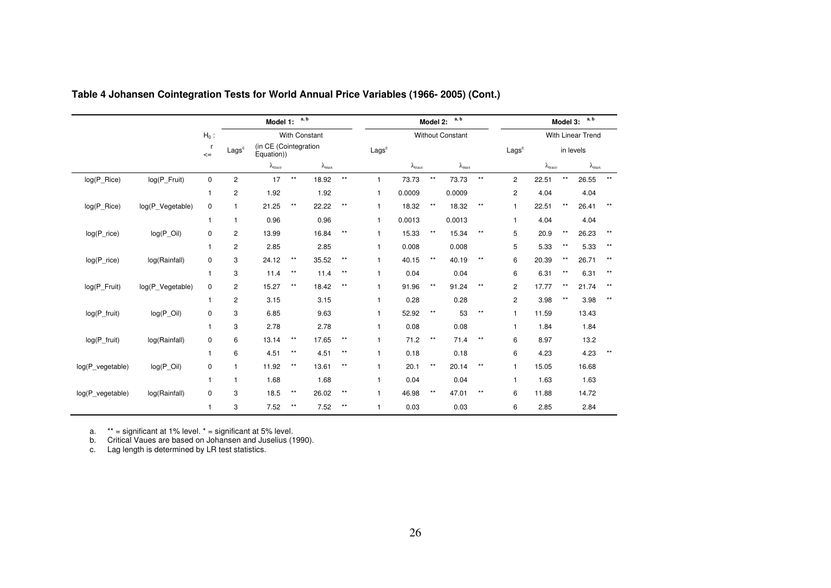|                   |                  |                |                              | Model 1:                            |                 | a, b                   |              |                              |                          | Model 2:        | a, b                    |                 |                   |                          |                 | Model 3: $a, b$        |              |
|-------------------|------------------|----------------|------------------------------|-------------------------------------|-----------------|------------------------|--------------|------------------------------|--------------------------|-----------------|-------------------------|-----------------|-------------------|--------------------------|-----------------|------------------------|--------------|
|                   |                  | $H_0$ :        |                              |                                     |                 | With Constant          |              |                              |                          |                 | <b>Without Constant</b> |                 |                   |                          |                 | With Linear Trend      |              |
|                   |                  | r,<br>$\leq$   | $\mathsf{Lags}^{\mathsf{c}}$ | (in CE (Cointegration<br>Equation)) |                 |                        |              | $\mathsf{Lags}^{\mathsf{c}}$ |                          |                 |                         |                 | Lags <sup>c</sup> |                          |                 | in levels              |              |
|                   |                  |                |                              | $\lambda_{\text{trace}}$            |                 | $\lambda_{\text{max}}$ |              |                              | $\lambda_{\text{trace}}$ |                 | $\lambda_{\text{max}}$  |                 |                   | $\lambda_{\text{trace}}$ |                 | $\lambda_{\text{max}}$ |              |
| log(P_Rice)       | log(P_Fruit)     | $\mathbf 0$    | $\overline{c}$               | 17                                  | $^{\star\star}$ | 18.92                  | $\star\star$ | $\mathbf{1}$                 | 73.73                    | $^{\star\star}$ | 73.73                   | $^{\star\star}$ | $\overline{c}$    | 22.51                    | $\star\star$    | 26.55                  | $***$        |
|                   |                  | 1              | 2                            | 1.92                                |                 | 1.92                   |              | 1                            | 0.0009                   |                 | 0.0009                  |                 | 2                 | 4.04                     |                 | 4.04                   |              |
| log(P_Rice)       | log(P_Vegetable) | $\mathbf 0$    | 1                            | 21.25                               | $***$           | 22.22                  | $***$        | 1                            | 18.32                    | $***$           | 18.32                   | $^{\star\star}$ | $\mathbf{1}$      | 22.51                    | $***$           | 26.41                  | $\star\star$ |
|                   |                  | $\overline{1}$ | 1                            | 0.96                                |                 | 0.96                   |              | $\mathbf{1}$                 | 0.0013                   |                 | 0.0013                  |                 | $\mathbf{1}$      | 4.04                     |                 | 4.04                   |              |
| $log(P_{circle})$ | log(P_Oil)       | 0              | 2                            | 13.99                               |                 | 16.84                  | $\star\star$ | 1                            | 15.33                    | $***$           | 15.34                   | $\star\star$    | 5                 | 20.9                     | $***$           | 26.23                  | $\star\star$ |
|                   |                  | 1              | 2                            | 2.85                                |                 | 2.85                   |              |                              | 0.008                    |                 | 0.008                   |                 | 5                 | 5.33                     | $\star\star$    | 5.33                   | $\star\star$ |
| log(P_rice)       | log(Rainfall)    | $\mathbf 0$    | 3                            | 24.12                               | $***$           | 35.52                  | $***$        | 1                            | 40.15                    | $***$           | 40.19                   | $***$           | 6                 | 20.39                    | $^{\star\star}$ | 26.71                  | $***$        |
|                   |                  | 1              | 3                            | 11.4                                | $^{\star\star}$ | 11.4                   | $***$        | 1                            | 0.04                     |                 | 0.04                    |                 | 6                 | 6.31                     | $^{\star\star}$ | 6.31                   | $\star\star$ |
| log(P_Fruit)      | log(P_Vegetable) | $\mathbf 0$    | 2                            | 15.27                               | $^{\star\star}$ | 18.42                  | $***$        |                              | 91.96                    | $***$           | 91.24                   | $***$           | 2                 | 17.77                    | $***$           | 21.74                  | $\star\star$ |
|                   |                  | 1              | 2                            | 3.15                                |                 | 3.15                   |              | 1                            | 0.28                     |                 | 0.28                    |                 | $\sqrt{2}$        | 3.98                     | $\star\star$    | 3.98                   | $\star\star$ |
| log(P_fruit)      | log(P_Oil)       | $\mathbf 0$    | 3                            | 6.85                                |                 | 9.63                   |              | 1                            | 52.92                    | $***$           | 53                      | $***$           | $\mathbf{1}$      | 11.59                    |                 | 13.43                  |              |
|                   |                  | 1              | 3                            | 2.78                                |                 | 2.78                   |              | $\overline{1}$               | 0.08                     |                 | 0.08                    |                 | $\mathbf{1}$      | 1.84                     |                 | 1.84                   |              |
| $log(P$ fruit)    | log(Rainfall)    | $\mathbf 0$    | 6                            | 13.14                               | $***$           | 17.65                  | $***$        | 1                            | 71.2                     | $***$           | 71.4                    | $***$           | 6                 | 8.97                     |                 | 13.2                   |              |
|                   |                  | $\mathbf{1}$   | 6                            | 4.51                                | $***$           | 4.51                   | $***$        | 1                            | 0.18                     |                 | 0.18                    |                 | 6                 | 4.23                     |                 | 4.23                   | $\star\star$ |
| log(P_vegetable)  | log(P_Oil)       | $\mathbf 0$    | 1                            | 11.92                               | $***$           | 13.61                  | $***$        | 1                            | 20.1                     | $***$           | 20.14                   | $***$           | $\mathbf{1}$      | 15.05                    |                 | 16.68                  |              |
|                   |                  | 1              | 1                            | 1.68                                |                 | 1.68                   |              | 1                            | 0.04                     |                 | 0.04                    |                 | $\mathbf{1}$      | 1.63                     |                 | 1.63                   |              |
| log(P_vegetable)  | log(Rainfall)    | $\mathbf 0$    | 3                            | 18.5                                | $***$           | 26.02                  | $***$        | 1                            | 46.98                    | $***$           | 47.01                   | $***$           | 6                 | 11.88                    |                 | 14.72                  |              |
|                   |                  | 1              | 3                            | 7.52                                | $^{\star\star}$ | 7.52                   | $***$        | 1                            | 0.03                     |                 | 0.03                    |                 | 6                 | 2.85                     |                 | 2.84                   |              |

**Table 4 Johansen Cointegration Tests for World Annual Price Variables (1966- 2005) (Cont.)** 

a. \*\* = significant at 1% level. \* = significant at 5% level. b. Critical Vaues are based on Johansen and Juselius (1990). c. Lag length is determined by LR test statistics.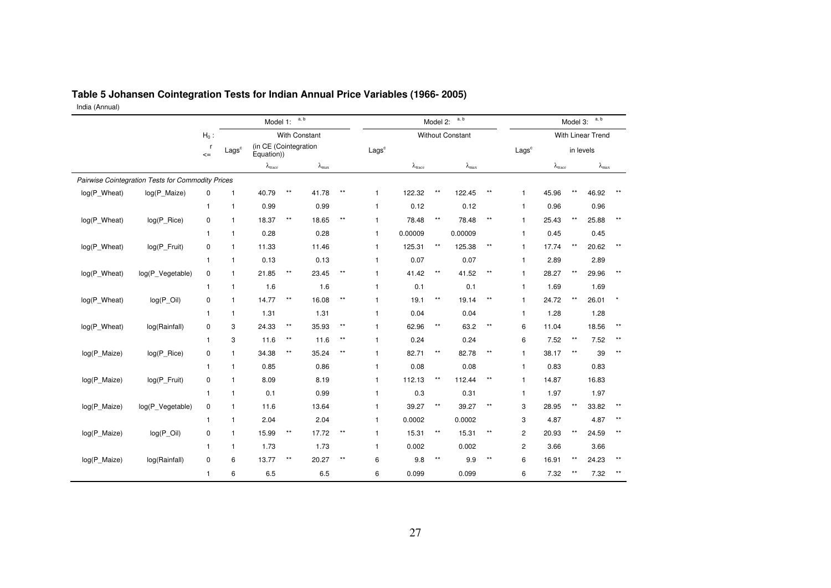# **Table 5 Johansen Cointegration Tests for Indian Annual Price Variables (1966- 2005)**

India (Annual)

|              |                                                   |               |                            | Model 1:                            |                 | a, b                   |                 |                   |                          |                 | Model 2: $a, b$        |              |                              |                          | Model 3:        | a, b                   |                 |
|--------------|---------------------------------------------------|---------------|----------------------------|-------------------------------------|-----------------|------------------------|-----------------|-------------------|--------------------------|-----------------|------------------------|--------------|------------------------------|--------------------------|-----------------|------------------------|-----------------|
|              |                                                   | $H_0$ :       |                            |                                     |                 | With Constant          |                 |                   |                          |                 | Without Constant       |              |                              |                          |                 | With Linear Trend      |                 |
|              |                                                   | - r<br>$\leq$ | $\mathsf{Lags}^\mathsf{c}$ | (in CE (Cointegration<br>Equation)) |                 |                        |                 | Lags <sup>c</sup> |                          |                 |                        |              | $\mathsf{Lags}^{\mathsf{c}}$ |                          |                 | in levels              |                 |
|              |                                                   |               |                            | $\lambda_{\text{trace}}$            |                 | $\lambda_{\text{max}}$ |                 |                   | $\lambda_{\text{trace}}$ |                 | $\lambda_{\text{max}}$ |              |                              | $\lambda_{\text{trace}}$ |                 | $\lambda_{\text{max}}$ |                 |
|              | Pairwise Cointegration Tests for Commodity Prices |               |                            |                                     |                 |                        |                 |                   |                          |                 |                        |              |                              |                          |                 |                        |                 |
| log(P_Wheat) | log(P_Maize)                                      | 0             | $\mathbf{1}$               | 40.79                               | $^{\star\star}$ | 41.78                  | $***$           | $\mathbf{1}$      | 122.32                   | $***$           | 122.45                 | $***$        | $\mathbf{1}$                 | 45.96                    |                 | 46.92                  | $***$           |
|              |                                                   | $\mathbf{1}$  | 1                          | 0.99                                |                 | 0.99                   |                 | $\mathbf{1}$      | 0.12                     |                 | 0.12                   |              | 1                            | 0.96                     |                 | 0.96                   |                 |
| log(P_Wheat) | log(P_Rice)                                       | $\mathbf 0$   | $\mathbf{1}$               | 18.37                               | $\star\star$    | 18.65                  | $***$           | $\mathbf{1}$      | 78.48                    | $^{\star\star}$ | 78.48                  | $\star\star$ | $\mathbf{1}$                 | 25.43                    | $***$           | 25.88                  | $\star\star$    |
|              |                                                   | $\mathbf{1}$  | 1                          | 0.28                                |                 | 0.28                   |                 | $\mathbf{1}$      | 0.00009                  |                 | 0.00009                |              | 1                            | 0.45                     |                 | 0.45                   |                 |
| log(P_Wheat) | log(P_Fruit)                                      | $\mathbf 0$   | $\mathbf{1}$               | 11.33                               |                 | 11.46                  |                 | $\mathbf{1}$      | 125.31                   | $\star\star$    | 125.38                 | $\star\star$ | $\mathbf{1}$                 | 17.74                    | $***$           | 20.62                  | $***$           |
|              |                                                   | $\mathbf{1}$  | $\mathbf{1}$               | 0.13                                |                 | 0.13                   |                 | $\mathbf{1}$      | 0.07                     |                 | 0.07                   |              | 1                            | 2.89                     |                 | 2.89                   |                 |
| log(P Wheat) | log(P_Vegetable)                                  | $\mathbf 0$   | $\mathbf{1}$               | 21.85                               | $^{\star\star}$ | 23.45                  | $***$           | $\mathbf{1}$      | 41.42                    | $^{\star\star}$ | 41.52                  | $***$        | $\mathbf{1}$                 | 28.27                    |                 | 29.96                  | $^{\star\star}$ |
|              |                                                   | 1             | 1                          | 1.6                                 |                 | 1.6                    |                 | $\mathbf{1}$      | 0.1                      |                 | 0.1                    |              | $\mathbf{1}$                 | 1.69                     |                 | 1.69                   |                 |
| log(P Wheat) | $log(P_0i)$                                       | $\mathbf 0$   | $\mathbf{1}$               | 14.77                               | $^{\star\star}$ | 16.08                  | $***$           | $\mathbf{1}$      | 19.1                     | $***$           | 19.14                  | $***$        | 1                            | 24.72                    | $***$           | 26.01                  |                 |
|              |                                                   | $\mathbf{1}$  | 1                          | 1.31                                |                 | 1.31                   |                 | $\mathbf{1}$      | 0.04                     |                 | 0.04                   |              | $\mathbf{1}$                 | 1.28                     |                 | 1.28                   |                 |
| log(P_Wheat) | log(Rainfall)                                     | $\mathbf 0$   | 3                          | 24.33                               | $^{\star\star}$ | 35.93                  | $^{\star\star}$ | $\mathbf{1}$      | 62.96                    | $^{\star\star}$ | 63.2                   | $***$        | 6                            | 11.04                    |                 | 18.56                  | $^{\star\star}$ |
|              |                                                   | $\mathbf{1}$  | 3                          | 11.6                                | $\star\star$    | 11.6                   | $\star\star$    | $\mathbf{1}$      | 0.24                     |                 | 0.24                   |              | 6                            | 7.52                     | $***$           | 7.52                   | $^{\star\star}$ |
| log(P_Maize) | log(P_Rice)                                       | $\mathbf 0$   | 1                          | 34.38                               | $\star\,\star$  | 35.24                  | $\star\star$    | $\mathbf{1}$      | 82.71                    | $^{\star\star}$ | 82.78                  | $***$        | $\mathbf{1}$                 | 38.17                    | $^{\star\star}$ | 39                     | $\star\star$    |
|              |                                                   | $\mathbf{1}$  | $\mathbf{1}$               | 0.85                                |                 | 0.86                   |                 | $\mathbf{1}$      | 0.08                     |                 | 0.08                   |              | 1                            | 0.83                     |                 | 0.83                   |                 |
| log(P_Maize) | log(P_Fruit)                                      | $\mathbf 0$   | $\mathbf{1}$               | 8.09                                |                 | 8.19                   |                 | $\mathbf{1}$      | 112.13                   | $^{\star\star}$ | 112.44                 | $***$        | $\mathbf{1}$                 | 14.87                    |                 | 16.83                  |                 |
|              |                                                   | $\mathbf{1}$  | 1                          | 0.1                                 |                 | 0.99                   |                 | $\mathbf{1}$      | 0.3                      |                 | 0.31                   |              | $\mathbf{1}$                 | 1.97                     |                 | 1.97                   |                 |
| log(P Maize) | log(P Vegetable)                                  | $\mathbf 0$   | $\mathbf{1}$               | 11.6                                |                 | 13.64                  |                 | $\mathbf{1}$      | 39.27                    | $***$           | 39.27                  | $\star\star$ | 3                            | 28.95                    |                 | 33.82                  | $***$           |
|              |                                                   | $\mathbf{1}$  | $\mathbf{1}$               | 2.04                                |                 | 2.04                   |                 | $\mathbf{1}$      | 0.0002                   |                 | 0.0002                 |              | 3                            | 4.87                     |                 | 4.87                   | $^{\star\star}$ |
| log(P_Maize) | $log(P_0i)$                                       | $\mathbf 0$   | $\mathbf{1}$               | 15.99                               | $\star\star$    | 17.72                  | $***$           | $\mathbf{1}$      | 15.31                    | $^{\star\star}$ | 15.31                  | $\star\star$ | $\mathbf{2}$                 | 20.93                    |                 | 24.59                  | $\star\star$    |
|              |                                                   | $\mathbf{1}$  | 1                          | 1.73                                |                 | 1.73                   |                 | $\mathbf{1}$      | 0.002                    |                 | 0.002                  |              | $\overline{c}$               | 3.66                     |                 | 3.66                   |                 |
| log(P_Maize) | log(Rainfall)                                     | $\mathbf 0$   | 6                          | 13.77                               | $^{\star\star}$ | 20.27                  | $***$           | 6                 | 9.8                      | $^{\star\star}$ | 9.9                    | $\star\star$ | 6                            | 16.91                    | $***$           | 24.23                  | $^{\star\star}$ |
|              |                                                   | 1             | 6                          | 6.5                                 |                 | 6.5                    |                 | 6                 | 0.099                    |                 | 0.099                  |              | 6                            | 7.32                     | $***$           | 7.32                   | $^{\star\star}$ |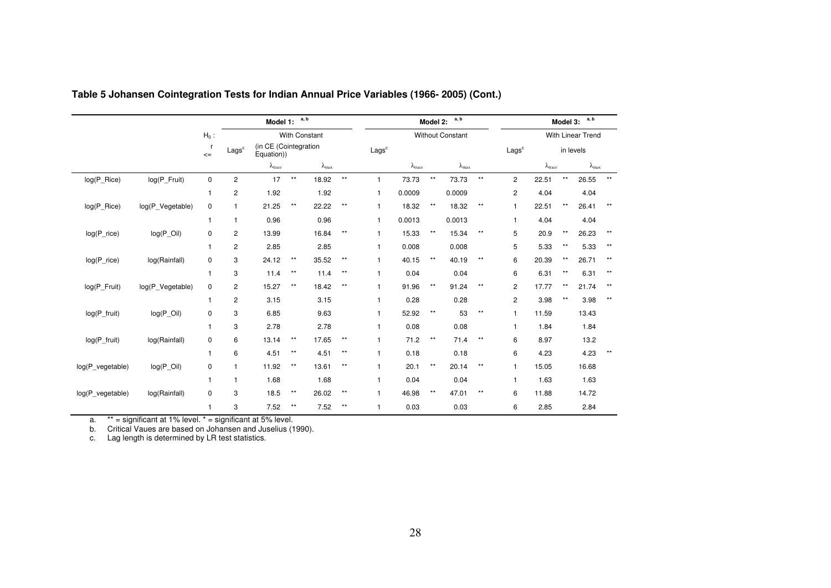|                  |                  |                |                   | Model 1: $a, b$                     |                 |                        |                 |                   |                          | Model 2:        | a, b                    |                 |                   |                          |              | Model 3: $a, b$        |              |
|------------------|------------------|----------------|-------------------|-------------------------------------|-----------------|------------------------|-----------------|-------------------|--------------------------|-----------------|-------------------------|-----------------|-------------------|--------------------------|--------------|------------------------|--------------|
|                  |                  | $H_0$ :        |                   |                                     |                 | <b>With Constant</b>   |                 |                   |                          |                 | <b>Without Constant</b> |                 |                   |                          |              | With Linear Trend      |              |
|                  |                  | r<br>$\leq$    | Lags <sup>c</sup> | (in CE (Cointegration<br>Equation)) |                 |                        |                 | Lags <sup>c</sup> |                          |                 |                         |                 | Lags <sup>c</sup> |                          |              | in levels              |              |
|                  |                  |                |                   | $\lambda_{\text{trace}}$            |                 | $\lambda_{\text{max}}$ |                 |                   | $\lambda_{\text{trace}}$ |                 | $\lambda_{\text{max}}$  |                 |                   | $\lambda_{\text{trace}}$ |              | $\lambda_{\text{max}}$ |              |
| log(P_Rice)      | log(P_Fruit)     | 0              | $\overline{c}$    | 17                                  | $^{\star\star}$ | 18.92                  | $^{\star\star}$ | $\mathbf{1}$      | 73.73                    | $^{\star\star}$ | 73.73                   | $^{\star\star}$ | $\overline{c}$    | 22.51                    | $\star\star$ | 26.55                  | $***$        |
|                  |                  | 1              | $\overline{c}$    | 1.92                                |                 | 1.92                   |                 | 1                 | 0.0009                   |                 | 0.0009                  |                 | $\overline{c}$    | 4.04                     |              | 4.04                   |              |
| log(P_Rice)      | log(P_Vegetable) | 0              | $\mathbf{1}$      | 21.25                               | $\star\star$    | 22.22                  | $***$           | 1                 | 18.32                    | $***$           | 18.32                   | $^{\star\star}$ | 1                 | 22.51                    | $***$        | 26.41                  | $\star\star$ |
|                  |                  | 1              | $\mathbf{1}$      | 0.96                                |                 | 0.96                   |                 | 1                 | 0.0013                   |                 | 0.0013                  |                 | 1                 | 4.04                     |              | 4.04                   |              |
| log(P_rice)      | $log(P_$ Oil)    | 0              | $\overline{c}$    | 13.99                               |                 | 16.84                  | $***$           | 1                 | 15.33                    | $***$           | 15.34                   | $\star\star$    | 5                 | 20.9                     | $***$        | 26.23                  | $\star\star$ |
|                  |                  |                | 2                 | 2.85                                |                 | 2.85                   |                 |                   | 0.008                    |                 | 0.008                   |                 | 5                 | 5.33                     | $***$        | 5.33                   | $\star\star$ |
| log(P_rice)      | log(Rainfall)    | 0              | 3                 | 24.12                               | $***$           | 35.52                  | $***$           | 1                 | 40.15                    | $***$           | 40.19                   | $***$           | 6                 | 20.39                    | $***$        | 26.71                  | $\star\star$ |
|                  |                  | 1              | 3                 | 11.4                                | $^{\star\star}$ | 11.4                   | $***$           | 1                 | 0.04                     |                 | 0.04                    |                 | 6                 | 6.31                     | $***$        | 6.31                   | $\star\star$ |
| log(P_Fruit)     | log(P_Vegetable) | 0              | 2                 | 15.27                               | $***$           | 18.42                  | $***$           |                   | 91.96                    | $***$           | 91.24                   | $\star\star$    | 2                 | 17.77                    | **           | 21.74                  | $\star\star$ |
|                  |                  | $\overline{1}$ | 2                 | 3.15                                |                 | 3.15                   |                 | 1                 | 0.28                     |                 | 0.28                    |                 | $\sqrt{2}$        | 3.98                     | $\star\star$ | 3.98                   | $\star\star$ |
| $log(P_$ fruit)  | $log(P_$ Oil)    | 0              | 3                 | 6.85                                |                 | 9.63                   |                 | 1                 | 52.92                    | $\star\star$    | 53                      | $\star\star$    | $\mathbf{1}$      | 11.59                    |              | 13.43                  |              |
|                  |                  | $\overline{1}$ | 3                 | 2.78                                |                 | 2.78                   |                 |                   | 0.08                     |                 | 0.08                    |                 | 1                 | 1.84                     |              | 1.84                   |              |
| log(P_fruit)     | log(Rainfall)    | 0              | 6                 | 13.14                               | $***$           | 17.65                  | $***$           | 1                 | 71.2                     | $***$           | 71.4                    | $\star\star$    | 6                 | 8.97                     |              | 13.2                   |              |
|                  |                  | 1              | 6                 | 4.51                                | $***$           | 4.51                   | $***$           | 1                 | 0.18                     |                 | 0.18                    |                 | 6                 | 4.23                     |              | 4.23                   | $\star\star$ |
| log(P_vegetable) | $log(P_$ Oil)    | 0              | $\mathbf{1}$      | 11.92                               | $***$           | 13.61                  | $***$           |                   | 20.1                     | $***$           | 20.14                   | $***$           | $\mathbf{1}$      | 15.05                    |              | 16.68                  |              |
|                  |                  | 1              | 1                 | 1.68                                |                 | 1.68                   |                 | 1                 | 0.04                     |                 | 0.04                    |                 | 1                 | 1.63                     |              | 1.63                   |              |
| log(P_vegetable) | log(Rainfall)    | 0              | 3                 | 18.5                                | $***$           | 26.02                  | $***$           | $\mathbf{1}$      | 46.98                    | $^{\star\star}$ | 47.01                   | $***$           | 6                 | 11.88                    |              | 14.72                  |              |
|                  |                  | $\overline{1}$ | 3                 | 7.52                                | $***$           | 7.52                   | $***$           |                   | 0.03                     |                 | 0.03                    |                 | 6                 | 2.85                     |              | 2.84                   |              |

**Table 5 Johansen Cointegration Tests for Indian Annual Price Variables (1966- 2005) (Cont.)** 

a. \*\* = significant at 1% level. \* = significant at 5% level. b. Critical Vaues are based on Johansen and Juselius (1990). c. Lag length is determined by LR test statistics.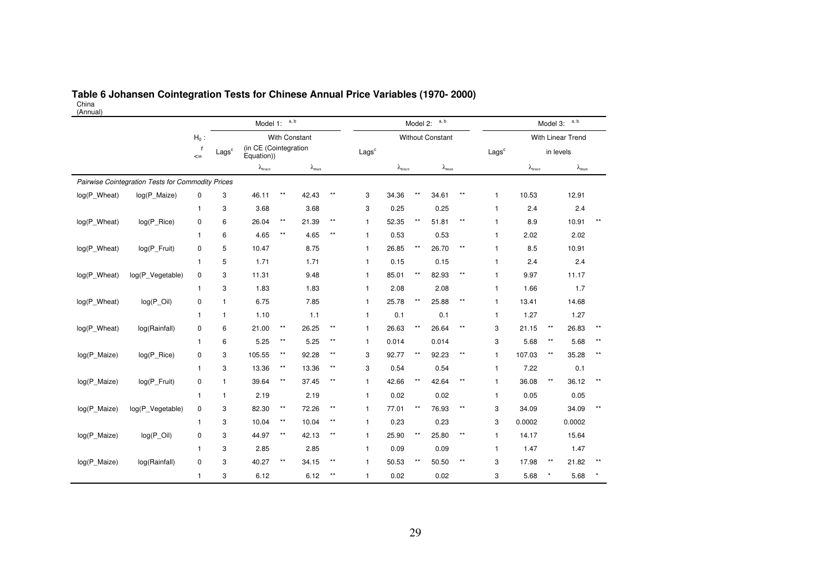# **Table 6 Johansen Cointegration Tests for Chinese Annual Price Variables (1970- 2000)** China (Annual)

| (Annual)     |                                                   |                |                   | Model 1: $a, b$                     |                 |                        |                 |                   |                          |                 | Model 2: $a, b$         |                 |                   |                          |                 | Model 3: $a, b$   |                 |
|--------------|---------------------------------------------------|----------------|-------------------|-------------------------------------|-----------------|------------------------|-----------------|-------------------|--------------------------|-----------------|-------------------------|-----------------|-------------------|--------------------------|-----------------|-------------------|-----------------|
|              |                                                   | $H_0$ :        |                   |                                     |                 | With Constant          |                 |                   |                          |                 | <b>Without Constant</b> |                 |                   |                          |                 | With Linear Trend |                 |
|              |                                                   | - r<br>$\leq$  | Lags <sup>c</sup> | (in CE (Cointegration<br>Equation)) |                 |                        |                 | Lags <sup>c</sup> |                          |                 |                         |                 | Lags <sup>c</sup> |                          | in levels       |                   |                 |
|              |                                                   |                |                   | $\lambda_{\text{trace}}$            |                 | $\lambda_{\text{max}}$ |                 |                   | $\lambda_{\text{trace}}$ |                 | $\lambda_{\text{max}}$  |                 |                   | $\lambda_{\text{trace}}$ |                 | $\lambda_{max}$   |                 |
|              | Pairwise Cointegration Tests for Commodity Prices |                |                   |                                     |                 |                        |                 |                   |                          |                 |                         |                 |                   |                          |                 |                   |                 |
| log(P_Wheat) | log(P_Maize)                                      | 0              | 3                 | 46.11                               | $^{\star\star}$ | 42.43                  | $^{\star\star}$ | 3                 | 34.36                    | $^{\star\star}$ | 34.61                   | $***$           | $\mathbf{1}$      | 10.53                    |                 | 12.91             |                 |
|              |                                                   | $\mathbf{1}$   | 3                 | 3.68                                |                 | 3.68                   |                 | 3                 | 0.25                     |                 | 0.25                    |                 | 1                 | 2.4                      |                 | 2.4               |                 |
| log(P_Wheat) | $log(P_Rice)$                                     | $\mathbf 0$    | 6                 | 26.04                               | $\star\star$    | 21.39                  | $^{\star\star}$ | 1                 | 52.35                    | $^{\star\star}$ | 51.81                   | $\star\star$    | $\mathbf{1}$      | 8.9                      |                 | 10.91             | $^{\star\star}$ |
|              |                                                   | $\mathbf{1}$   | 6                 | 4.65                                | $^{\star\star}$ | 4.65                   | $^{\star\star}$ | $\mathbf{1}$      | 0.53                     |                 | 0.53                    |                 | 1                 | 2.02                     |                 | 2.02              |                 |
| log(P_Wheat) | log(P_Fruit)                                      | $\pmb{0}$      | 5                 | 10.47                               |                 | 8.75                   |                 | $\mathbf{1}$      | 26.85                    | $^{\star\star}$ | 26.70                   | $\star\star$    | 1                 | 8.5                      |                 | 10.91             |                 |
|              |                                                   | $\mathbf{1}$   | 5                 | 1.71                                |                 | 1.71                   |                 | $\mathbf{1}$      | 0.15                     |                 | 0.15                    |                 | 1                 | 2.4                      |                 | 2.4               |                 |
| log(P_Wheat) | log(P_Vegetable)                                  | 0              | 3                 | 11.31                               |                 | 9.48                   |                 | $\mathbf{1}$      | 85.01                    | $^{\star\star}$ | 82.93                   | $^{\star\star}$ | $\mathbf{1}$      | 9.97                     |                 | 11.17             |                 |
|              |                                                   | $\mathbf{1}$   | 3                 | 1.83                                |                 | 1.83                   |                 | $\mathbf{1}$      | 2.08                     |                 | 2.08                    |                 | $\mathbf{1}$      | 1.66                     |                 | 1.7               |                 |
| log(P_Wheat) | $log(P_$ Oil)                                     | $\pmb{0}$      | $\mathbf{1}$      | 6.75                                |                 | 7.85                   |                 | $\mathbf{1}$      | 25.78                    | $^{\star\star}$ | 25.88                   | $***$           | $\mathbf{1}$      | 13.41                    |                 | 14.68             |                 |
|              |                                                   | $\mathbf{1}$   | $\mathbf{1}$      | 1.10                                |                 | 1.1                    |                 | $\mathbf{1}$      | 0.1                      |                 | 0.1                     |                 | 1                 | 1.27                     |                 | 1.27              |                 |
| log(P_Wheat) | log(Rainfall)                                     | $\mathbf 0$    | 6                 | 21.00                               | $***$           | 26.25                  | $^{\star\star}$ | $\mathbf{1}$      | 26.63                    | $^{\star\star}$ | 26.64                   | $\star\star$    | 3                 | 21.15                    | $\star\star$    | 26.83             | $\star\star$    |
|              |                                                   | $\overline{1}$ | 6                 | 5.25                                | $^{\star\star}$ | 5.25                   | $^{\star\star}$ | $\overline{1}$    | 0.014                    |                 | 0.014                   |                 | 3                 | 5.68                     | $^{\star\star}$ | 5.68              | $\star\star$    |
| log(P_Maize) | log(P_Rice)                                       | 0              | 3                 | 105.55                              | $^{\star\star}$ | 92.28                  | $^{\star\star}$ | 3                 | 92.77                    | $^{\star\star}$ | 92.23                   | $^{\star\star}$ | $\mathbf{1}$      | 107.03                   | $***$           | 35.28             | $^{\star\star}$ |
|              |                                                   | $\mathbf{1}$   | 3                 | 13.36                               | $***$           | 13.36                  | $^{\star\star}$ | 3                 | 0.54                     |                 | 0.54                    |                 | $\mathbf{1}$      | 7.22                     |                 | 0.1               |                 |
| log(P_Maize) | log(P_Fruit)                                      | 0              | $\mathbf{1}$      | 39.64                               | $^{\star\star}$ | 37.45                  | $^{\star\star}$ | $\mathbf{1}$      | 42.66                    | $^{\star\star}$ | 42.64                   | $^{\star\star}$ | $\mathbf{1}$      | 36.08                    | $^{\star\star}$ | 36.12             | $^{\star\star}$ |
|              |                                                   | $\mathbf{1}$   | $\mathbf{1}$      | 2.19                                |                 | 2.19                   |                 | $\mathbf{1}$      | 0.02                     |                 | 0.02                    |                 | $\mathbf{1}$      | 0.05                     |                 | 0.05              |                 |
| log(P Maize) | log(P Vegetable)                                  | $\mathsf 0$    | 3                 | 82.30                               | $***$           | 72.26                  | $^{\star\star}$ | $\mathbf{1}$      | 77.01                    | $^{\star\star}$ | 76.93                   | $\star\star$    | 3                 | 34.09                    |                 | 34.09             | $\star\star$    |
|              |                                                   | $\mathbf{1}$   | 3                 | 10.04                               | $^{\star\star}$ | 10.04                  | $^{\star\star}$ | $\overline{1}$    | 0.23                     |                 | 0.23                    |                 | 3                 | 0.0002                   |                 | 0.0002            |                 |
| log(P_Maize) | $log(P_$ Oil)                                     | 0              | 3                 | 44.97                               | $***$           | 42.13                  | $^{\star\star}$ | 1                 | 25.90                    | $^{\star\star}$ | 25.80                   | $\star\star$    | $\mathbf{1}$      | 14.17                    |                 | 15.64             |                 |
|              |                                                   | $\mathbf{1}$   | 3                 | 2.85                                |                 | 2.85                   |                 | $\mathbf{1}$      | 0.09                     |                 | 0.09                    |                 | $\mathbf{1}$      | 1.47                     |                 | 1.47              |                 |
| log(P Maize) | log(Rainfall)                                     | $\mathbf 0$    | 3                 | 40.27                               | $***$           | 34.15                  | $^{\star\star}$ | $\mathbf{1}$      | 50.53                    | $***$           | 50.50                   | $***$           | 3                 | 17.98                    | $***$           | 21.82             | $^{\star\star}$ |
|              |                                                   | $\mathbf{1}$   | 3                 | 6.12                                |                 | 6.12                   | $***$           | 1                 | 0.02                     |                 | 0.02                    |                 | 3                 | 5.68                     | $^\star$        | 5.68              | $\star$         |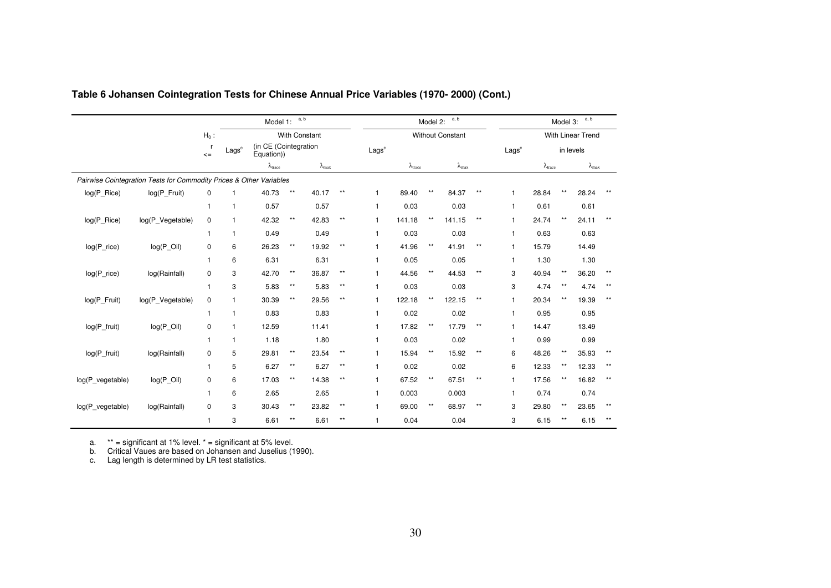|                   |                                                                     |                |                   | Model 1:                            | a, b         |                        |              |                 |                          | Model 2:        | a, b                    |                 |                   |                          | Model 3:        | a, b                   |              |
|-------------------|---------------------------------------------------------------------|----------------|-------------------|-------------------------------------|--------------|------------------------|--------------|-----------------|--------------------------|-----------------|-------------------------|-----------------|-------------------|--------------------------|-----------------|------------------------|--------------|
|                   |                                                                     | $H_0$ :        |                   |                                     |              | With Constant          |              |                 |                          |                 | <b>Without Constant</b> |                 |                   |                          |                 | With Linear Trend      |              |
|                   |                                                                     | $\leq$         | Lags <sup>c</sup> | (in CE (Cointegration<br>Equation)) |              |                        |              | $\text{Lags}^c$ |                          |                 |                         |                 | Lags <sup>c</sup> |                          | in levels       |                        |              |
|                   |                                                                     |                |                   | $\lambda_{\text{trace}}$            |              | $\lambda_{\text{max}}$ |              |                 | $\lambda_{\text{trace}}$ |                 | $\lambda_{\text{max}}$  |                 |                   | $\lambda_{\text{trace}}$ |                 | $\lambda_{\text{max}}$ |              |
|                   | Pairwise Cointegration Tests for Commodity Prices & Other Variables |                |                   |                                     |              |                        |              |                 |                          |                 |                         |                 |                   |                          |                 |                        |              |
| log(P_Rice)       | log(P_Fruit)                                                        | 0              | $\mathbf{1}$      | 40.73                               | $***$        | 40.17                  | $***$        | $\overline{1}$  | 89.40                    | $***$           | 84.37                   | $\star\star$    | $\mathbf{1}$      | 28.84                    | $***$           | 28.24                  | $***$        |
|                   |                                                                     | $\overline{1}$ | $\mathbf{1}$      | 0.57                                |              | 0.57                   |              | $\mathbf{1}$    | 0.03                     |                 | 0.03                    |                 | $\mathbf{1}$      | 0.61                     |                 | 0.61                   |              |
| $log(P$ Rice)     | log(P Vegetable)                                                    | $\mathbf 0$    | $\mathbf{1}$      | 42.32                               | $***$        | 42.83                  | $***$        | $\mathbf{1}$    | 141.18                   | $^{\star\star}$ | 141.15                  | $\star\star$    | $\mathbf{1}$      | 24.74                    | $^{\star\star}$ | 24.11                  | $\star\star$ |
|                   |                                                                     | $\mathbf{1}$   | $\mathbf{1}$      | 0.49                                |              | 0.49                   |              | $\mathbf{1}$    | 0.03                     |                 | 0.03                    |                 | $\mathbf{1}$      | 0.63                     |                 | 0.63                   |              |
| $log(P_{circle})$ | $log(P_$ Oil)                                                       | $\mathbf 0$    | 6                 | 26.23                               | $***$        | 19.92                  | $\star\star$ | $\overline{1}$  | 41.96                    | $***$           | 41.91                   | $\star\star$    | $\mathbf{1}$      | 15.79                    |                 | 14.49                  |              |
|                   |                                                                     | $\overline{1}$ | 6                 | 6.31                                |              | 6.31                   |              | $\overline{1}$  | 0.05                     |                 | 0.05                    |                 | $\mathbf{1}$      | 1.30                     |                 | 1.30                   |              |
| $log(P_{circle})$ | log(Rainfall)                                                       | $\mathbf 0$    | 3                 | 42.70                               | $***$        | 36.87                  | $***$        | $\mathbf{1}$    | 44.56                    | $***$           | 44.53                   | $^{\star\star}$ | 3                 | 40.94                    | $***$           | 36.20                  | $\star\star$ |
|                   |                                                                     | $\mathbf{1}$   | 3                 | 5.83                                | $\star\star$ | 5.83                   | $***$        | $\overline{1}$  | 0.03                     |                 | 0.03                    |                 | 3                 | 4.74                     | $^{\star\star}$ | 4.74                   | $***$        |
| log(P Fruit)      | log(P_Vegetable)                                                    | $\pmb{0}$      | $\mathbf{1}$      | 30.39                               | $\star\star$ | 29.56                  | $***$        | 1               | 122.18                   | $***$           | 122.15                  | $\star\star$    | $\mathbf{1}$      | 20.34                    | $***$           | 19.39                  | $***$        |
|                   |                                                                     | $\mathbf{1}$   | $\mathbf{1}$      | 0.83                                |              | 0.83                   |              | $\mathbf{1}$    | 0.02                     |                 | 0.02                    |                 | $\mathbf{1}$      | 0.95                     |                 | 0.95                   |              |
| log(P_fruit)      | log(P_Oil)                                                          | $\pmb{0}$      | $\mathbf{1}$      | 12.59                               |              | 11.41                  |              | $\overline{1}$  | 17.82                    | $***$           | 17.79                   | $\star\star$    | $\mathbf{1}$      | 14.47                    |                 | 13.49                  |              |
|                   |                                                                     | $\mathbf{1}$   | $\mathbf{1}$      | 1.18                                |              | 1.80                   |              | $\overline{1}$  | 0.03                     |                 | 0.02                    |                 | 1                 | 0.99                     |                 | 0.99                   |              |
| log(P fruit)      | log(Rainfall)                                                       | $\pmb{0}$      | 5                 | 29.81                               | $\star\star$ | 23.54                  | $***$        | $\overline{1}$  | 15.94                    | $***$           | 15.92                   | $\star\star$    | 6                 | 48.26                    | $***$           | 35.93                  | $***$        |
|                   |                                                                     | $\mathbf{1}$   | 5                 | 6.27                                | $\star\star$ | 6.27                   | $***$        | $\overline{1}$  | 0.02                     |                 | 0.02                    |                 | 6                 | 12.33                    | $***$           | 12.33                  | $***$        |
| log(P_vegetable)  | $log(P_$ il)                                                        | $\mathbf 0$    | 6                 | 17.03                               | $\star\star$ | 14.38                  | $***$        | $\overline{1}$  | 67.52                    | $***$           | 67.51                   | $***$           | 1                 | 17.56                    | $\star\star$    | 16.82                  | $\star\star$ |
|                   |                                                                     | $\mathbf{1}$   | 6                 | 2.65                                |              | 2.65                   |              | $\mathbf{1}$    | 0.003                    |                 | 0.003                   |                 | $\mathbf{1}$      | 0.74                     |                 | 0.74                   |              |
| log(P_vegetable)  | log(Rainfall)                                                       | $\mathbf 0$    | 3                 | 30.43                               | $\star\star$ | 23.82                  | $***$        | $\mathbf{1}$    | 69.00                    | $***$           | 68.97                   | $\star\star$    | 3                 | 29.80                    |                 | 23.65                  | $***$        |
|                   |                                                                     | $\overline{1}$ | 3                 | 6.61                                | $\star\star$ | 6.61                   | $***$        | $\mathbf{1}$    | 0.04                     |                 | 0.04                    |                 | 3                 | 6.15                     | $***$           | 6.15                   | $***$        |

**Table 6 Johansen Cointegration Tests for Chinese Annual Price Variables (1970- 2000) (Cont.)** 

a. \*\* = significant at 1% level. \* = significant at 5% level. b. Critical Vaues are based on Johansen and Juselius (1990). c. Lag length is determined by LR test statistics.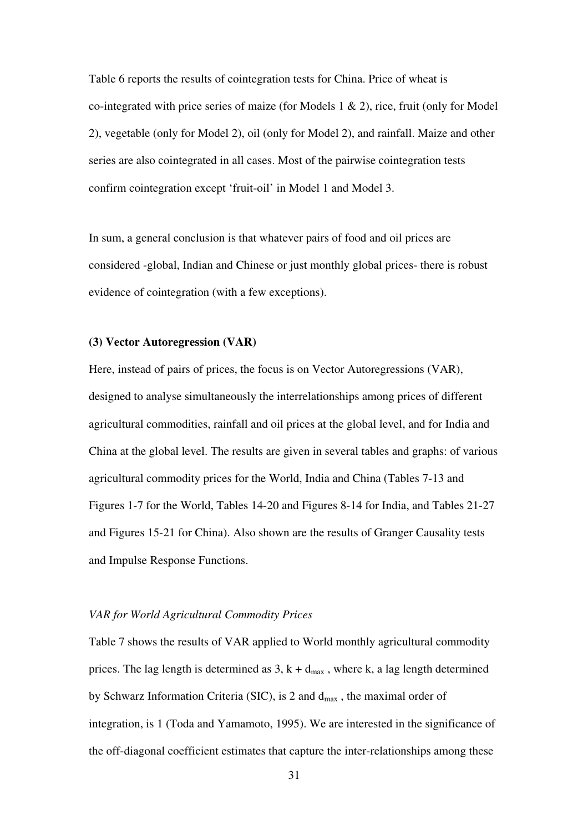Table 6 reports the results of cointegration tests for China. Price of wheat is co-integrated with price series of maize (for Models 1 & 2), rice, fruit (only for Model 2), vegetable (only for Model 2), oil (only for Model 2), and rainfall. Maize and other series are also cointegrated in all cases. Most of the pairwise cointegration tests confirm cointegration except 'fruit-oil' in Model 1 and Model 3.

In sum, a general conclusion is that whatever pairs of food and oil prices are considered -global, Indian and Chinese or just monthly global prices- there is robust evidence of cointegration (with a few exceptions).

# **(3) Vector Autoregression (VAR)**

Here, instead of pairs of prices, the focus is on Vector Autoregressions (VAR), designed to analyse simultaneously the interrelationships among prices of different agricultural commodities, rainfall and oil prices at the global level, and for India and China at the global level. The results are given in several tables and graphs: of various agricultural commodity prices for the World, India and China (Tables 7-13 and Figures 1-7 for the World, Tables 14-20 and Figures 8-14 for India, and Tables 21-27 and Figures 15-21 for China). Also shown are the results of Granger Causality tests and Impulse Response Functions.

#### *VAR for World Agricultural Commodity Prices*

Table 7 shows the results of VAR applied to World monthly agricultural commodity prices. The lag length is determined as  $3$ ,  $k + d_{max}$ , where k, a lag length determined by Schwarz Information Criteria (SIC), is 2 and  $d_{\text{max}}$ , the maximal order of integration, is 1 (Toda and Yamamoto, 1995). We are interested in the significance of the off-diagonal coefficient estimates that capture the inter-relationships among these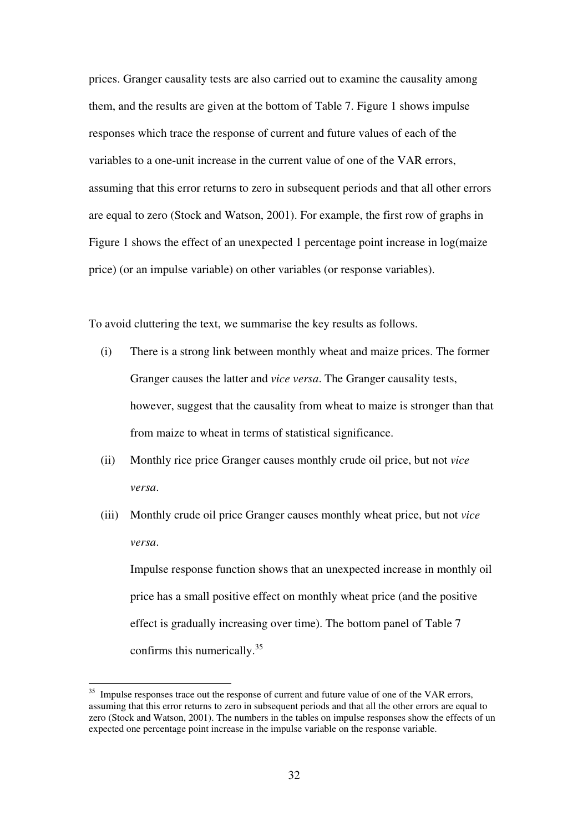prices. Granger causality tests are also carried out to examine the causality among them, and the results are given at the bottom of Table 7. Figure 1 shows impulse responses which trace the response of current and future values of each of the variables to a one-unit increase in the current value of one of the VAR errors, assuming that this error returns to zero in subsequent periods and that all other errors are equal to zero (Stock and Watson, 2001). For example, the first row of graphs in Figure 1 shows the effect of an unexpected 1 percentage point increase in log(maize price) (or an impulse variable) on other variables (or response variables).

To avoid cluttering the text, we summarise the key results as follows.

- (i) There is a strong link between monthly wheat and maize prices. The former Granger causes the latter and *vice versa*. The Granger causality tests, however, suggest that the causality from wheat to maize is stronger than that from maize to wheat in terms of statistical significance.
- (ii) Monthly rice price Granger causes monthly crude oil price, but not *vice versa*.
- (iii) Monthly crude oil price Granger causes monthly wheat price, but not *vice versa*.

Impulse response function shows that an unexpected increase in monthly oil price has a small positive effect on monthly wheat price (and the positive effect is gradually increasing over time). The bottom panel of Table 7 confirms this numerically.<sup>35</sup>

 $35$  Impulse responses trace out the response of current and future value of one of the VAR errors, assuming that this error returns to zero in subsequent periods and that all the other errors are equal to zero (Stock and Watson, 2001). The numbers in the tables on impulse responses show the effects of un expected one percentage point increase in the impulse variable on the response variable.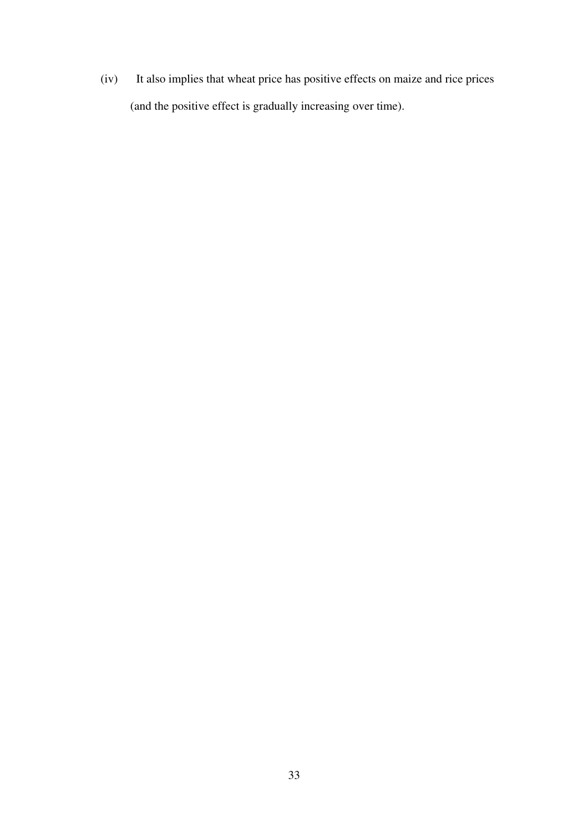(iv) It also implies that wheat price has positive effects on maize and rice prices (and the positive effect is gradually increasing over time).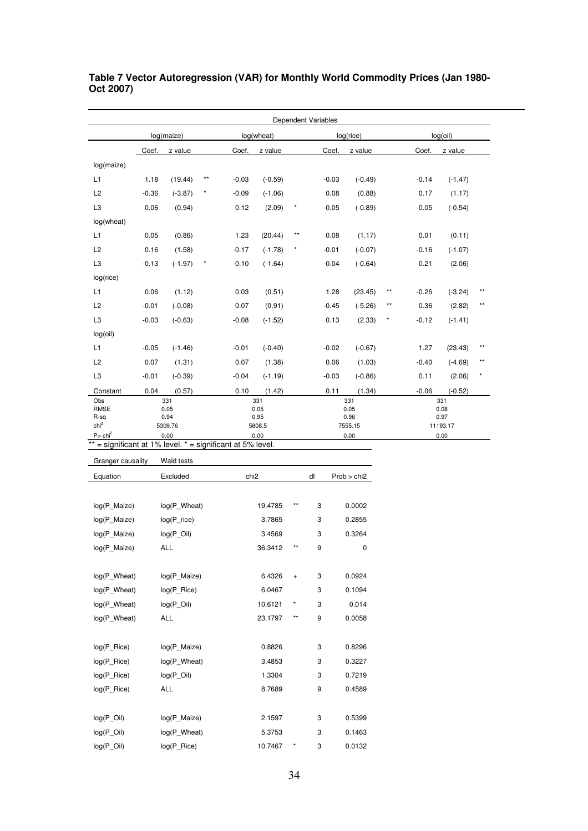|                                                            |         |                   |                 |                  |                |                                  | Dependent Variables |                 |                 |         |                  |                 |
|------------------------------------------------------------|---------|-------------------|-----------------|------------------|----------------|----------------------------------|---------------------|-----------------|-----------------|---------|------------------|-----------------|
|                                                            |         | log(maize)        |                 |                  | log(wheat)     |                                  |                     | log(rice)       |                 |         | log(oil)         |                 |
|                                                            | Coef.   | z value           |                 | Coef.            | z value        |                                  | Coef.               | z value         |                 | Coef.   | z value          |                 |
| log(maize)                                                 |         |                   |                 |                  |                |                                  |                     |                 |                 |         |                  |                 |
| L1                                                         | 1.18    | (19.44)           | $^{\star\star}$ | $-0.03$          | $(-0.59)$      |                                  | $-0.03$             | $(-0.49)$       |                 | $-0.14$ | $(-1.47)$        |                 |
| L <sub>2</sub>                                             | $-0.36$ | $(-3.87)$         |                 | $-0.09$          | $(-1.06)$      |                                  | 0.08                | (0.88)          |                 | 0.17    | (1.17)           |                 |
| L3                                                         | 0.06    | (0.94)            |                 | 0.12             | (2.09)         | $\ast$                           | $-0.05$             | $(-0.89)$       |                 | $-0.05$ | $(-0.54)$        |                 |
| log(wheat)                                                 |         |                   |                 |                  |                |                                  |                     |                 |                 |         |                  |                 |
| L1                                                         | 0.05    | (0.86)            |                 | 1.23             | (20.44)        | $^{\star\star}$                  | 0.08                | (1.17)          |                 | 0.01    | (0.11)           |                 |
| L <sub>2</sub>                                             | 0.16    | (1.58)            |                 | $-0.17$          | $(-1.78)$      |                                  | $-0.01$             | $(-0.07)$       |                 | $-0.16$ | $(-1.07)$        |                 |
| L3                                                         | $-0.13$ | $(-1.97)$         |                 | $-0.10$          | $(-1.64)$      |                                  | $-0.04$             | $(-0.64)$       |                 | 0.21    | (2.06)           |                 |
| log(rice)                                                  |         |                   |                 |                  |                |                                  |                     |                 |                 |         |                  |                 |
| L1                                                         | 0.06    | (1.12)            |                 | 0.03             | (0.51)         |                                  | 1.28                | (23.45)         | $^{\star\star}$ | $-0.26$ | $(-3.24)$        | $^{\star\star}$ |
| L <sub>2</sub>                                             | $-0.01$ | $(-0.08)$         |                 | 0.07             | (0.91)         |                                  | $-0.45$             | $(-5.26)$       | $^{\star\star}$ | 0.36    | (2.82)           | $^{\star\star}$ |
| L <sub>3</sub>                                             | $-0.03$ | $(-0.63)$         |                 | $-0.08$          | $(-1.52)$      |                                  | 0.13                | (2.33)          | $^\star$        | $-0.12$ | $(-1.41)$        |                 |
| log(oil)                                                   |         |                   |                 |                  |                |                                  |                     |                 |                 |         |                  |                 |
| L1                                                         | $-0.05$ | $(-1.46)$         |                 | $-0.01$          | $(-0.40)$      |                                  | $-0.02$             | $(-0.67)$       |                 | 1.27    | (23.43)          | $^{\star\star}$ |
| L <sub>2</sub>                                             | 0.07    | (1.31)            |                 | 0.07             | (1.38)         |                                  | 0.06                | (1.03)          |                 | $-0.40$ | $(-4.69)$        | $***$           |
| L3                                                         | $-0.01$ | $(-0.39)$         |                 | $-0.04$          | $(-1.19)$      |                                  | $-0.03$             | $(-0.86)$       |                 | 0.11    | (2.06)           |                 |
| Constant                                                   | 0.04    | (0.57)            |                 | 0.10             | (1.42)         |                                  | 0.11                | (1.34)          |                 | $-0.06$ | $(-0.52)$        |                 |
| Obs<br>RMSE                                                |         | 331<br>0.05       |                 |                  | 331<br>0.05    |                                  |                     | 331<br>0.05     |                 |         | 331<br>0.08      |                 |
| R-sq                                                       |         | 0.94              |                 |                  | 0.95           |                                  |                     | 0.96            |                 |         | 0.97             |                 |
| chi <sup>2</sup><br>P > chi <sup>2</sup>                   |         | 5309.76<br>0.00   |                 |                  | 5808.5<br>0.00 |                                  |                     | 7555.15<br>0.00 |                 |         | 11193.17<br>0.00 |                 |
| ** = significant at 1% level. * = significant at 5% level. |         |                   |                 |                  |                |                                  |                     |                 |                 |         |                  |                 |
| Granger causality                                          |         | Wald tests        |                 |                  |                |                                  |                     |                 |                 |         |                  |                 |
| Equation                                                   |         | Excluded          |                 | chi <sub>2</sub> |                |                                  | df                  | Prob > chi2     |                 |         |                  |                 |
|                                                            |         |                   |                 |                  |                |                                  |                     |                 |                 |         |                  |                 |
| log(P_Maize)                                               |         | log(P Wheat)      |                 |                  | 19.4785        | $^{\star\star}$                  | 3                   | 0.0002          |                 |         |                  |                 |
| log(P Maize)                                               |         | $log(P_{circle})$ |                 |                  | 3.7865         |                                  | 3                   | 0.2855          |                 |         |                  |                 |
| log(P_Maize)                                               |         | $log(P_0i)$       |                 |                  | 3.4569         |                                  | 3                   | 0.3264          |                 |         |                  |                 |
| log(P Maize)                                               |         | ALL               |                 |                  | 36.3412        | $\star\star$                     | 9                   | 0               |                 |         |                  |                 |
|                                                            |         |                   |                 |                  |                |                                  |                     |                 |                 |         |                  |                 |
| log(P_Wheat)                                               |         | log(P Maize)      |                 |                  | 6.4326         | $\begin{array}{c} + \end{array}$ | 3                   | 0.0924          |                 |         |                  |                 |
| log(P_Wheat)                                               |         | log(P_Rice)       |                 |                  | 6.0467         |                                  | 3                   | 0.1094          |                 |         |                  |                 |
| log(P_Wheat)                                               |         | $log(P_$ il)      |                 |                  | 10.6121        | Ť                                | 3                   | 0.014           |                 |         |                  |                 |
| log(P_Wheat)                                               |         | ALL               |                 |                  | 23.1797        | $^{\star\star}$                  | 9                   | 0.0058          |                 |         |                  |                 |
|                                                            |         |                   |                 |                  |                |                                  |                     |                 |                 |         |                  |                 |
| $log(P_Rice)$                                              |         | log(P_Maize)      |                 |                  | 0.8826         |                                  | 3                   | 0.8296          |                 |         |                  |                 |
| log(P_Rice)                                                |         | log(P_Wheat)      |                 |                  | 3.4853         |                                  | 3                   | 0.3227          |                 |         |                  |                 |
| $log(P_Rice)$                                              |         | $log(P_$ il)      |                 |                  | 1.3304         |                                  | 3                   | 0.7219          |                 |         |                  |                 |
| log(P_Rice)                                                |         | ALL               |                 |                  | 8.7689         |                                  | 9                   | 0.4589          |                 |         |                  |                 |
|                                                            |         |                   |                 |                  |                |                                  |                     |                 |                 |         |                  |                 |
|                                                            |         |                   |                 |                  |                |                                  |                     |                 |                 |         |                  |                 |
| $log(P_$ Oil)                                              |         | log(P_Maize)      |                 |                  | 2.1597         |                                  | 3                   | 0.5399          |                 |         |                  |                 |
| $log(P_0i)$                                                |         | log(P_Wheat)      |                 |                  | 5.3753         |                                  | 3                   | 0.1463          |                 |         |                  |                 |
| $log(P_$ il)                                               |         | $log(P_Rice)$     |                 |                  | 10.7467        |                                  | 3                   | 0.0132          |                 |         |                  |                 |

#### **Table 7 Vector Autoregression (VAR) for Monthly World Commodity Prices (Jan 1980- Oct 2007)**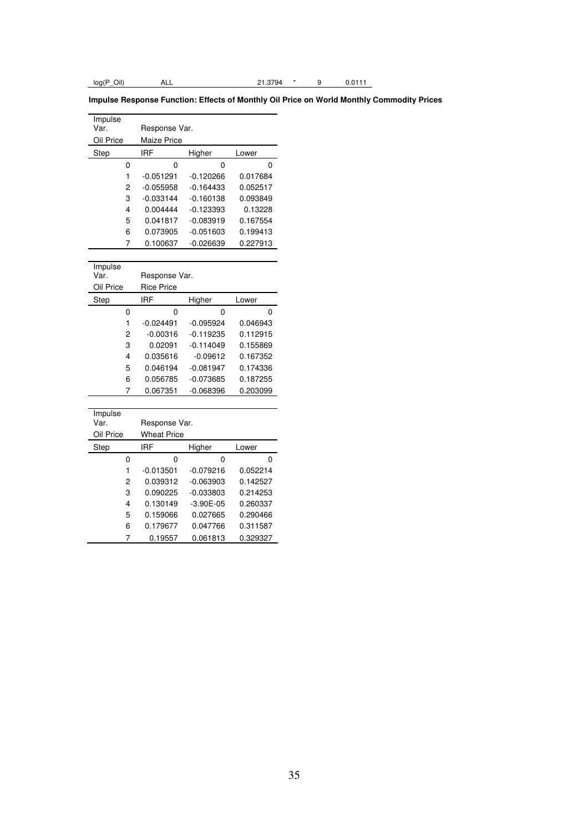**Impulse Response Function: Effects of Monthly Oil Price on World Monthly Commodity Prices** 

| Impulse   |               |             |          |
|-----------|---------------|-------------|----------|
| Var.      | Response Var. |             |          |
| Oil Price | Maize Price   |             |          |
| Step      | IRF           | Higher      | Lower    |
| O         | O             | O           | 0        |
|           | $-0.051291$   | -0.120266   | 0.017684 |
| 2         | $-0.055958$   | $-0.164433$ | 0.052517 |
| 3         | $-0.033144$   | $-0.160138$ | 0.093849 |
| 4         | 0.004444      | -0.123393   | 0.13228  |
| 5         | 0.041817      | $-0.083919$ | 0.167554 |
| 6         | 0.073905      | $-0.051603$ | 0.199413 |
| 7         | 0.100637      | $-0.026639$ | 0.227913 |
|           |               |             |          |

| Impulse<br>Var. | Response Var.     |             |          |  |
|-----------------|-------------------|-------------|----------|--|
| Oil Price       | <b>Rice Price</b> |             |          |  |
| Step            | IRF               | Higher      | Lower    |  |
| 0               | 0                 | O           | n        |  |
| 1               | $-0.024491$       | $-0.095924$ | 0.046943 |  |
| 2               | $-0.00316$        | $-0.119235$ | 0.112915 |  |
| 3               | 0.02091           | $-0.114049$ | 0.155869 |  |
| 4               | 0.035616          | $-0.09612$  | 0.167352 |  |
| 5               | 0.046194          | $-0.081947$ | 0.174336 |  |
| 6               | 0.056785          | $-0.073685$ | 0.187255 |  |
|                 | 0.067351          | $-0.068396$ | 0.203099 |  |

| Impulse   |                    |               |          |  |
|-----------|--------------------|---------------|----------|--|
| Var.      | Response Var.      |               |          |  |
| Oil Price | <b>Wheat Price</b> |               |          |  |
| Step      | IRF                | Higher        | Lower    |  |
| O         | O                  | O             | ი        |  |
| 1         | $-0.013501$        | $-0.079216$   | 0.052214 |  |
| 2         | 0.039312           | $-0.063903$   | 0.142527 |  |
| 3         | 0.090225           | $-0.033803$   | 0.214253 |  |
| 4         | 0.130149           | $-3.90E - 05$ | 0.260337 |  |
| 5         | 0.159066           | 0.027665      | 0.290466 |  |
| 6         | 0.179677           | 0.047766      | 0.311587 |  |
|           | 0.19557            | 0.061813      | 0.329327 |  |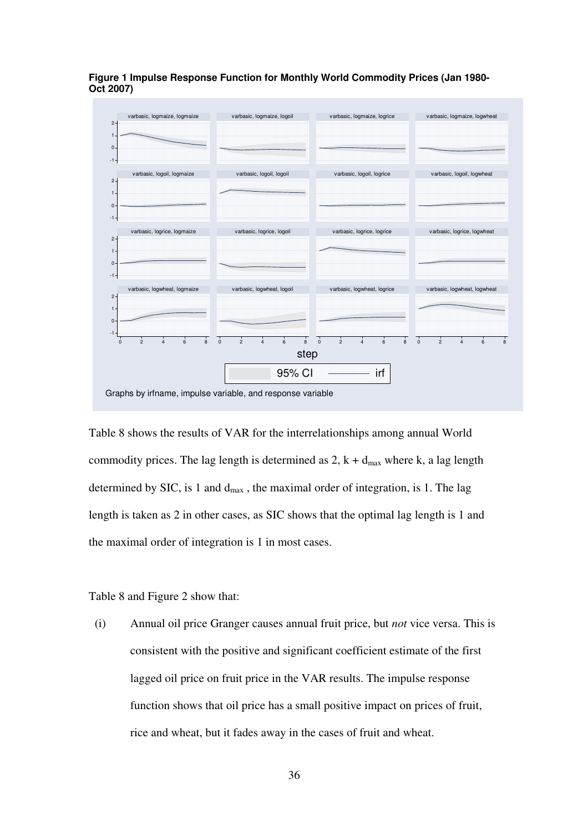

#### **Figure 1 Impulse Response Function for Monthly World Commodity Prices (Jan 1980- Oct 2007)**

Table 8 shows the results of VAR for the interrelationships among annual World commodity prices. The lag length is determined as  $2$ ,  $k + d_{max}$  where k, a lag length determined by SIC, is 1 and  $d_{\text{max}}$ , the maximal order of integration, is 1. The lag length is taken as 2 in other cases, as SIC shows that the optimal lag length is 1 and the maximal order of integration is 1 in most cases.

Table 8 and Figure 2 show that:

(i) Annual oil price Granger causes annual fruit price, but *not* vice versa. This is consistent with the positive and significant coefficient estimate of the first lagged oil price on fruit price in the VAR results. The impulse response function shows that oil price has a small positive impact on prices of fruit, rice and wheat, but it fades away in the cases of fruit and wheat.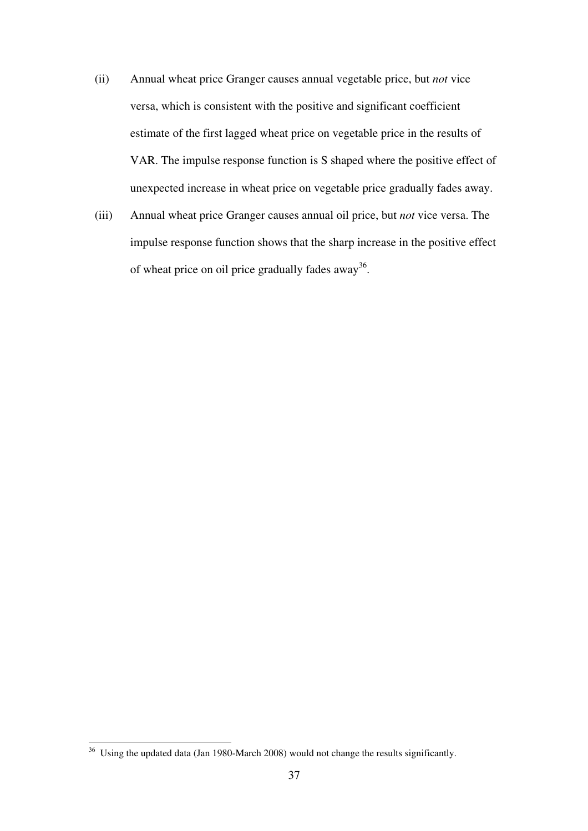- (ii) Annual wheat price Granger causes annual vegetable price, but *not* vice versa, which is consistent with the positive and significant coefficient estimate of the first lagged wheat price on vegetable price in the results of VAR. The impulse response function is S shaped where the positive effect of unexpected increase in wheat price on vegetable price gradually fades away.
- (iii) Annual wheat price Granger causes annual oil price, but *not* vice versa. The impulse response function shows that the sharp increase in the positive effect of wheat price on oil price gradually fades away<sup>36</sup>.

 $\overline{a}$ 

 $36$  Using the updated data (Jan 1980-March 2008) would not change the results significantly.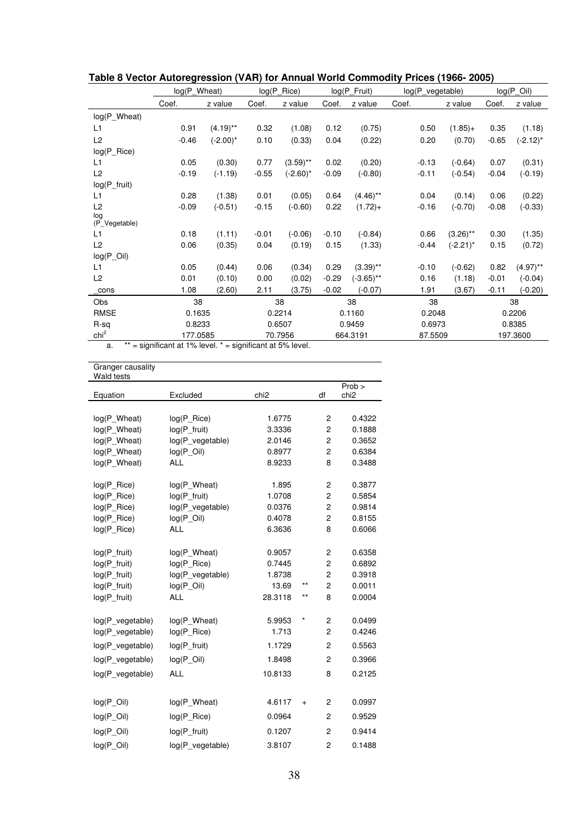|                           | log(P Wheat)                           |             |                         | log(P_Rice) |         | log(P_Fruit) | log(P_vegetable) |             |         | log(P_Oil)  |
|---------------------------|----------------------------------------|-------------|-------------------------|-------------|---------|--------------|------------------|-------------|---------|-------------|
|                           | Coef.                                  | z value     | Coef.                   | z value     | Coef.   | z value      | Coef.            | z value     | Coef.   | z value     |
| $log(P_W$ heat)           |                                        |             |                         |             |         |              |                  |             |         |             |
| L1                        | 0.91                                   | $(4.19)$ ** | 0.32                    | (1.08)      | 0.12    | (0.75)       | 0.50             | $(1.85) +$  | 0.35    | (1.18)      |
| L2                        | $-0.46$                                | $(-2.00)^*$ | 0.10                    | (0.33)      | 0.04    | (0.22)       | 0.20             | (0.70)      | $-0.65$ | $(-2.12)^*$ |
| log(P_Rice)               |                                        |             |                         |             |         |              |                  |             |         |             |
| L <sub>1</sub>            | 0.05                                   | (0.30)      | 0.77                    | $(3.59)$ ** | 0.02    | (0.20)       | $-0.13$          | $(-0.64)$   | 0.07    | (0.31)      |
| L2                        | $-0.19$                                | $(-1.19)$   | $-0.55$                 | $(-2.60)^*$ | $-0.09$ | $(-0.80)$    | $-0.11$          | $(-0.54)$   | $-0.04$ | $(-0.19)$   |
| $log(P_{\text{r}}$ fruit) |                                        |             |                         |             |         |              |                  |             |         |             |
| L1                        | 0.28                                   | (1.38)      | 0.01                    | (0.05)      | 0.64    | $(4.46)$ **  | 0.04             | (0.14)      | 0.06    | (0.22)      |
| L <sub>2</sub>            | $-0.09$                                | $(-0.51)$   | $-0.15$                 | $(-0.60)$   | 0.22    | $(1.72) +$   | $-0.16$          | $(-0.70)$   | $-0.08$ | $(-0.33)$   |
| log<br>(P_Vegetable)      |                                        |             |                         |             |         |              |                  |             |         |             |
| L1                        | 0.18                                   | (1.11)      | $-0.01$                 | $(-0.06)$   | $-0.10$ | $(-0.84)$    | 0.66             | $(3.26)$ ** | 0.30    | (1.35)      |
| L2                        | 0.06                                   | (0.35)      | 0.04                    | (0.19)      | 0.15    | (1.33)       | $-0.44$          | $(-2.21)^*$ | 0.15    | (0.72)      |
| $log(P_0i)$               |                                        |             |                         |             |         |              |                  |             |         |             |
| L1                        | 0.05                                   | (0.44)      | 0.06                    | (0.34)      | 0.29    | $(3.39)$ **  | $-0.10$          | $(-0.62)$   | 0.82    | $(4.97)$ ** |
| L2                        | 0.01                                   | (0.10)      | 0.00                    | (0.02)      | $-0.29$ | $(-3.65)$ ** | 0.16             | (1.18)      | $-0.01$ | $(-0.04)$   |
| cons                      | 1.08                                   | (2.60)      | 2.11                    | (3.75)      | $-0.02$ | $(-0.07)$    | 1.91             | (3.67)      | $-0.11$ | (-0.20)     |
| Obs                       | 38                                     |             |                         | 38          |         | 38           | 38               |             |         | 38          |
| <b>RMSE</b>               | 0.1635                                 |             |                         | 0.2214      |         | 0.1160       | 0.2048           |             |         | 0.2206      |
| R-sq                      | 0.8233                                 |             |                         | 0.6507      |         | 0.9459       | 0.6973           |             |         | 0.8385      |
| chi <sup>2</sup><br>$***$ | 177.0585<br>cianificant at 10/ lovel * |             | cianificant at 5% loval | 70.7956     |         | 664.3191     | 87.5509          |             |         | 197.3600    |

**Table 8 Vector Autoregression (VAR) for Annual World Commodity Prices (1966- 2005)** 

a.  $**$  = significant at 1% level.  $*$  = significant at 5% level.

| Granger causality<br>Wald tests |                  |                  |           |                         |                  |
|---------------------------------|------------------|------------------|-----------|-------------------------|------------------|
|                                 |                  |                  |           |                         | $Prob$ >         |
| Equation                        | Excluded         | chi <sub>2</sub> |           | df                      | chi <sub>2</sub> |
|                                 |                  |                  |           |                         |                  |
| log(P Wheat)                    | $log(P_Rice)$    | 1.6775           |           | $\overline{\mathbf{c}}$ | 0.4322           |
| log(P_Wheat)                    | log(P_fruit)     | 3.3336           |           | $\overline{2}$          | 0.1888           |
| log(P_Wheat)                    | log(P_vegetable) | 2.0146           |           | $\overline{\mathbf{c}}$ | 0.3652           |
| log(P Wheat)                    | $log(P$ Oil)     | 0.8977           |           | 2                       | 0.6384           |
| log(P_Wheat)                    | <b>ALL</b>       | 8.9233           |           | 8                       | 0.3488           |
| log(P_Rice)                     | log(P_Wheat)     | 1.895            |           | $\mathbf 2$             | 0.3877           |
| log(P_Rice)                     | log(P_fruit)     | 1.0708           |           | $\overline{\mathbf{c}}$ | 0.5854           |
| log(P_Rice)                     | log(P_vegetable) | 0.0376           |           | $\overline{c}$          | 0.9814           |
| log(P_Rice)                     | log(P_Oil)       | 0.4078           |           | $\overline{c}$          | 0.8155           |
| log(P_Rice)                     | ALL              | 6.3636           |           | 8                       | 0.6066           |
| $log(P$ fruit)                  | log(P Wheat)     | 0.9057           |           | $\overline{c}$          | 0.6358           |
| $log(P_$ fruit)                 | $log(P_Rice)$    | 0.7445           |           | 2                       | 0.6892           |
| log(P_fruit)                    | log(P_vegetable) | 1.8738           |           | $\overline{c}$          | 0.3918           |
| log(P_fruit)                    | log(P_Oil)       | 13.69            | **        | $\overline{c}$          | 0.0011           |
| log(P_fruit)                    | ALL              | 28.3118          | **        | 8                       | 0.0004           |
|                                 |                  |                  |           |                         |                  |
| log(P_vegetable)                | log(P_Wheat)     | 5.9953           | $\ast$    | 2                       | 0.0499           |
| log(P_vegetable)                | log(P_Rice)      | 1.713            |           | $\overline{c}$          | 0.4246           |
| log(P_vegetable)                | log(P_fruit)     | 1.1729           |           | $\overline{c}$          | 0.5563           |
| log(P_vegetable)                | log(P_Oil)       | 1.8498           |           | 2                       | 0.3966           |
| log(P_vegetable)                | ALL              | 10.8133          |           | 8                       | 0.2125           |
|                                 |                  |                  |           |                         |                  |
| $log(P_$ Oil)                   | log(P_Wheat)     | 4.6117           | $\ddot{}$ | $\overline{c}$          | 0.0997           |
| log(P_Oil)                      | log(P_Rice)      | 0.0964           |           | $\overline{c}$          | 0.9529           |
| $log(P_$ Oil)                   | log(P_fruit)     | 0.1207           |           | $\overline{c}$          | 0.9414           |
| log(P_Oil)                      | log(P vegetable) | 3.8107           |           | $\overline{c}$          | 0.1488           |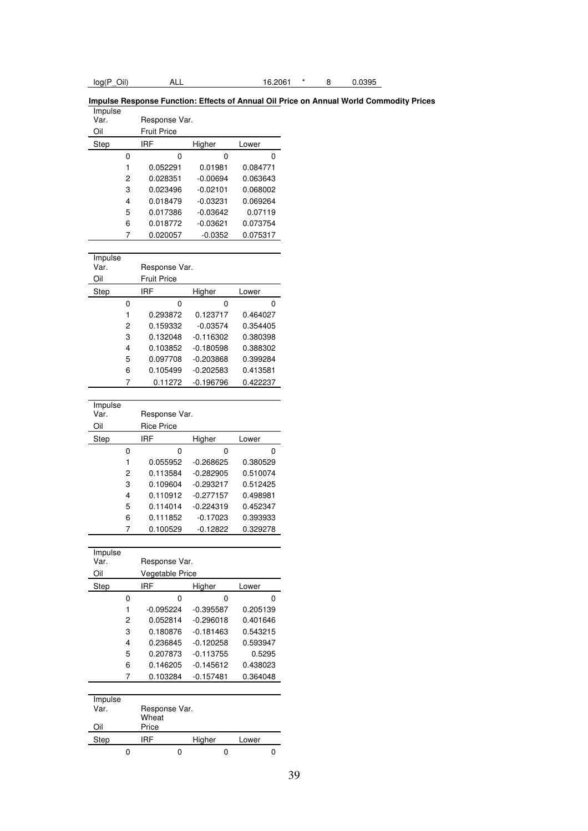|  |  |  |  |  | Impulse Response Function: Effects of Annual Oil Price on Annual World Commodity Prices |  |
|--|--|--|--|--|-----------------------------------------------------------------------------------------|--|
|  |  |  |  |  |                                                                                         |  |

| Impulse<br>Var. |   | Response Var.      |            |          |
|-----------------|---|--------------------|------------|----------|
| Oil             |   | <b>Fruit Price</b> |            |          |
| Step            |   | IRF                | Higher     | Lower    |
|                 | 0 | 0                  | 0          | O        |
|                 | 1 | 0.052291           | 0.01981    | 0.084771 |
|                 | 2 | 0.028351           | $-0.00694$ | 0.063643 |
|                 | 3 | 0.023496           | $-0.02101$ | 0.068002 |
|                 | 4 | 0.018479           | $-0.03231$ | 0.069264 |
|                 | 5 | 0.017386           | $-0.03642$ | 0.07119  |
|                 | 6 | 0.018772           | $-0.03621$ | 0.073754 |
|                 | 7 | 0.020057           | $-0.0352$  | 0.075317 |
|                 |   |                    |            |          |

| Impulse<br>Var. |   | Response Var.      |             |          |  |  |  |
|-----------------|---|--------------------|-------------|----------|--|--|--|
| Oil             |   | <b>Fruit Price</b> |             |          |  |  |  |
| Step            |   | IRF                | Higher      | Lower    |  |  |  |
|                 | O | O                  | ი           | 0        |  |  |  |
|                 | 1 | 0.293872           | 0.123717    | 0.464027 |  |  |  |
|                 | 2 | 0.159332           | $-0.03574$  | 0.354405 |  |  |  |
|                 | 3 | 0.132048           | $-0.116302$ | 0.380398 |  |  |  |
|                 | 4 | 0.103852           | $-0.180598$ | 0.388302 |  |  |  |
|                 | 5 | 0.097708           | $-0.203868$ | 0.399284 |  |  |  |
|                 | 6 | 0.105499           | $-0.202583$ | 0.413581 |  |  |  |
|                 |   | 0.11272            | -0.196796   | 0.422237 |  |  |  |

| Impulse<br>Var. |                   | Response Var. |          |  |  |  |
|-----------------|-------------------|---------------|----------|--|--|--|
| Oil             | <b>Rice Price</b> |               |          |  |  |  |
| Step            | IRF               | Higher        | Lower    |  |  |  |
| O               | o                 | ი             | 0        |  |  |  |
| 1               | 0.055952          | $-0.268625$   | 0.380529 |  |  |  |
| 2               | 0.113584          | $-0.282905$   | 0.510074 |  |  |  |
| 3               | 0.109604          | $-0.293217$   | 0.512425 |  |  |  |
| 4               | 0.110912          | $-0.277157$   | 0.498981 |  |  |  |
| 5               | 0.114014          | $-0.224319$   | 0.452347 |  |  |  |
| 6               | 0.111852          | $-0.17023$    | 0.393933 |  |  |  |
| 7               | 0.100529          | $-0.12822$    | 0.329278 |  |  |  |

| Impulse<br>Var. |   | Response Var.                       |                        |          |  |  |  |
|-----------------|---|-------------------------------------|------------------------|----------|--|--|--|
| Oil             |   |                                     | <b>Vegetable Price</b> |          |  |  |  |
| Step            |   | IRF                                 | Higher                 | Lower    |  |  |  |
|                 | 0 | ი                                   | ი                      | O        |  |  |  |
|                 | 1 | $-0.095224$                         | $-0.395587$            | 0.205139 |  |  |  |
|                 | 2 | 0.052814                            | $-0.296018$            | 0.401646 |  |  |  |
|                 | 3 | 0.180876                            | $-0.181463$            | 0.543215 |  |  |  |
|                 | 4 | 0.236845                            | $-0.120258$            | 0.593947 |  |  |  |
|                 | 5 | 0.207873                            | $-0.113755$            | 0.5295   |  |  |  |
|                 | 6 | 0.146205                            | $-0.145612$            | 0.438023 |  |  |  |
|                 |   | 0.103284<br>$-0.157481$<br>0.364048 |                        |          |  |  |  |
|                 |   |                                     |                        |          |  |  |  |

| Impulse |     |                        |        |       |  |
|---------|-----|------------------------|--------|-------|--|
| Var.    |     | Response Var.<br>Wheat |        |       |  |
| ∩il     |     | Price                  |        |       |  |
| Step    | IRF |                        | Higher | Lower |  |
|         |     |                        |        |       |  |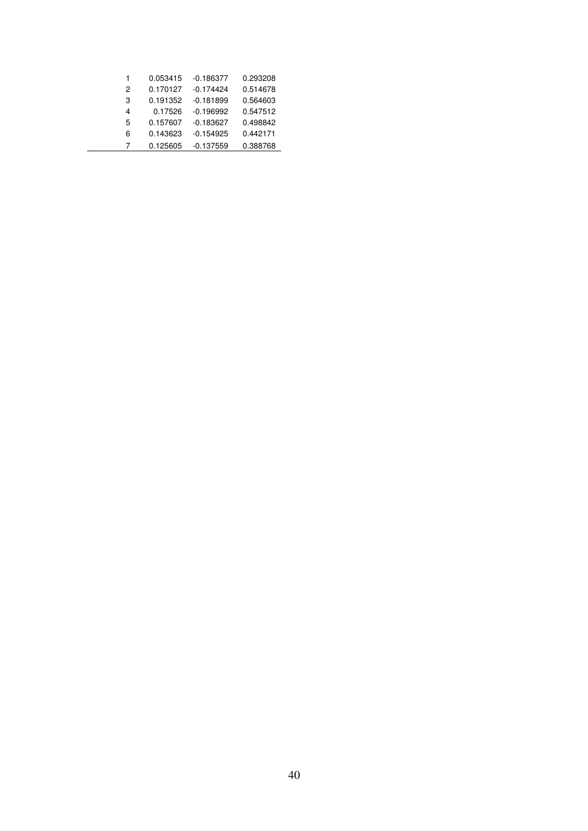|   | 0.053415 | $-0.186377$ | 0.293208 |
|---|----------|-------------|----------|
| 2 | 0.170127 | $-0.174424$ | 0.514678 |
| 3 | 0.191352 | $-0.181899$ | 0.564603 |
| 4 | 0.17526  | $-0.196992$ | 0.547512 |
| 5 | 0.157607 | $-0.183627$ | 0.498842 |
| 6 | 0.143623 | $-0.154925$ | 0.442171 |
| 7 | 0.125605 | $-0.137559$ | 0.388768 |
|   |          |             |          |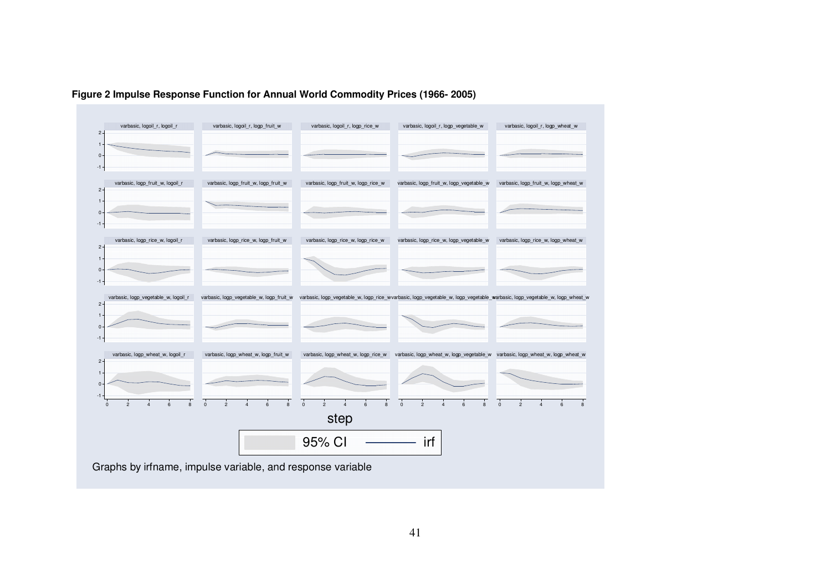

#### **Figure 2 Impulse Response Function for Annual World Commodity Prices (1966- 2005)**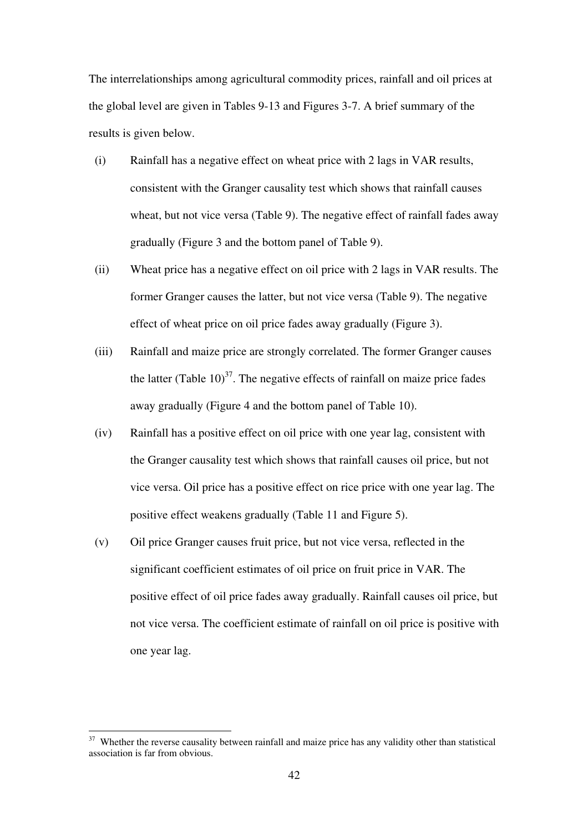The interrelationships among agricultural commodity prices, rainfall and oil prices at the global level are given in Tables 9-13 and Figures 3-7. A brief summary of the results is given below.

- (i) Rainfall has a negative effect on wheat price with 2 lags in VAR results, consistent with the Granger causality test which shows that rainfall causes wheat, but not vice versa (Table 9). The negative effect of rainfall fades away gradually (Figure 3 and the bottom panel of Table 9).
- (ii) Wheat price has a negative effect on oil price with 2 lags in VAR results. The former Granger causes the latter, but not vice versa (Table 9). The negative effect of wheat price on oil price fades away gradually (Figure 3).
- (iii) Rainfall and maize price are strongly correlated. The former Granger causes the latter (Table 10)<sup>37</sup>. The negative effects of rainfall on maize price fades away gradually (Figure 4 and the bottom panel of Table 10).
- (iv) Rainfall has a positive effect on oil price with one year lag, consistent with the Granger causality test which shows that rainfall causes oil price, but not vice versa. Oil price has a positive effect on rice price with one year lag. The positive effect weakens gradually (Table 11 and Figure 5).
- (v) Oil price Granger causes fruit price, but not vice versa, reflected in the significant coefficient estimates of oil price on fruit price in VAR. The positive effect of oil price fades away gradually. Rainfall causes oil price, but not vice versa. The coefficient estimate of rainfall on oil price is positive with one year lag.

 $\overline{a}$ 

<sup>37</sup> Whether the reverse causality between rainfall and maize price has any validity other than statistical association is far from obvious.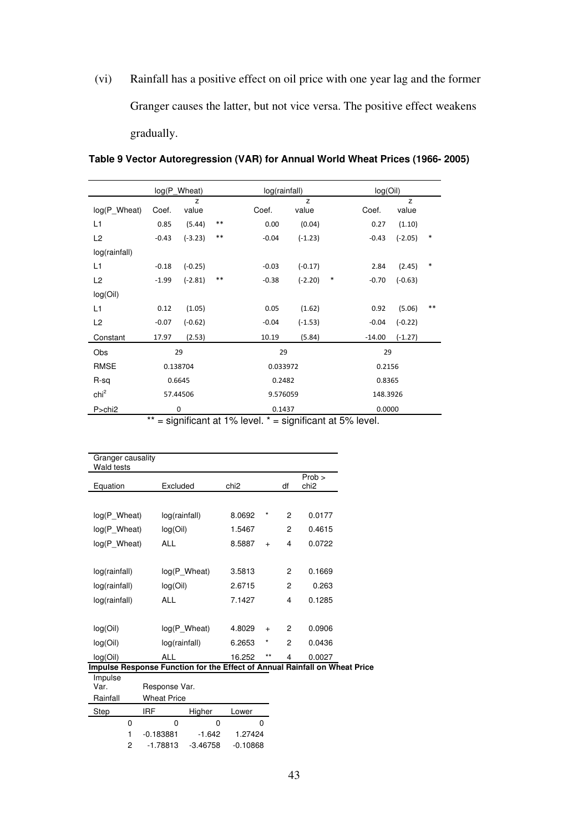(vi) Rainfall has a positive effect on oil price with one year lag and the former Granger causes the latter, but not vice versa. The positive effect weakens gradually.

|                | log(P_Wheat) |            |       |          | log(rainfall) |   |          | log(Oil)   |        |  |
|----------------|--------------|------------|-------|----------|---------------|---|----------|------------|--------|--|
| log(P_Wheat)   | Coef.        | Z<br>value |       | Coef.    | z<br>value    |   | Coef.    | z<br>value |        |  |
| L1             | 0.85         | (5.44)     | $* *$ | 0.00     | (0.04)        |   | 0.27     | (1.10)     |        |  |
| L <sub>2</sub> | $-0.43$      | $(-3.23)$  | $**$  | $-0.04$  | $(-1.23)$     |   | $-0.43$  | $(-2.05)$  | *      |  |
| log(rainfall)  |              |            |       |          |               |   |          |            |        |  |
| L1             | $-0.18$      | $(-0.25)$  |       | $-0.03$  | $(-0.17)$     |   | 2.84     | (2.45)     | $\ast$ |  |
| L <sub>2</sub> | $-1.99$      | $(-2.81)$  | $* *$ | $-0.38$  | $(-2.20)$     | * | $-0.70$  | $(-0.63)$  |        |  |
| log(Oil)       |              |            |       |          |               |   |          |            |        |  |
| L1             | 0.12         | (1.05)     |       | 0.05     | (1.62)        |   | 0.92     | (5.06)     | $**$   |  |
| L2             | $-0.07$      | $(-0.62)$  |       | $-0.04$  | $(-1.53)$     |   | $-0.04$  | $(-0.22)$  |        |  |
| Constant       | 17.97        | (2.53)     |       | 10.19    | (5.84)        |   | $-14.00$ | $(-1.27)$  |        |  |
| Obs            |              | 29         |       | 29       |               |   | 29       |            |        |  |
| <b>RMSE</b>    |              | 0.138704   |       | 0.033972 |               |   | 0.2156   |            |        |  |
| R-sq           | 0.6645       |            |       |          | 0.2482        |   |          | 0.8365     |        |  |
| $\text{chi}^2$ | 57.44506     |            |       | 9.576059 |               |   | 148.3926 |            |        |  |
| P>chi2         |              | 0          |       | 0.1437   |               |   | 0.0000   |            |        |  |

**Table 9 Vector Autoregression (VAR) for Annual World Wheat Prices (1966- 2005)** 

 $**$  = significant at 1% level.  $*$  = significant at 5% level.

| Granger causality |                |        |           |                |                                                                            |
|-------------------|----------------|--------|-----------|----------------|----------------------------------------------------------------------------|
| Wald tests        |                |        |           |                |                                                                            |
|                   |                |        |           |                | Prob                                                                       |
| Equation          | Excluded       | chi2   |           | df             | chi2                                                                       |
|                   |                |        |           |                |                                                                            |
| $log(P$ Wheat)    | log(rainfall)  | 8.0692 | *         | $\overline{c}$ | 0.0177                                                                     |
| $log(P$ Wheat)    | log(Oil)       | 1.5467 |           | 2              | 0.4615                                                                     |
| $log(P$ Wheat)    | ALL            | 8.5887 | $+$       | 4              | 0.0722                                                                     |
|                   |                |        |           |                |                                                                            |
| log(rainfall)     | $log(P$ Wheat) | 3.5813 |           | 2              | 0.1669                                                                     |
| log(rainfall)     | log(Oil)       | 2.6715 |           | 2              | 0.263                                                                      |
| log(rainfall)     | ALL            | 7.1427 |           | 4              | 0.1285                                                                     |
|                   |                |        |           |                |                                                                            |
| log(Oil)          | log(P_Wheat)   | 4.8029 | $\ddot{}$ | 2              | 0.0906                                                                     |
| log(Oil)          | log(rainfall)  | 6.2653 | *         | $\overline{c}$ | 0.0436                                                                     |
| log(Oil)          | ALL            | 16.252 | **        | 4              | 0.0027                                                                     |
|                   |                |        |           |                | Impulse Response Function for the Effect of Annual Rainfall on Wheat Price |

Impulse<br>Var. Response Var.

| Rainfall |   | <b>Wheat Price</b> |            |            |  |  |
|----------|---|--------------------|------------|------------|--|--|
| Step     |   | IRF                | Higher     | Lower      |  |  |
|          |   | 0                  |            |            |  |  |
|          |   | $-0.183881$        | $-1.642$   | 1.27424    |  |  |
|          | 2 | $-1.78813$         | $-3.46758$ | $-0.10868$ |  |  |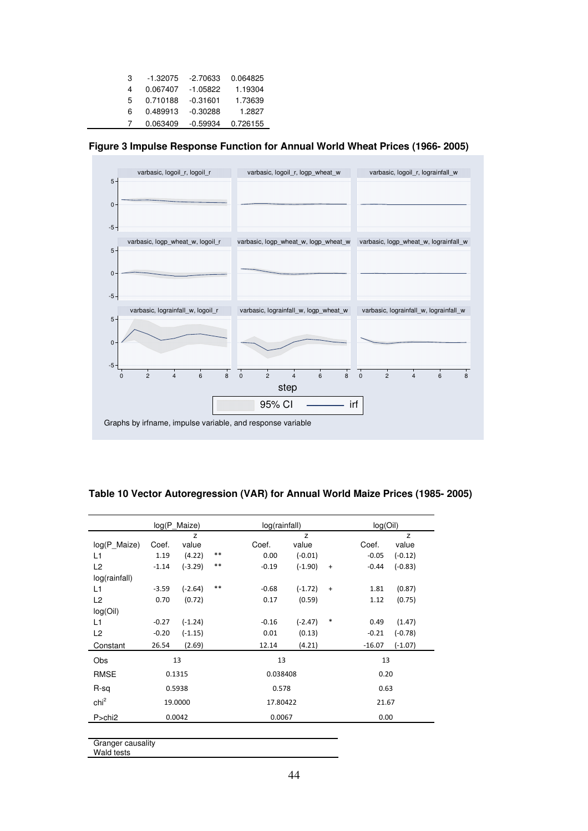| з | -1.32075 | -2.70633   | 0.064825 |
|---|----------|------------|----------|
| 4 | 0.067407 | $-1.05822$ | 1.19304  |
| 5 | 0.710188 | -0.31601   | 1.73639  |
| հ | 0.489913 | -0.30288   | 1.2827   |
|   | 0.063409 | -0.59934   | 0.726155 |

**Figure 3 Impulse Response Function for Annual World Wheat Prices (1966- 2005)** 



**Table 10 Vector Autoregression (VAR) for Annual World Maize Prices (1985- 2005)** 

|                   |         | log(P Maize) |       | log(rainfall) |            |                                  | log(Oil) |            |  |
|-------------------|---------|--------------|-------|---------------|------------|----------------------------------|----------|------------|--|
| log(P Maize)      | Coef.   | z<br>value   |       | Coef.         | z<br>value |                                  | Coef.    | z<br>value |  |
| L1                | 1.19    | (4.22)       | $***$ | 0.00          | $(-0.01)$  |                                  | $-0.05$  | $(-0.12)$  |  |
| L <sub>2</sub>    | $-1.14$ | $(-3.29)$    | $***$ | $-0.19$       | $(-1.90)$  | $\begin{array}{c} + \end{array}$ | $-0.44$  | $(-0.83)$  |  |
| log(rainfall)     |         |              |       |               |            |                                  |          |            |  |
| L1                | $-3.59$ | $(-2.64)$    | $***$ | $-0.68$       | $(-1.72)$  | $\ddot{}$                        | 1.81     | (0.87)     |  |
| L <sub>2</sub>    | 0.70    | (0.72)       |       | 0.17          | (0.59)     |                                  | 1.12     | (0.75)     |  |
| log(Oil)          |         |              |       |               |            |                                  |          |            |  |
| L <sub>1</sub>    | $-0.27$ | $(-1.24)$    |       | $-0.16$       | $(-2.47)$  | *                                | 0.49     | (1.47)     |  |
| L <sub>2</sub>    | $-0.20$ | $(-1.15)$    |       | 0.01          | (0.13)     |                                  | $-0.21$  | $(-0.78)$  |  |
| Constant          | 26.54   | (2.69)       |       | 12.14         | (4.21)     |                                  | $-16.07$ | $(-1.07)$  |  |
| Obs               |         | 13           |       | 13            |            |                                  | 13       |            |  |
| <b>RMSE</b>       |         | 0.1315       |       | 0.038408      |            |                                  | 0.20     |            |  |
| R-sq              |         | 0.5938       |       | 0.578         |            |                                  | 0.63     |            |  |
| chi <sup>2</sup>  |         | 19.0000      |       | 17.80422      |            |                                  | 21.67    |            |  |
| P>chi2            |         | 0.0042       |       | 0.0067        |            |                                  | 0.00     |            |  |
|                   |         |              |       |               |            |                                  |          |            |  |
| Granger causality |         |              |       |               |            |                                  |          |            |  |

Wald tests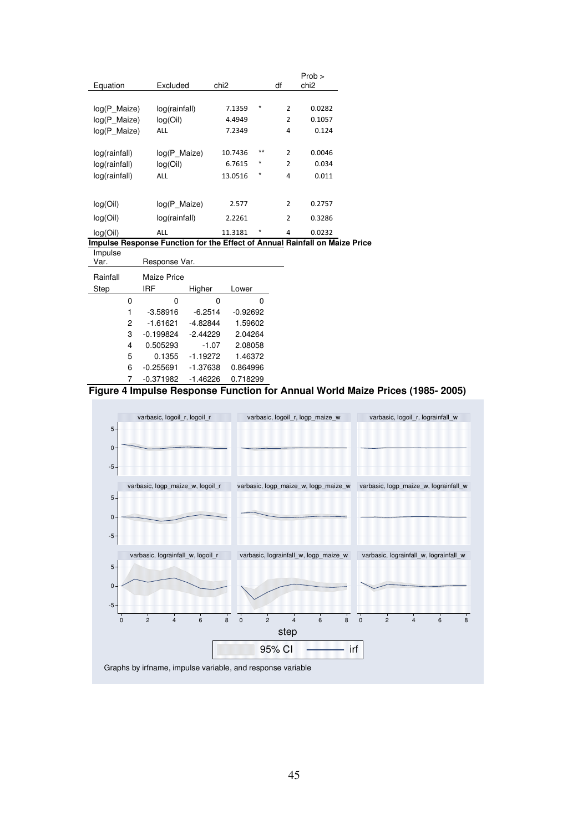| Equation                                                                   |            | Excluded           |            | chi <sub>2</sub> |            |            | df |                | Prob ><br>chi <sub>2</sub> |  |
|----------------------------------------------------------------------------|------------|--------------------|------------|------------------|------------|------------|----|----------------|----------------------------|--|
|                                                                            |            |                    |            |                  |            |            |    |                |                            |  |
| log(P Maize)                                                               |            | log(rainfall)      |            |                  | 7.1359     | *          |    | $\overline{2}$ | 0.0282                     |  |
| log(P Maize)                                                               |            | log(Oil)           |            |                  | 4.4949     |            |    | $\overline{2}$ | 0.1057                     |  |
| log(P_Maize)                                                               |            | ALL                |            |                  | 7.2349     |            |    | 4              | 0.124                      |  |
|                                                                            |            |                    |            |                  |            |            |    |                |                            |  |
| log(rainfall)                                                              |            | log(P Maize)       |            |                  | 10.7436    | $***$      |    | $\overline{2}$ | 0.0046                     |  |
| log(rainfall)                                                              |            | log(Oil)           |            |                  | 6.7615     |            |    | $\overline{2}$ | 0.034                      |  |
| log(rainfall)                                                              |            | <b>ALL</b>         |            |                  | 13.0516    | $^{\star}$ |    | $\overline{4}$ | 0.011                      |  |
|                                                                            |            |                    |            |                  |            |            |    |                |                            |  |
| log(Oil)                                                                   |            | log(P Maize)       |            |                  | 2.577      |            |    | $\overline{2}$ | 0.2757                     |  |
| log(Oil)                                                                   |            | log(rainfall)      |            |                  | 2.2261     |            |    | $\overline{2}$ | 0.3286                     |  |
| log(Oil)                                                                   |            | ALL                |            |                  | 11.3181    |            |    | 4              | 0.0232                     |  |
| Impulse Response Function for the Effect of Annual Rainfall on Maize Price |            |                    |            |                  |            |            |    |                |                            |  |
| Impulse                                                                    |            |                    |            |                  |            |            |    |                |                            |  |
| Var.                                                                       |            | Response Var.      |            |                  |            |            |    |                |                            |  |
| Rainfall                                                                   |            | <b>Maize Price</b> |            |                  |            |            |    |                |                            |  |
| Step                                                                       | <b>IRF</b> |                    | Higher     |                  | Lower      |            |    |                |                            |  |
|                                                                            | 0          | 0                  |            | 0                |            | 0          |    |                |                            |  |
|                                                                            | 1          | $-3.58916$         | $-6.2514$  |                  | $-0.92692$ |            |    |                |                            |  |
|                                                                            | 2          | $-1.61621$         | $-4.82844$ |                  | 1.59602    |            |    |                |                            |  |
|                                                                            | 3          | $-0.199824$        | $-2.44229$ |                  | 2.04264    |            |    |                |                            |  |
|                                                                            | 4          | 0.505293           |            | $-1.07$          | 2.08058    |            |    |                |                            |  |
|                                                                            | 5          | 0.1355             | $-1.19272$ |                  | 1.46372    |            |    |                |                            |  |
|                                                                            | 6          | $-0.255691$        | -1.37638   |                  | 0.864996   |            |    |                |                            |  |
|                                                                            | 7          | $-0.371982$        | $-1.46226$ |                  | 0.718299   |            |    |                |                            |  |

**Figure 4 Impulse Response Function for Annual World Maize Prices (1985- 2005)** 

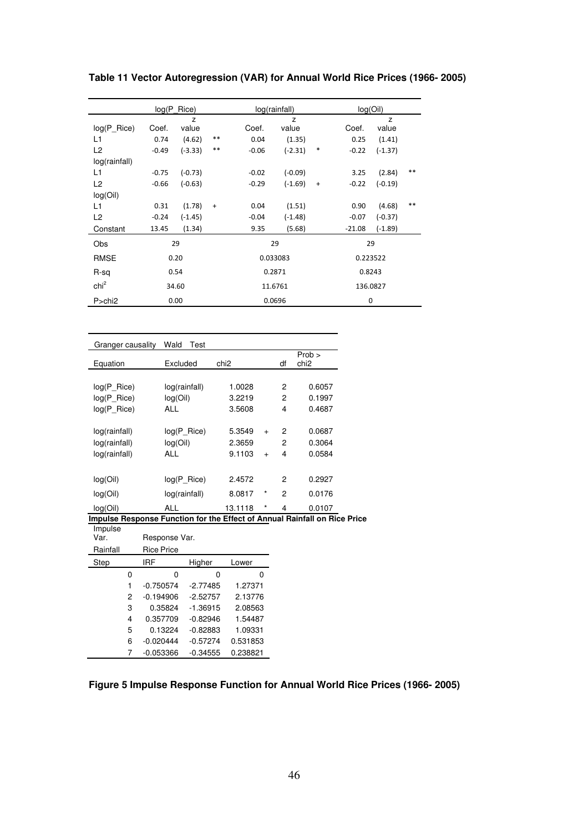|                |         | $log(P \text{ Rice})$ |                                  |         | log(rainfall) |                                  | log(Oil) |           |       |
|----------------|---------|-----------------------|----------------------------------|---------|---------------|----------------------------------|----------|-----------|-------|
|                |         | Z                     |                                  |         | Z             |                                  |          | z         |       |
| $log(P$ Rice)  | Coef.   | value                 |                                  | Coef.   | value         |                                  | Coef.    | value     |       |
| L <sub>1</sub> | 0.74    | (4.62)                | $***$                            | 0.04    | (1.35)        |                                  | 0.25     | (1.41)    |       |
| L <sub>2</sub> | $-0.49$ | $(-3.33)$             | $***$                            | $-0.06$ | $(-2.31)$     | $\ast$                           | $-0.22$  | $(-1.37)$ |       |
| log(rainfall)  |         |                       |                                  |         |               |                                  |          |           |       |
| L <sub>1</sub> | $-0.75$ | $(-0.73)$             |                                  | $-0.02$ | $(-0.09)$     |                                  | 3.25     | (2.84)    | $***$ |
| L <sub>2</sub> | $-0.66$ | $(-0.63)$             |                                  | $-0.29$ | $(-1.69)$     | $\begin{array}{c} + \end{array}$ | $-0.22$  | $(-0.19)$ |       |
| log(Oil)       |         |                       |                                  |         |               |                                  |          |           |       |
| L1             | 0.31    | (1.78)                | $\begin{array}{c} + \end{array}$ | 0.04    | (1.51)        |                                  | 0.90     | (4.68)    | $***$ |
| L <sub>2</sub> | $-0.24$ | $(-1.45)$             |                                  | $-0.04$ | $(-1.48)$     |                                  | $-0.07$  | $(-0.37)$ |       |
| Constant       | 13.45   | (1.34)                |                                  | 9.35    | (5.68)        |                                  | $-21.08$ | $(-1.89)$ |       |
| Obs            |         | 29                    |                                  |         | 29            |                                  |          | 29        |       |
| <b>RMSE</b>    |         | 0.20                  |                                  |         | 0.033083      |                                  |          | 0.223522  |       |
| R-sq           |         | 0.54                  |                                  |         | 0.2871        |                                  |          | 0.8243    |       |
| $\text{chi}^2$ |         | 34.60                 |                                  |         | 11.6761       |                                  |          | 136.0827  |       |
| $P >$ chi2     |         | 0.00                  |                                  |         | 0.0696        |                                  | 0        |           |       |

**Table 11 Vector Autoregression (VAR) for Annual World Rice Prices (1966- 2005)** 

| Granger causality                                                         | Wald              | Test          |                  |            |                |                  |
|---------------------------------------------------------------------------|-------------------|---------------|------------------|------------|----------------|------------------|
|                                                                           |                   |               |                  |            |                | Prob             |
| Equation                                                                  | Excluded          |               | chi <sub>2</sub> |            | df             | chi <sub>2</sub> |
|                                                                           |                   |               |                  |            |                |                  |
| $log(P$ Rice)                                                             |                   | log(rainfall) | 1.0028           |            | 2              | 0.6057           |
| log(P_Rice)                                                               | log(Oil)          |               | 3.2219           |            | 2              | 0.1997           |
| $log(P$ Rice)                                                             | ALL               |               | 3.5608           |            | 4              | 0.4687           |
|                                                                           |                   |               |                  |            |                |                  |
| log(rainfall)                                                             |                   | $log(P_Rice)$ | 5.3549           | $+$        | 2              | 0.0687           |
| log(rainfall)                                                             | log(Oil)          |               | 2.3659           |            | 2              | 0.3064           |
| log(rainfall)                                                             | <b>ALL</b>        |               | 9.1103           | $+$        | 4              | 0.0584           |
|                                                                           |                   |               |                  |            |                |                  |
| log(Oil)                                                                  |                   | $log(P_Rice)$ | 2.4572           |            | 2              | 0.2927           |
| log(Oil)                                                                  |                   | log(rainfall) | 8.0817           | $^{\star}$ | $\overline{2}$ | 0.0176           |
| log(Oil)                                                                  | <b>ALL</b>        |               | 13.1118          | $^{\star}$ | 4              | 0.0107           |
| Impulse Response Function for the Effect of Annual Rainfall on Rice Price |                   |               |                  |            |                |                  |
| Impulse<br>Var.                                                           | Response Var.     |               |                  |            |                |                  |
| Rainfall                                                                  | <b>Rice Price</b> |               |                  |            |                |                  |
| Step                                                                      | <b>IRF</b>        | Higher        | Lower            |            |                |                  |
| 0                                                                         | 0                 |               | 0                | 0          |                |                  |
| 1                                                                         | $-0.750574$       | $-2.77485$    | 1.27371          |            |                |                  |
| 2                                                                         | $-0.194906$       | $-2.52757$    | 2.13776          |            |                |                  |
| 3                                                                         | 0.35824           | $-1.36915$    | 2.08563          |            |                |                  |
| 4                                                                         | 0.357709          | $-0.82946$    | 1.54487          |            |                |                  |
| 5                                                                         | 0.13224           | $-0.82883$    | 1.09331          |            |                |                  |

6 -0.020444 -0.57274 0.531853 7 -0.053366 -0.34555 0.238821

**Figure 5 Impulse Response Function for Annual World Rice Prices (1966- 2005)**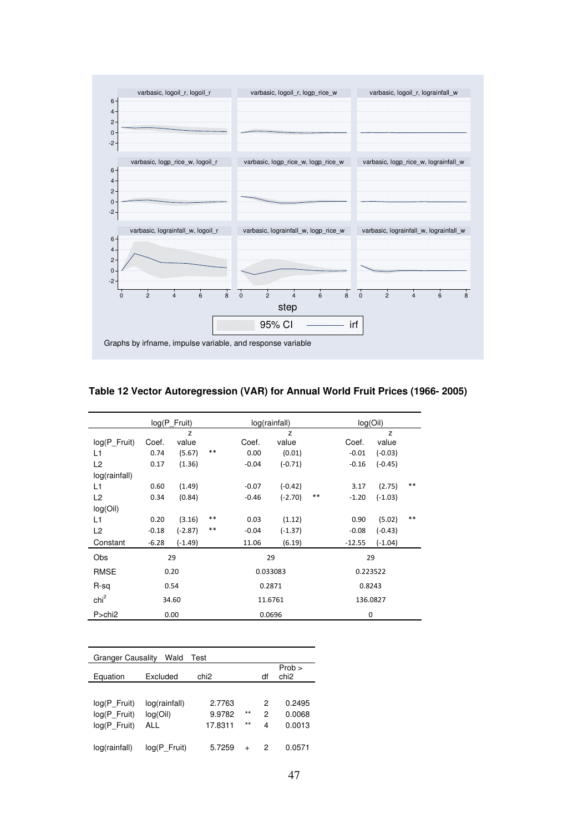

**Table 12 Vector Autoregression (VAR) for Annual World Fruit Prices (1966- 2005)** 

|                  |         | log(P_Fruit) |       |         | log(rainfall) |       | log(Oil) |           |       |
|------------------|---------|--------------|-------|---------|---------------|-------|----------|-----------|-------|
|                  |         | z            |       |         | z             |       |          | z         |       |
| $log(P$ Fruit)   | Coef.   | value        |       | Coef.   | value         |       | Coef.    | value     |       |
| L1               | 0.74    | (5.67)       | $***$ | 0.00    | (0.01)        |       | $-0.01$  | $(-0.03)$ |       |
| L2               | 0.17    | (1.36)       |       | $-0.04$ | $(-0.71)$     |       | $-0.16$  | $(-0.45)$ |       |
| log(rainfall)    |         |              |       |         |               |       |          |           |       |
| L1               | 0.60    | (1.49)       |       | $-0.07$ | $(-0.42)$     |       | 3.17     | (2.75)    | $* *$ |
| L2               | 0.34    | (0.84)       |       | $-0.46$ | $(-2.70)$     | $* *$ | $-1.20$  | $(-1.03)$ |       |
| log(Oil)         |         |              |       |         |               |       |          |           |       |
| L1               | 0.20    | (3.16)       | $***$ | 0.03    | (1.12)        |       | 0.90     | (5.02)    | $* *$ |
| L2               | $-0.18$ | $(-2.87)$    | $***$ | $-0.04$ | $(-1.37)$     |       | $-0.08$  | $(-0.43)$ |       |
| Constant         | $-6.28$ | $(-1.49)$    |       | 11.06   | (6.19)        |       | $-12.55$ | $(-1.04)$ |       |
| Obs              |         | 29           |       |         | 29            |       | 29       |           |       |
| <b>RMSE</b>      |         | 0.20         |       |         | 0.033083      |       | 0.223522 |           |       |
| R-sq             |         | 0.54         |       |         | 0.2871        |       | 0.8243   |           |       |
| chi <sup>2</sup> |         | 34.60        |       |         | 11.6761       |       | 136.0827 |           |       |
| $P >$ chi2       |         | 0.00         |       |         | 0.0696        |       | 0        |           |       |

| <b>Granger Causality</b> | Wald           | Test    |       |    |                            |
|--------------------------|----------------|---------|-------|----|----------------------------|
| Equation                 | Excluded       | chi2    |       | df | Prob ><br>chi <sub>2</sub> |
|                          |                |         |       |    |                            |
| $log(P$ Fruit)           | log(rainfall)  | 2.7763  |       | 2  | 0.2495                     |
| log(P Fruit)             | log(Oil)       | 9.9782  | $***$ | 2  | 0.0068                     |
| log(P Fruit)             | AII            | 17.8311 | $***$ | 4  | 0.0013                     |
|                          |                |         |       |    |                            |
| log(rainfall)            | $log(P$ Fruit) | 5.7259  |       | 2  | 0.0571                     |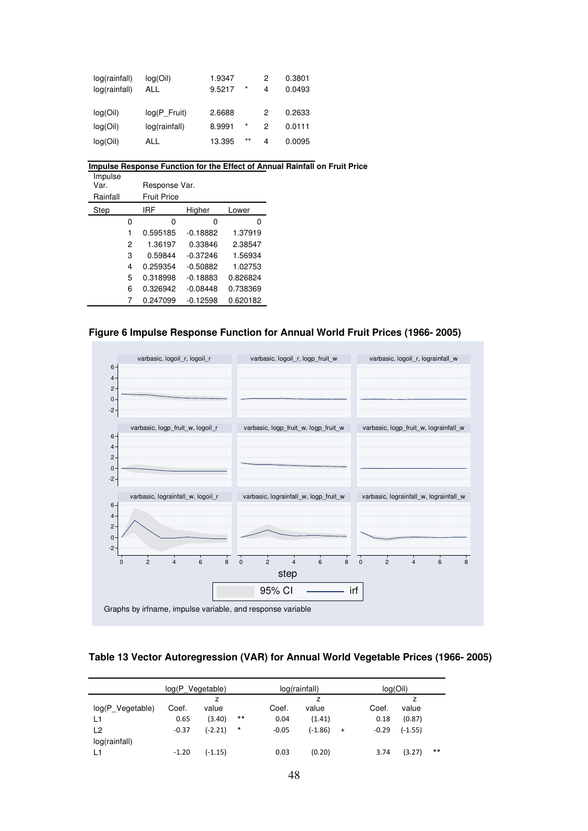| log(rainfall)<br>log(rainfall) | log(Oil)<br>ALL | 1.9347<br>9.5217 | *     | 2<br>4 | 0.3801<br>0.0493 |
|--------------------------------|-----------------|------------------|-------|--------|------------------|
| log(Oil)                       | $log(P_F$ ruit) | 2.6688           |       | 2      | 0.2633           |
| log(Oil)                       | log(rainfall)   | 8.9991           | *     | 2      | 0.0111           |
| log(Oil)                       | ALL             | 13.395           | $***$ | 4      | 0.0095           |

|          |   |                    |            |          | Impulse Response Function for the Effect of Annual Rainfall on Fruit Price |
|----------|---|--------------------|------------|----------|----------------------------------------------------------------------------|
| Impulse  |   |                    |            |          |                                                                            |
| Var.     |   | Response Var.      |            |          |                                                                            |
| Rainfall |   | <b>Fruit Price</b> |            |          |                                                                            |
| Step     |   | <b>IRF</b>         | Higher     | Lower    |                                                                            |
|          | 0 | 0                  | 0          | 0        |                                                                            |
|          |   | 0.595185           | $-0.18882$ | 1.37919  |                                                                            |
|          | 2 | 1.36197            | 0.33846    | 2.38547  |                                                                            |
|          | 3 | 0.59844            | $-0.37246$ | 1.56934  |                                                                            |
|          | 4 | 0.259354           | $-0.50882$ | 1.02753  |                                                                            |
|          | 5 | 0.318998           | $-0.18883$ | 0.826824 |                                                                            |
|          | 6 | 0.326942           | $-0.08448$ | 0.738369 |                                                                            |
|          |   | 0.247099           | $-0.12598$ | 0.620182 |                                                                            |
|          |   |                    |            |          |                                                                            |

#### **Figure 6 Impulse Response Function for Annual World Fruit Prices (1966- 2005)**



## **Table 13 Vector Autoregression (VAR) for Annual World Vegetable Prices (1966- 2005)**

|                            | $log(P \text{ Vegetable})$ |           |       |         | log(rainfall) |                | log(Oil) |           |       |
|----------------------------|----------------------------|-----------|-------|---------|---------------|----------------|----------|-----------|-------|
|                            |                            | z         |       |         |               |                |          |           |       |
| $log(P \text{ Vegetable})$ | Coef.                      | value     |       | Coef.   | value         |                | Coef.    | value     |       |
| L1                         | 0.65                       | (3.40)    | $***$ | 0.04    | (1.41)        |                | 0.18     | (0.87)    |       |
| L2                         | $-0.37$                    | $(-2.21)$ | *     | $-0.05$ | $(-1.86)$     | $\overline{+}$ | $-0.29$  | $(-1.55)$ |       |
| log(rainfall)              |                            |           |       |         |               |                |          |           |       |
| L1                         | $-1.20$                    | $(-1.15)$ |       | 0.03    | (0.20)        |                | 3.74     | (3.27)    | $***$ |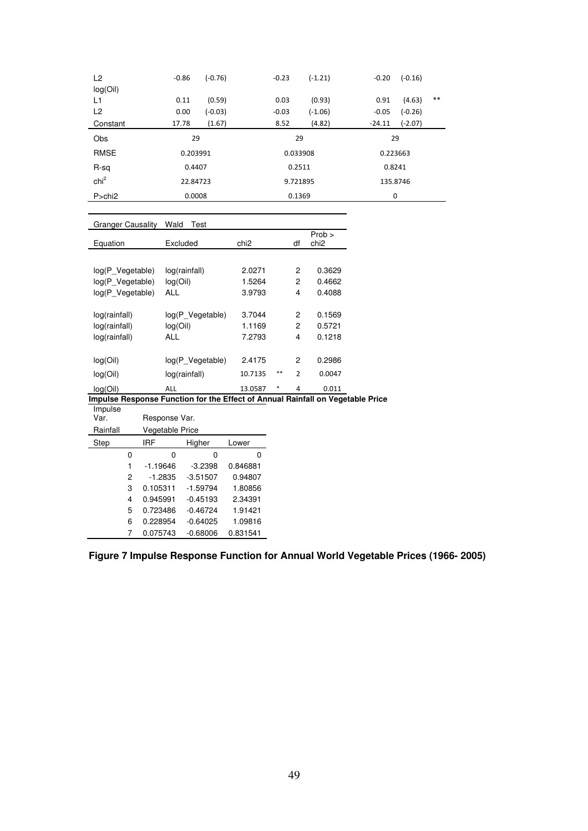| L2               | $-0.86$  | $(-0.76)$ | $-0.23$ | $(-1.21)$ | $-0.20$  | $(-0.16)$ |       |
|------------------|----------|-----------|---------|-----------|----------|-----------|-------|
| log(Oil)         |          |           |         |           |          |           |       |
| L1               | 0.11     | (0.59)    | 0.03    | (0.93)    | 0.91     | (4.63)    | $***$ |
| L <sub>2</sub>   | 0.00     | $(-0.03)$ | $-0.03$ | $(-1.06)$ | $-0.05$  | $(-0.26)$ |       |
| Constant         | 17.78    | (1.67)    | 8.52    | (4.82)    | $-24.11$ | $(-2.07)$ |       |
| Obs              | 29       |           |         | 29        | 29       |           |       |
| <b>RMSE</b>      | 0.203991 |           |         | 0.033908  | 0.223663 |           |       |
| R-sq             | 0.4407   |           |         | 0.2511    | 0.8241   |           |       |
| chi <sup>2</sup> | 22.84723 |           |         | 9.721895  | 135.8746 |           |       |
| $P >$ chi2       | 0.0008   |           |         | 0.1369    | 0        |           |       |

| <b>Granger Causality</b>                                                       |            | Wald            | Test             |                  |       |    |                  |
|--------------------------------------------------------------------------------|------------|-----------------|------------------|------------------|-------|----|------------------|
|                                                                                |            |                 |                  |                  |       |    | Prob             |
| Equation                                                                       |            |                 | Excluded         | chi <sub>2</sub> |       | df | chi <sub>2</sub> |
|                                                                                |            |                 |                  |                  |       |    |                  |
| log(P Vegetable)                                                               |            |                 | log(rainfall)    | 2.0271           |       | 2  | 0.3629           |
| log(P_Vegetable)                                                               |            | log(Oil)        |                  | 1.5264           |       | 2  | 0.4662           |
| log(P Vegetable)                                                               |            | ALL             |                  | 3.9793           |       | 4  | 0.4088           |
|                                                                                |            |                 |                  |                  |       |    |                  |
| log(rainfall)                                                                  |            |                 | log(P_Vegetable) | 3.7044           |       | 2  | 0.1569           |
| log(rainfall)                                                                  |            | log(Oil)        |                  | 1.1169           |       | 2  | 0.5721           |
| log(rainfall)                                                                  |            | <b>ALL</b>      |                  | 7.2793           |       | 4  | 0.1218           |
|                                                                                |            |                 |                  |                  |       |    |                  |
| log(Oil)                                                                       |            |                 | log(P Vegetable) | 2.4175           |       | 2  | 0.2986           |
| log(Oil)                                                                       |            |                 | log(rainfall)    | 10.7135          | $***$ | 2  | 0.0047           |
| log(Oil)                                                                       |            | <b>ALL</b>      |                  | 13.0587          | *     | 4  | 0.011            |
| Impulse Response Function for the Effect of Annual Rainfall on Vegetable Price |            |                 |                  |                  |       |    |                  |
| Impulse                                                                        |            |                 |                  |                  |       |    |                  |
| Var.                                                                           |            | Response Var.   |                  |                  |       |    |                  |
| Rainfall                                                                       |            | Vegetable Price |                  |                  |       |    |                  |
| Step                                                                           | <b>IRF</b> |                 | Higher           | Lower            |       |    |                  |
| 0                                                                              |            | $\Omega$        | $\mathbf{0}$     | $\Omega$         |       |    |                  |
| 1                                                                              | $-1.19646$ |                 | $-3.2398$        | 0.846881         |       |    |                  |
| 2                                                                              |            | $-1.2835$       | $-3.51507$       | 0.94807          |       |    |                  |
| 3                                                                              | 0.105311   |                 | $-1.59794$       | 1.80856          |       |    |                  |
| 4                                                                              | 0.945991   |                 | $-0.45193$       | 2.34391          |       |    |                  |
| 5                                                                              | 0.723486   |                 | $-0.46724$       | 1.91421          |       |    |                  |
| 6                                                                              | 0.228954   |                 | $-0.64025$       | 1.09816          |       |    |                  |
| 7                                                                              | 0.075743   |                 | $-0.68006$       | 0.831541         |       |    |                  |

**Figure 7 Impulse Response Function for Annual World Vegetable Prices (1966- 2005)**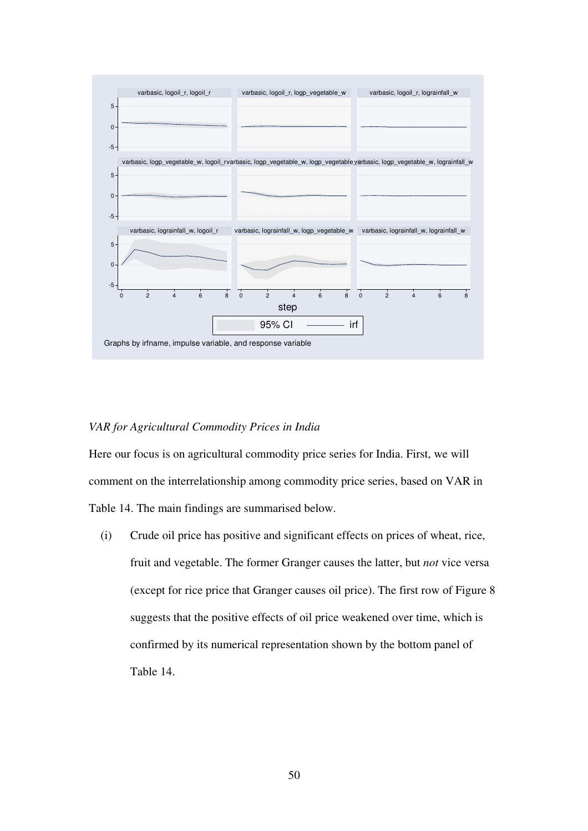

# *VAR for Agricultural Commodity Prices in India*

Here our focus is on agricultural commodity price series for India. First, we will comment on the interrelationship among commodity price series, based on VAR in Table 14. The main findings are summarised below.

(i) Crude oil price has positive and significant effects on prices of wheat, rice, fruit and vegetable. The former Granger causes the latter, but *not* vice versa (except for rice price that Granger causes oil price). The first row of Figure 8 suggests that the positive effects of oil price weakened over time, which is confirmed by its numerical representation shown by the bottom panel of Table 14.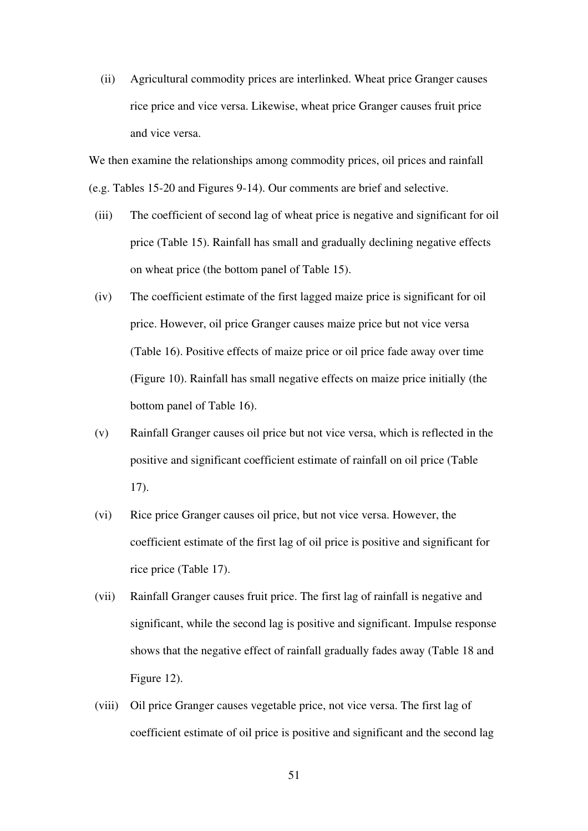(ii) Agricultural commodity prices are interlinked. Wheat price Granger causes rice price and vice versa. Likewise, wheat price Granger causes fruit price and vice versa.

We then examine the relationships among commodity prices, oil prices and rainfall (e.g. Tables 15-20 and Figures 9-14). Our comments are brief and selective.

- (iii) The coefficient of second lag of wheat price is negative and significant for oil price (Table 15). Rainfall has small and gradually declining negative effects on wheat price (the bottom panel of Table 15).
- (iv) The coefficient estimate of the first lagged maize price is significant for oil price. However, oil price Granger causes maize price but not vice versa (Table 16). Positive effects of maize price or oil price fade away over time (Figure 10). Rainfall has small negative effects on maize price initially (the bottom panel of Table 16).
- (v) Rainfall Granger causes oil price but not vice versa, which is reflected in the positive and significant coefficient estimate of rainfall on oil price (Table 17).
- (vi) Rice price Granger causes oil price, but not vice versa. However, the coefficient estimate of the first lag of oil price is positive and significant for rice price (Table 17).
- (vii) Rainfall Granger causes fruit price. The first lag of rainfall is negative and significant, while the second lag is positive and significant. Impulse response shows that the negative effect of rainfall gradually fades away (Table 18 and Figure 12).
- (viii) Oil price Granger causes vegetable price, not vice versa. The first lag of coefficient estimate of oil price is positive and significant and the second lag

51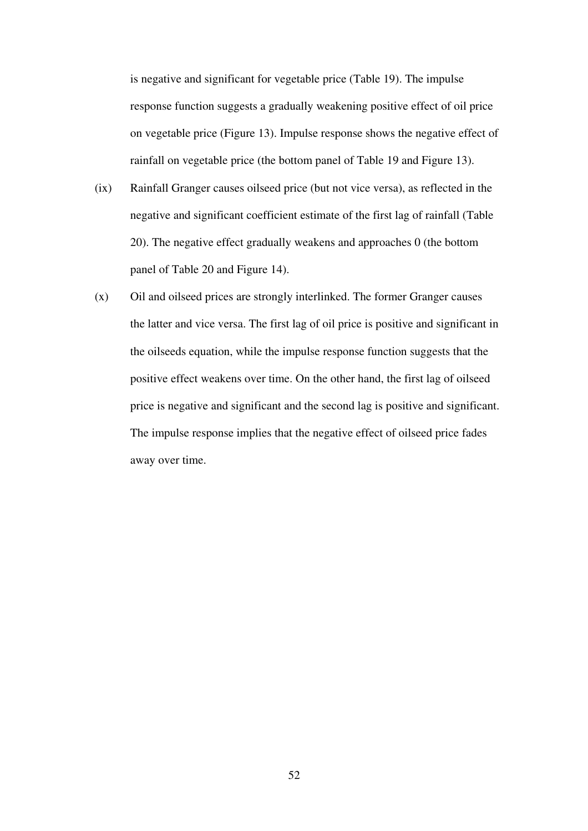is negative and significant for vegetable price (Table 19). The impulse response function suggests a gradually weakening positive effect of oil price on vegetable price (Figure 13). Impulse response shows the negative effect of rainfall on vegetable price (the bottom panel of Table 19 and Figure 13).

- (ix) Rainfall Granger causes oilseed price (but not vice versa), as reflected in the negative and significant coefficient estimate of the first lag of rainfall (Table 20). The negative effect gradually weakens and approaches 0 (the bottom panel of Table 20 and Figure 14).
- (x) Oil and oilseed prices are strongly interlinked. The former Granger causes the latter and vice versa. The first lag of oil price is positive and significant in the oilseeds equation, while the impulse response function suggests that the positive effect weakens over time. On the other hand, the first lag of oilseed price is negative and significant and the second lag is positive and significant. The impulse response implies that the negative effect of oilseed price fades away over time.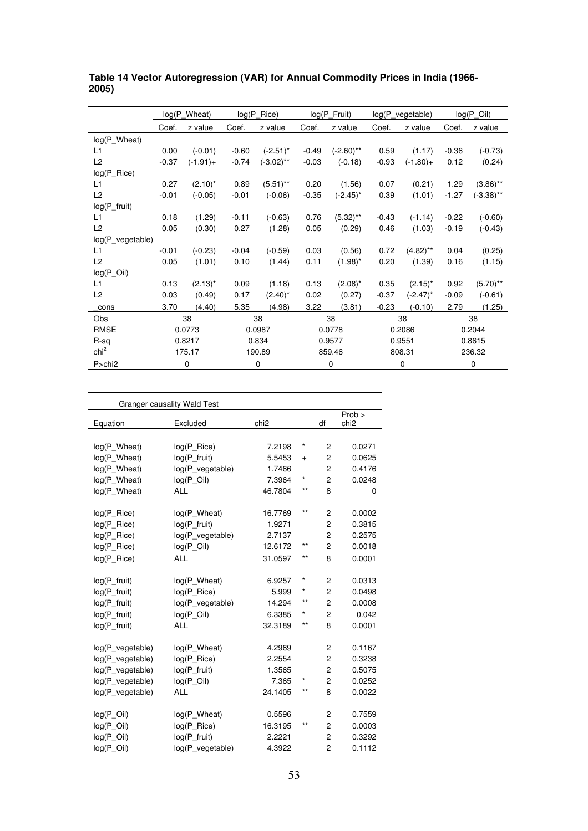|                  | $log(P_$ | Wheat)      |         | log(P_Rice)  |         | log(P_Fruit) |         | _vegetable) | log(P_Oil) |              |
|------------------|----------|-------------|---------|--------------|---------|--------------|---------|-------------|------------|--------------|
|                  | Coef.    | z value     | Coef.   | z value      | Coef.   | z value      | Coef.   | z value     | Coef.      | z value      |
| log(P_Wheat)     |          |             |         |              |         |              |         |             |            |              |
| L1               | 0.00     | $(-0.01)$   | $-0.60$ | $(-2.51)^*$  | $-0.49$ | $(-2.60)$ ** | 0.59    | (1.17)      | $-0.36$    | $(-0.73)$    |
| L <sub>2</sub>   | $-0.37$  | $(-1.91) +$ | $-0.74$ | $(-3.02)$ ** | $-0.03$ | $(-0.18)$    | $-0.93$ | $(-1.80) +$ | 0.12       | (0.24)       |
| $log(P_Rice)$    |          |             |         |              |         |              |         |             |            |              |
| L1               | 0.27     | $(2.10)^*$  | 0.89    | $(5.51)$ **  | 0.20    | (1.56)       | 0.07    | (0.21)      | 1.29       | $(3.86)$ **  |
| L <sub>2</sub>   | $-0.01$  | $(-0.05)$   | $-0.01$ | $(-0.06)$    | $-0.35$ | $(-2.45)^*$  | 0.39    | (1.01)      | $-1.27$    | $(-3.38)$ ** |
| log(P_fruit)     |          |             |         |              |         |              |         |             |            |              |
| L1               | 0.18     | (1.29)      | $-0.11$ | $(-0.63)$    | 0.76    | $(5.32)$ **  | $-0.43$ | $(-1.14)$   | $-0.22$    | $(-0.60)$    |
| L <sub>2</sub>   | 0.05     | (0.30)      | 0.27    | (1.28)       | 0.05    | (0.29)       | 0.46    | (1.03)      | $-0.19$    | $(-0.43)$    |
| log(P_vegetable) |          |             |         |              |         |              |         |             |            |              |
| L1               | $-0.01$  | $(-0.23)$   | $-0.04$ | $(-0.59)$    | 0.03    | (0.56)       | 0.72    | $(4.82)$ ** | 0.04       | (0.25)       |
| L <sub>2</sub>   | 0.05     | (1.01)      | 0.10    | (1.44)       | 0.11    | $(1.98)^*$   | 0.20    | (1.39)      | 0.16       | (1.15)       |
| $log(P_$ Oil)    |          |             |         |              |         |              |         |             |            |              |
| L1               | 0.13     | $(2.13)^*$  | 0.09    | (1.18)       | 0.13    | $(2.08)^*$   | 0.35    | $(2.15)^*$  | 0.92       | $(5.70)$ **  |
| L2               | 0.03     | (0.49)      | 0.17    | $(2.40)^*$   | 0.02    | (0.27)       | $-0.37$ | $(-2.47)^*$ | $-0.09$    | $(-0.61)$    |
| cons             | 3.70     | (4.40)      | 5.35    | (4.98)       | 3.22    | (3.81)       | $-0.23$ | $(-0.10)$   | 2.79       | (1.25)       |
| Obs              |          | 38          |         | 38           |         | 38           |         | 38          |            | 38           |
| <b>RMSE</b>      |          | 0.0773      |         | 0.0987       |         | 0.0778       |         | 0.2086      |            | 0.2044       |
| R-sq             |          | 0.8217      |         | 0.834        |         | 0.9577       |         | 0.9551      |            | 0.8615       |
| chi <sup>2</sup> |          | 175.17      |         | 190.89       |         | 859.46       |         | 808.31      |            | 236.32       |
| P>chi2           |          | 0           |         | 0            |         | 0            |         | 0           |            | 0            |

|       | Table 14 Vector Autoregression (VAR) for Annual Commodity Prices in India (1966- |  |  |
|-------|----------------------------------------------------------------------------------|--|--|
| 2005) |                                                                                  |  |  |

|                  | <b>Granger causality Wald Test</b> |                  |                 |                         |                  |
|------------------|------------------------------------|------------------|-----------------|-------------------------|------------------|
|                  |                                    |                  |                 |                         | $Prob$ >         |
| Equation         | Excluded                           | chi <sub>2</sub> |                 | df                      | chi <sub>2</sub> |
|                  |                                    |                  |                 |                         |                  |
| log(P Wheat)     | log(P_Rice)                        | 7.2198           | $\ast$          | $\overline{c}$          | 0.0271           |
| log(P Wheat)     | $log(P$ fruit)                     | 5.5453           | $\ddot{}$       | 2                       | 0.0625           |
| log(P_Wheat)     | log(P_vegetable)                   | 1.7466           |                 | 2                       | 0.4176           |
| log(P_Wheat)     | $log(P_$ Oil)                      | 7.3964           | $\star$         | $\overline{\mathbf{c}}$ | 0.0248           |
| log(P Wheat)     | ALL                                | 46.7804          | $^{\star\star}$ | 8                       | 0                |
|                  |                                    |                  |                 |                         |                  |
| log(P_Rice)      | log(P Wheat)                       | 16.7769          | $^{\star\star}$ | $\mathbf 2$             | 0.0002           |
| log(P_Rice)      | $log(P$ fruit)                     | 1.9271           |                 | 2                       | 0.3815           |
| log(P_Rice)      | log(P_vegetable)                   | 2.7137           |                 | 2                       | 0.2575           |
| log(P_Rice)      | log(P_Oil)                         | 12.6172          | $^{\star\star}$ | 2                       | 0.0018           |
| log(P_Rice)      | <b>ALL</b>                         | 31.0597          | $^{\star\star}$ | 8                       | 0.0001           |
|                  |                                    |                  |                 |                         |                  |
| $log(P_$ fruit)  | log(P_Wheat)                       | 6.9257           | $\star$         | $\overline{c}$          | 0.0313           |
| log(P_fruit)     | log(P_Rice)                        | 5.999            | $\star$         | 2                       | 0.0498           |
| log(P_fruit)     | log(P_vegetable)                   | 14.294           | $^{\star\star}$ | 2                       | 0.0008           |
| log(P_fruit)     | $log(P_$ il)                       | 6.3385           | *               | $\overline{c}$          | 0.042            |
| $log(P_$ fruit)  | ALL                                | 32.3189          | $^{\star\star}$ | 8                       | 0.0001           |
|                  |                                    |                  |                 |                         |                  |
| log(P_vegetable) | log(P_Wheat)                       | 4.2969           |                 | $\overline{c}$          | 0.1167           |
| log(P_vegetable) | $log(P$ Rice)                      | 2.2554           |                 | 2                       | 0.3238           |
| log(P_vegetable) | log(P_fruit)                       | 1.3565           |                 | 2                       | 0.5075           |
| log(P_vegetable) | $log(P_$ il)                       | 7.365            | $\star$         | $\overline{c}$          | 0.0252           |
| log(P_vegetable) | ALL                                | 24.1405          | $^{\star\star}$ | 8                       | 0.0022           |
|                  |                                    |                  |                 |                         |                  |
| $log(P_$ il)     | log(P_Wheat)                       | 0.5596           |                 | 2                       | 0.7559           |
| log(P_Oil)       | log(P_Rice)                        | 16.3195          | **              | 2                       | 0.0003           |
| log(P_Oil)       | $log(P_$ fruit)                    | 2.2221           |                 | $\overline{\mathbf{c}}$ | 0.3292           |
| log(P_Oil)       | log(P_vegetable)                   | 4.3922           |                 | $\overline{c}$          | 0.1112           |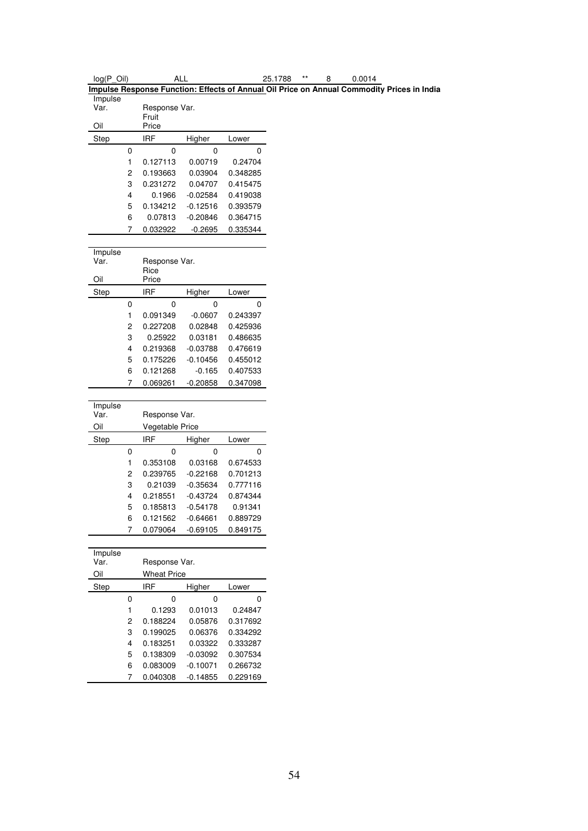| $log(P$ Oil) | ALL | 25.1788                                                                                    | ** | 0.0014 |  |
|--------------|-----|--------------------------------------------------------------------------------------------|----|--------|--|
|              |     | Impulse Response Function: Effects of Annual Oil Price on Annual Commodity Prices in India |    |        |  |

| Impulse |   |               |            |          |
|---------|---|---------------|------------|----------|
| Var.    |   | Response Var. |            |          |
|         |   | Fruit         |            |          |
| Oil     |   | Price         |            |          |
| Step    |   | IRF           | Higher     | Lower    |
|         | 0 | 0             | ი          | ი        |
|         | 1 | 0.127113      | 0.00719    | 0.24704  |
|         | 2 | 0.193663      | 0.03904    | 0.348285 |
|         | 3 | 0.231272      | 0.04707    | 0.415475 |
|         | 4 | 0.1966        | $-0.02584$ | 0.419038 |
|         | 5 | 0.134212      | $-0.12516$ | 0.393579 |
|         | 6 | 0.07813       | $-0.20846$ | 0.364715 |
|         | 7 | 0.032922      | $-0.2695$  | 0.335344 |
|         |   |               |            |          |
|         |   |               |            |          |

| Impulse<br>Var. |   | Response Var.<br>Rice |            |          |
|-----------------|---|-----------------------|------------|----------|
| Oil             |   | Price                 |            |          |
| Step            |   | IRF                   | Higher     | Lower    |
|                 | 0 | ი                     | 0          | 0        |
|                 | 1 | 0.091349              | $-0.0607$  | 0.243397 |
|                 | 2 | 0.227208              | 0.02848    | 0.425936 |
|                 | 3 | 0.25922               | 0.03181    | 0.486635 |
|                 | 4 | 0.219368              | $-0.03788$ | 0.476619 |
|                 | 5 | 0.175226              | $-0.10456$ | 0.455012 |
|                 | 6 | 0.121268              | $-0.165$   | 0.407533 |
|                 | 7 | 0.069261              | $-0.20858$ | 0.347098 |

| Impulse |   |                 |            |          |
|---------|---|-----------------|------------|----------|
| Var.    |   | Response Var.   |            |          |
| Oil     |   | Vegetable Price |            |          |
| Step    |   | <b>IRF</b>      | Higher     | Lower    |
|         | o | 0               | o          | 0        |
|         | 1 | 0.353108        | 0.03168    | 0.674533 |
|         | 2 | 0.239765        | -0.22168   | 0.701213 |
|         | 3 | 0.21039         | $-0.35634$ | 0.777116 |
|         | 4 | 0.218551        | $-0.43724$ | 0.874344 |
|         | 5 | 0.185813        | $-0.54178$ | 0.91341  |
|         | 6 | 0.121562        | $-0.64661$ | 0.889729 |
|         | 7 | 0.079064        | $-0.69105$ | 0.849175 |

| Impulse |   |                    |            |          |
|---------|---|--------------------|------------|----------|
| Var.    |   | Response Var.      |            |          |
| Oil     |   | <b>Wheat Price</b> |            |          |
| Step    |   | IRF                | Higher     | Lower    |
|         | ი | ი                  | 0          | 0        |
|         | 1 | 0.1293             | 0.01013    | 0.24847  |
|         | 2 | 0.188224           | 0.05876    | 0.317692 |
|         | 3 | 0.199025           | 0.06376    | 0.334292 |
|         | 4 | 0.183251           | 0.03322    | 0.333287 |
|         | 5 | 0.138309           | $-0.03092$ | 0.307534 |
|         | 6 | 0.083009           | $-0.10071$ | 0.266732 |
|         |   | 0.040308           | $-0.14855$ | 0.229169 |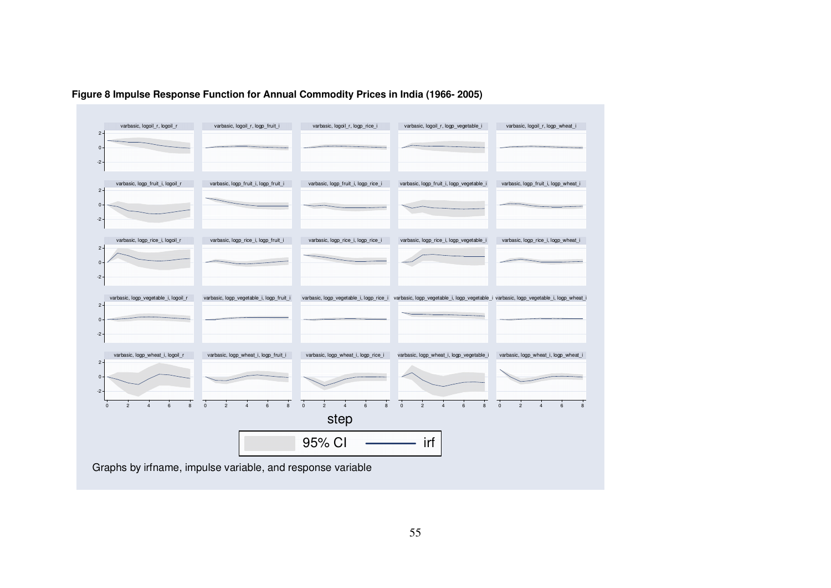

**Figure 8 Impulse Response Function for Annual Commodity Prices in India (1966- 2005)**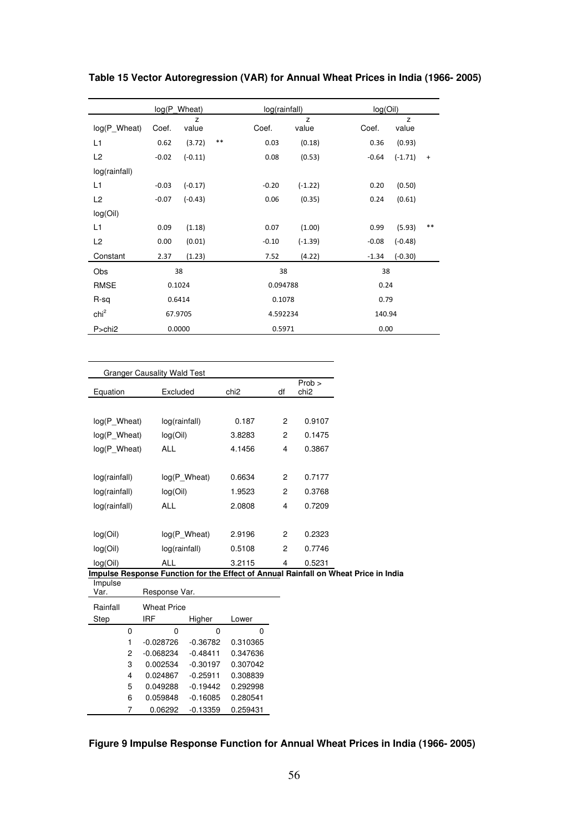|                | log(P_Wheat) |            |       | log(rainfall) |            |         | log(Oil)   |           |  |
|----------------|--------------|------------|-------|---------------|------------|---------|------------|-----------|--|
| log(P_Wheat)   | Coef.        | z<br>value |       | Coef.         | Z<br>value | Coef.   | Z<br>value |           |  |
| L <sub>1</sub> | 0.62         | (3.72)     | $***$ | 0.03          | (0.18)     | 0.36    | (0.93)     |           |  |
| L2             | $-0.02$      | $(-0.11)$  |       | 0.08          | (0.53)     | $-0.64$ | $(-1.71)$  | $\ddot{}$ |  |
| log(rainfall)  |              |            |       |               |            |         |            |           |  |
| L1             | $-0.03$      | $(-0.17)$  |       | $-0.20$       | $(-1.22)$  | 0.20    | (0.50)     |           |  |
| L <sub>2</sub> | $-0.07$      | $(-0.43)$  |       | 0.06          | (0.35)     | 0.24    | (0.61)     |           |  |
| log(Oil)       |              |            |       |               |            |         |            |           |  |
| L1             | 0.09         | (1.18)     |       | 0.07          | (1.00)     | 0.99    | (5.93)     | $* *$     |  |
| L <sub>2</sub> | 0.00         | (0.01)     |       | $-0.10$       | $(-1.39)$  | $-0.08$ | $(-0.48)$  |           |  |
| Constant       | 2.37         | (1.23)     |       | 7.52          | (4.22)     | $-1.34$ | $(-0.30)$  |           |  |
| Obs            |              | 38         |       | 38            |            | 38      |            |           |  |
| <b>RMSE</b>    |              | 0.1024     |       | 0.094788      |            | 0.24    |            |           |  |
| R-sq           |              | 0.6414     |       | 0.1078        |            | 0.79    |            |           |  |
| $\text{chi}^2$ |              | 67.9705    |       | 4.592234      |            | 140.94  |            |           |  |
| $P >$ chi2     |              | 0.0000     |       | 0.5971        |            | 0.00    |            |           |  |

|  | Table 15 Vector Autoregression (VAR) for Annual Wheat Prices in India (1966- 2005) |  |
|--|------------------------------------------------------------------------------------|--|
|--|------------------------------------------------------------------------------------|--|

|                | <b>Granger Causality Wald Test</b>                                                  |                  |    |                              |
|----------------|-------------------------------------------------------------------------------------|------------------|----|------------------------------|
| Equation       | Excluded                                                                            | chi <sub>2</sub> | df | $Prob$ ><br>chi <sub>2</sub> |
|                |                                                                                     |                  |    |                              |
| $log(P$ Wheat) | log(rainfall)                                                                       | 0.187            | 2  | 0.9107                       |
| $log(P$ Wheat) | log(Oil)                                                                            | 3.8283           | 2  | 0.1475                       |
| $log(P$ Wheat) | <b>ALL</b>                                                                          | 4.1456           | 4  | 0.3867                       |
|                |                                                                                     |                  |    |                              |
| log(rainfall)  | log(P Wheat)                                                                        | 0.6634           | 2  | 0.7177                       |
| log(rainfall)  | log(Oil)                                                                            | 1.9523           | 2  | 0.3768                       |
| log(rainfall)  | <b>ALL</b>                                                                          | 2.0808           | 4  | 0.7209                       |
|                |                                                                                     |                  |    |                              |
| log(Oil)       | $log(P$ Wheat)                                                                      | 2.9196           | 2  | 0.2323                       |
| log(Oil)       | log(rainfall)                                                                       | 0.5108           | 2  | 0.7746                       |
| log(Oil)       | ALL                                                                                 | 3.2115           | 4  | 0.5231                       |
|                | Impulse Response Function for the Effect of Annual Rainfall on Wheat Price in India |                  |    |                              |
| Impulse        |                                                                                     |                  |    |                              |

| Var.     |   | Response Var.      |            |          |  |  |  |
|----------|---|--------------------|------------|----------|--|--|--|
| Rainfall |   | <b>Wheat Price</b> |            |          |  |  |  |
| Step     |   | IRF                | Higher     | Lower    |  |  |  |
|          | 0 | 0                  | 0          | 0        |  |  |  |
|          | 1 | $-0.028726$        | $-0.36782$ | 0.310365 |  |  |  |
|          | 2 | $-0.068234$        | $-0.48411$ | 0.347636 |  |  |  |
|          | 3 | 0.002534           | $-0.30197$ | 0.307042 |  |  |  |
|          | 4 | 0.024867           | $-0.25911$ | 0.308839 |  |  |  |
|          | 5 | 0.049288           | $-0.19442$ | 0.292998 |  |  |  |
|          | 6 | 0.059848           | $-0.16085$ | 0.280541 |  |  |  |
|          | 7 | 0.06292            | $-0.13359$ | 0.259431 |  |  |  |

**Figure 9 Impulse Response Function for Annual Wheat Prices in India (1966- 2005)**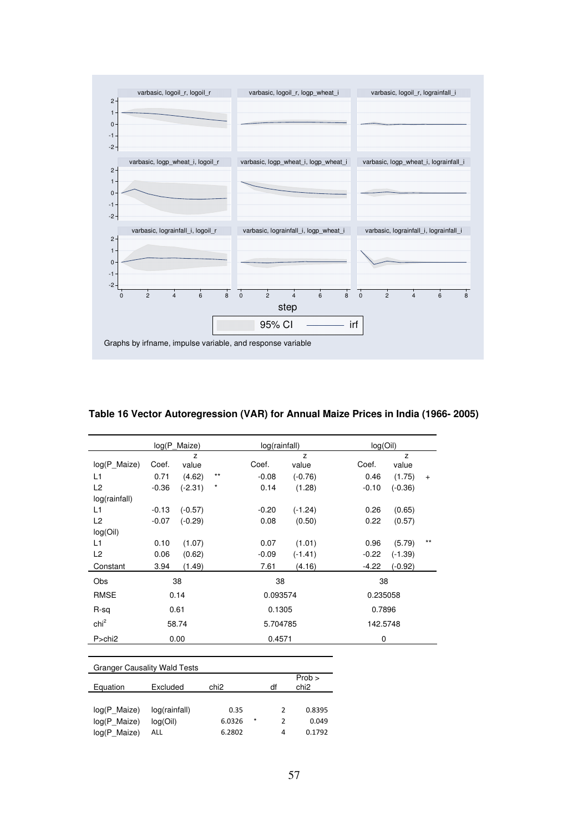

**Table 16 Vector Autoregression (VAR) for Annual Maize Prices in India (1966- 2005)** 

|                  |         | log(P_Maize) |          | log(rainfall) |           | log(Oil) |           |           |
|------------------|---------|--------------|----------|---------------|-----------|----------|-----------|-----------|
|                  |         | z            |          |               | z         |          | Z         |           |
| $log(P$ Maize)   | Coef.   | value        |          | Coef.         | value     | Coef.    | value     |           |
| L1               | 0.71    | (4.62)       | $***$    | $-0.08$       | $(-0.76)$ | 0.46     | (1.75)    | $\ddot{}$ |
| L2               | $-0.36$ | $(-2.31)$    | $^\star$ | 0.14          | (1.28)    | $-0.10$  | $(-0.36)$ |           |
| log(rainfall)    |         |              |          |               |           |          |           |           |
| L1               | $-0.13$ | $(-0.57)$    |          | $-0.20$       | $(-1.24)$ | 0.26     | (0.65)    |           |
| L <sub>2</sub>   | $-0.07$ | $(-0.29)$    |          | 0.08          | (0.50)    | 0.22     | (0.57)    |           |
| log(Oil)         |         |              |          |               |           |          |           |           |
| L1               | 0.10    | (1.07)       |          | 0.07          | (1.01)    | 0.96     | (5.79)    | $***$     |
| L2               | 0.06    | (0.62)       |          | $-0.09$       | $(-1.41)$ | $-0.22$  | $(-1.39)$ |           |
| Constant         | 3.94    | (1.49)       |          | 7.61          | (4.16)    | $-4.22$  | (-0.92)   |           |
| Obs              |         | 38           |          |               | 38        |          | 38        |           |
| <b>RMSE</b>      |         | 0.14         |          | 0.093574      |           | 0.235058 |           |           |
| R-sq             | 0.61    |              |          | 0.1305        |           | 0.7896   |           |           |
| chi <sup>2</sup> | 58.74   |              |          | 5.704785      |           | 142.5748 |           |           |
| $P >$ chi2       |         | 0.00         |          | 0.4571        |           | 0        |           |           |

| <b>Granger Causality Wald Tests</b> |               |        |          |    |                  |  |  |  |  |
|-------------------------------------|---------------|--------|----------|----|------------------|--|--|--|--|
| Equation                            | Excluded      | chi2   |          | df | $Prob$ ><br>chi2 |  |  |  |  |
|                                     |               |        |          |    |                  |  |  |  |  |
| $log(P$ Maize)                      | log(rainfall) | 0.35   |          | 2  | 0.8395           |  |  |  |  |
| $log(P$ Maize)                      | log(Oil)      | 6.0326 | $^\star$ | 2  | 0.049            |  |  |  |  |
| $log(P$ Maize)                      | ALL           | 6.2802 |          | 4  | 0.1792           |  |  |  |  |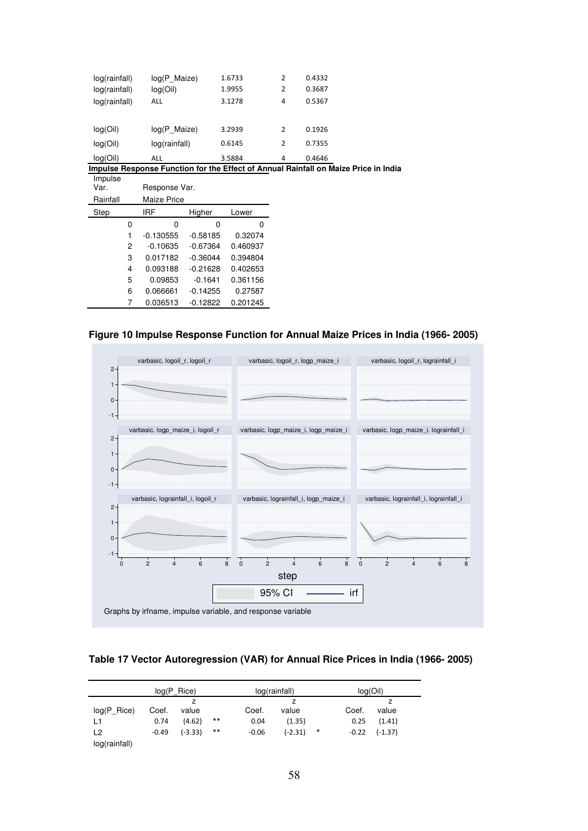| log(rainfall) | $log(P$ Maize) | 1.6733 | 2 | 0.4332 |
|---------------|----------------|--------|---|--------|
| log(rainfall) | log(Oil)       | 1.9955 | 2 | 0.3687 |
| log(rainfall) | ALL            | 3.1278 | 4 | 0.5367 |
|               |                |        |   |        |
| log(Oil)      | $log(P$ Maize) | 3.2939 | 2 | 0.1926 |
| log(Oil)      | log(rainfall)  | 0.6145 | 2 | 0.7355 |
| log(Oil)      | ALL            | 3.5884 | 4 | 0.4646 |

**Impulse Response Function for the Effect of Annual Rainfall on Maize Price in India**  Impulse<br>Var. Response Var. Rainfall Maize Price Step IRF Higher Lower 0 0 0 0 1 -0.130555 -0.58185 0.32074 2 -0.10635 -0.67364 0.460937 3 0.017182 -0.36044 0.394804 4 0.093188 -0.21628 0.402653 5 0.09853 -0.1641 0.361156 6 0.066661 -0.14255 0.27587

7 0.036513 -0.12822 0.201245





**Table 17 Vector Autoregression (VAR) for Annual Rice Prices in India (1966- 2005)** 

|               | $log(P \text{ Rice})$ |           |       |         | log(rainfall) |   | log(Oil) |            |  |
|---------------|-----------------------|-----------|-------|---------|---------------|---|----------|------------|--|
| $log(P$ Rice) | Coef.                 | value     |       | Coef.   | value         |   | Coef.    | z<br>value |  |
| L1            | 0.74                  | (4.62)    | $***$ | 0.04    | (1.35)        |   | 0.25     | (1.41)     |  |
| L2            | $-0.49$               | $(-3.33)$ | $***$ | $-0.06$ | $(-2.31)$     | * | $-0.22$  | $(-1.37)$  |  |
| log(rainfall) |                       |           |       |         |               |   |          |            |  |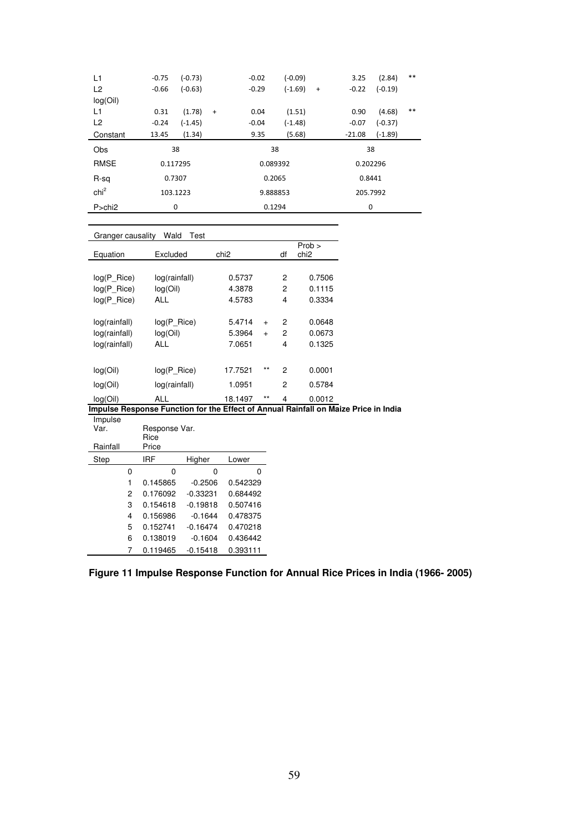| L1             | $-0.75$  | $(-0.73)$ |           | $-0.02$  | $(-0.09)$ |           | 3.25     | (2.84)    | $***$ |
|----------------|----------|-----------|-----------|----------|-----------|-----------|----------|-----------|-------|
| L <sub>2</sub> | $-0.66$  | $(-0.63)$ |           | $-0.29$  | $(-1.69)$ | $\ddot{}$ | $-0.22$  | $(-0.19)$ |       |
| log(Oil)       |          |           |           |          |           |           |          |           |       |
| L1             | 0.31     | (1.78)    | $\ddot{}$ | 0.04     | (1.51)    |           | 0.90     | (4.68)    | $***$ |
| L <sub>2</sub> | $-0.24$  | $(-1.45)$ |           | $-0.04$  | $(-1.48)$ |           | $-0.07$  | $(-0.37)$ |       |
| Constant       | 13.45    | (1.34)    |           | 9.35     | (5.68)    |           | $-21.08$ | $(-1.89)$ |       |
| Obs            | 38       |           |           | 38       |           |           | 38       |           |       |
| <b>RMSE</b>    | 0.117295 |           |           | 0.089392 |           |           | 0.202296 |           |       |
| R-sq           | 0.7307   |           |           | 0.2065   |           |           | 0.8441   |           |       |
| $\text{chi}^2$ | 103.1223 |           |           | 9.888853 |           |           | 205.7992 |           |       |
| $P >$ chi2     | 0        |           |           | 0.1294   |           |           | 0        |           |       |

| Granger causality     | Wald<br>Test                                                                        |                  |       |    |                              |
|-----------------------|-------------------------------------------------------------------------------------|------------------|-------|----|------------------------------|
| Equation              | Excluded                                                                            | chi <sub>2</sub> |       | df | $Prob$ ><br>chi <sub>2</sub> |
|                       |                                                                                     |                  |       |    |                              |
| $log(P \text{ Rice})$ | log(rainfall)                                                                       | 0.5737           |       | 2  | 0.7506                       |
| $log(P \text{ Rice})$ | log(Oil)                                                                            | 4.3878           |       | 2  | 0.1115                       |
| $log(P \text{ Rice})$ | ALL                                                                                 | 4.5783           |       | 4  | 0.3334                       |
| log(rainfall)         | log(P_Rice)                                                                         | 5.4714           | $+$   | 2  | 0.0648                       |
| log(rainfall)         | log(Oil)                                                                            | 5.3964           | $+$   | 2  | 0.0673                       |
| log(rainfall)         | ALL                                                                                 | 7.0651           |       | 4  | 0.1325                       |
|                       |                                                                                     |                  |       |    |                              |
| log(Oil)              | $log(P \text{ Rice})$                                                               | 17.7521          | $***$ | 2  | 0.0001                       |
| log(Oil)              | log(rainfall)                                                                       | 1.0951           |       | 2  | 0.5784                       |
| log(Oil)              | ALL                                                                                 | 18.1497          | $***$ | 4  | 0.0012                       |
|                       | Impulse Response Function for the Effect of Annual Rainfall on Maize Price in India |                  |       |    |                              |
| Impulse               |                                                                                     |                  |       |    |                              |

| pa.oo<br>Var.<br>Rainfall |   | Rice<br>Price | Response Var. |          |  |  |  |  |  |
|---------------------------|---|---------------|---------------|----------|--|--|--|--|--|
| Step                      |   | IRF           | Higher        | Lower    |  |  |  |  |  |
|                           | ი | 0             | ი             | 0        |  |  |  |  |  |
|                           | 1 | 0.145865      | $-0.2506$     | 0.542329 |  |  |  |  |  |
|                           | 2 | 0.176092      | -0.33231      | 0.684492 |  |  |  |  |  |
|                           | 3 | 0.154618      | $-0.19818$    | 0.507416 |  |  |  |  |  |
|                           | 4 | 0.156986      | $-0.1644$     | 0.478375 |  |  |  |  |  |
|                           | 5 | 0.152741      | $-0.16474$    | 0.470218 |  |  |  |  |  |
|                           | 6 | 0.138019      | $-0.1604$     | 0.436442 |  |  |  |  |  |
|                           | 7 | 0.119465      | $-0.15418$    | 0.393111 |  |  |  |  |  |

|  |  |  | Figure 11 Impulse Response Function for Annual Rice Prices in India (1966-2005) |  |  |  |  |
|--|--|--|---------------------------------------------------------------------------------|--|--|--|--|
|--|--|--|---------------------------------------------------------------------------------|--|--|--|--|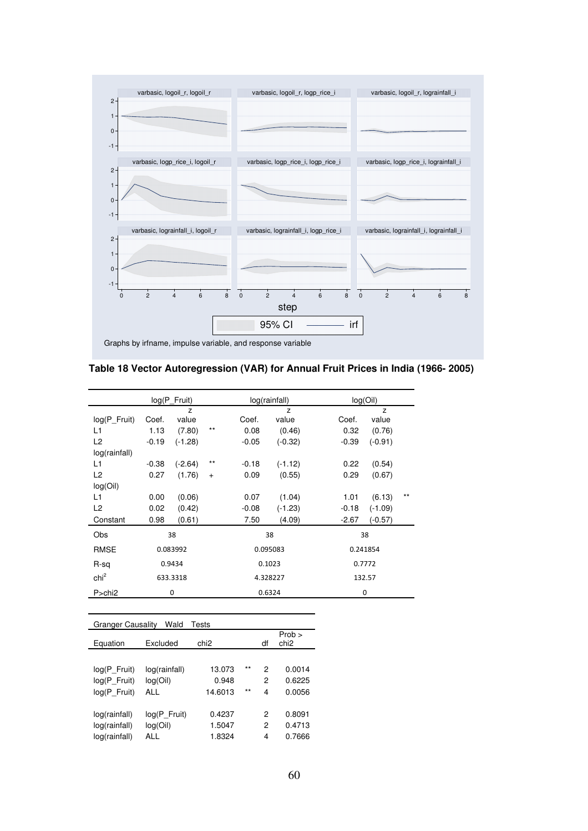

Graphs by irfname, impulse variable, and response variable

# **Table 18 Vector Autoregression (VAR) for Annual Fruit Prices in India (1966- 2005)**

|                   |         | log(P Fruit) |           |         | log(rainfall) |         | log(Oil)  |       |
|-------------------|---------|--------------|-----------|---------|---------------|---------|-----------|-------|
|                   |         | Z            |           |         | z             |         | Z         |       |
| $log(P_F_{crit})$ | Coef.   | value        |           | Coef.   | value         | Coef.   | value     |       |
| L1                | 1.13    | (7.80)       | $***$     | 0.08    | (0.46)        | 0.32    | (0.76)    |       |
| L <sub>2</sub>    | $-0.19$ | $(-1.28)$    |           | $-0.05$ | $(-0.32)$     | $-0.39$ | $(-0.91)$ |       |
| log(rainfall)     |         |              |           |         |               |         |           |       |
| L1                | $-0.38$ | $(-2.64)$    | $***$     | $-0.18$ | $(-1.12)$     | 0.22    | (0.54)    |       |
| L <sub>2</sub>    | 0.27    | (1.76)       | $\ddot{}$ | 0.09    | (0.55)        | 0.29    | (0.67)    |       |
| log(Oil)          |         |              |           |         |               |         |           |       |
| L1                | 0.00    | (0.06)       |           | 0.07    | (1.04)        | 1.01    | (6.13)    | $***$ |
| L <sub>2</sub>    | 0.02    | (0.42)       |           | $-0.08$ | $(-1.23)$     | $-0.18$ | $(-1.09)$ |       |
| Constant          | 0.98    | (0.61)       |           | 7.50    | (4.09)        | $-2.67$ | $(-0.57)$ |       |
| Obs               |         | 38           |           |         | 38            |         | 38        |       |
| <b>RMSE</b>       |         | 0.083992     |           |         | 0.095083      |         | 0.241854  |       |
| R-sq              |         | 0.9434       |           |         | 0.1023        | 0.7772  |           |       |
| chi <sup>2</sup>  |         | 633.3318     |           |         | 4.328227      |         | 132.57    |       |
| $P >$ chi2        |         | 0            |           |         | 0.6324        |         | 0         |       |

| Wald<br><b>Granger Causality</b><br>Tests |                          |                  |       |    |                  |  |  |  |  |
|-------------------------------------------|--------------------------|------------------|-------|----|------------------|--|--|--|--|
|                                           |                          |                  |       |    | $Prob$ >         |  |  |  |  |
| Equation                                  | Excluded                 | chi <sub>2</sub> |       | df | chi <sub>2</sub> |  |  |  |  |
|                                           |                          |                  |       |    |                  |  |  |  |  |
| $log(P$ Fruit)                            | log(rainfall)            | 13.073           | $***$ | 2  | 0.0014           |  |  |  |  |
| log(P Fruit)                              | log(Oil)                 | 0.948            |       | 2  | 0.6225           |  |  |  |  |
| log(P Fruit)                              | AII                      | 14.6013          | $***$ | 4  | 0.0056           |  |  |  |  |
|                                           |                          |                  |       |    |                  |  |  |  |  |
| log(rainfall)                             | $log(P_F_{\text{crit}})$ | 0.4237           |       | 2  | 0.8091           |  |  |  |  |
| log(rainfall)                             | log(Oil)                 | 1.5047           |       | 2  | 0.4713           |  |  |  |  |
| log(rainfall)                             | ALL                      | 1.8324           |       | 4  | 0.7666           |  |  |  |  |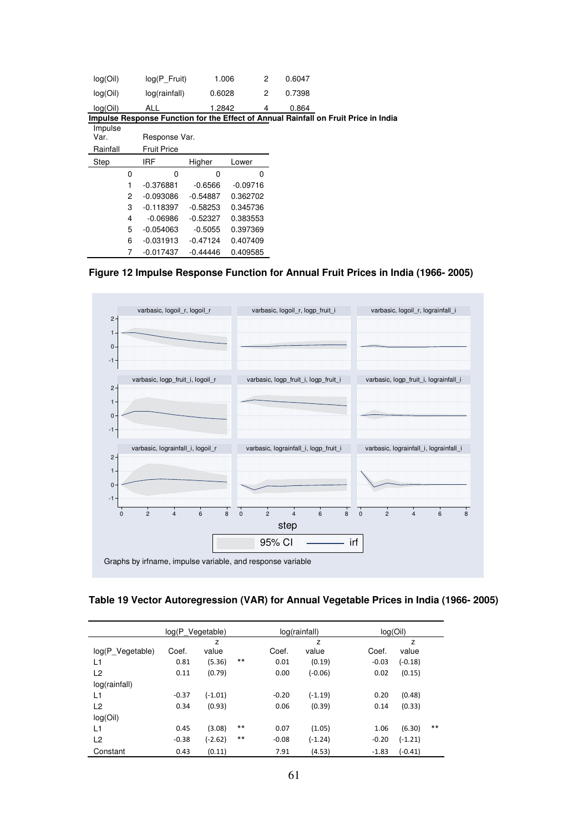| log(Oil) |   | $log(P$ Fruit)     | 1.006      |            | 2 | 0.6047 |                                                                                     |
|----------|---|--------------------|------------|------------|---|--------|-------------------------------------------------------------------------------------|
| log(Oil) |   | log(rainfall)      | 0.6028     |            | 2 | 0.7398 |                                                                                     |
| log(Oil) |   | ALL                | 1.2842     |            | 4 | 0.864  |                                                                                     |
|          |   |                    |            |            |   |        | Impulse Response Function for the Effect of Annual Rainfall on Fruit Price in India |
| Impulse  |   |                    |            |            |   |        |                                                                                     |
| Var.     |   | Response Var.      |            |            |   |        |                                                                                     |
| Rainfall |   | <b>Fruit Price</b> |            |            |   |        |                                                                                     |
| Step     |   | IRF                | Higher     | Lower      |   |        |                                                                                     |
|          | 0 | $\Omega$           | 0          | $\Omega$   |   |        |                                                                                     |
|          | 1 | $-0.376881$        | $-0.6566$  | $-0.09716$ |   |        |                                                                                     |
|          | 2 | $-0.093086$        | $-0.54887$ | 0.362702   |   |        |                                                                                     |
|          | 3 | $-0.118397$        | $-0.58253$ | 0.345736   |   |        |                                                                                     |
|          | 4 | $-0.06986$         | $-0.52327$ | 0.383553   |   |        |                                                                                     |
|          | 5 | $-0.054063$        | $-0.5055$  | 0.397369   |   |        |                                                                                     |
|          | 6 | $-0.031913$        | $-0.47124$ | 0.407409   |   |        |                                                                                     |
|          | 7 | $-0.017437$        | $-0.44446$ | 0.409585   |   |        |                                                                                     |

**Figure 12 Impulse Response Function for Annual Fruit Prices in India (1966- 2005)** 



| Table 19 Vector Autoregression (VAR) for Annual Vegetable Prices in India (1966- 2005) |  |  |  |  |  |
|----------------------------------------------------------------------------------------|--|--|--|--|--|
|----------------------------------------------------------------------------------------|--|--|--|--|--|

|                            | log(P_Vegetable) |           |       |         | log(rainfall) |         | log(Oil)  |       |
|----------------------------|------------------|-----------|-------|---------|---------------|---------|-----------|-------|
|                            |                  | z         |       |         | z             |         | z         |       |
| $log(P \text{ Vegetable})$ | Coef.            | value     |       | Coef.   | value         | Coef.   | value     |       |
| L1                         | 0.81             | (5.36)    | $* *$ | 0.01    | (0.19)        | $-0.03$ | $(-0.18)$ |       |
| L <sub>2</sub>             | 0.11             | (0.79)    |       | 0.00    | $(-0.06)$     | 0.02    | (0.15)    |       |
| log(rainfall)              |                  |           |       |         |               |         |           |       |
| L1                         | $-0.37$          | $(-1.01)$ |       | $-0.20$ | $(-1.19)$     | 0.20    | (0.48)    |       |
| L <sub>2</sub>             | 0.34             | (0.93)    |       | 0.06    | (0.39)        | 0.14    | (0.33)    |       |
| log(Oil)                   |                  |           |       |         |               |         |           |       |
| L1                         | 0.45             | (3.08)    | $* *$ | 0.07    | (1.05)        | 1.06    | (6.30)    | $***$ |
| L <sub>2</sub>             | $-0.38$          | $(-2.62)$ | $***$ | $-0.08$ | $(-1.24)$     | $-0.20$ | $(-1.21)$ |       |
| Constant                   | 0.43             | (0.11)    |       | 7.91    | (4.53)        | $-1.83$ | $(-0.41)$ |       |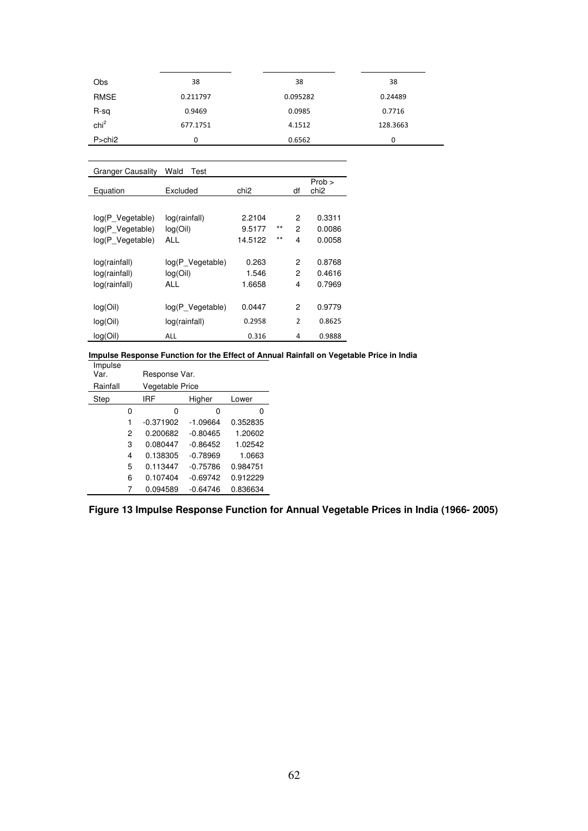| Obs            | 38       | 38       | 38       |
|----------------|----------|----------|----------|
| <b>RMSE</b>    | 0.211797 | 0.095282 | 0.24489  |
| R-sq           | 0.9469   | 0.0985   | 0.7716   |
| $\text{chi}^2$ | 677.1751 | 4.1512   | 128.3663 |
| P>chi2         | 0        | 0.6562   | 0        |

| <b>Granger Causality</b>   | Wald<br>Test     |                  |       |                |                            |
|----------------------------|------------------|------------------|-------|----------------|----------------------------|
| Equation                   | Excluded         | chi <sub>2</sub> |       | df             | Prob ><br>chi <sub>2</sub> |
|                            |                  |                  |       |                |                            |
| $log(P \text{ Vegetable})$ | log(rainfall)    | 2.2104           |       | 2              | 0.3311                     |
| $log(P \text{ Vegetable})$ | log(Oil)         | 9.5177           | $***$ | 2              | 0.0086                     |
| log(P Vegetable)           | ALL              | 14.5122          | $***$ | 4              | 0.0058                     |
|                            |                  |                  |       |                |                            |
| log(rainfall)              | log(P Vegetable) | 0.263            |       | 2              | 0.8768                     |
| log(rainfall)              | log(Oil)         | 1.546            |       | 2              | 0.4616                     |
| log(rainfall)              | ALL              | 1.6658           |       | 4              | 0.7969                     |
|                            |                  |                  |       |                |                            |
| log(Oil)                   | log(P Vegetable) | 0.0447           |       | 2              | 0.9779                     |
| log(Oil)                   | log(rainfall)    | 0.2958           |       | $\overline{2}$ | 0.8625                     |
| log(Oil)                   | <b>ALL</b>       | 0.316            |       | 4              | 0.9888                     |

#### **Impulse Response Function for the Effect of Annual Rainfall on Vegetable Price in India**

| Impulse<br>Var. |   | Response Var.          |            |          |  |  |  |  |
|-----------------|---|------------------------|------------|----------|--|--|--|--|
| Rainfall        |   | <b>Vegetable Price</b> |            |          |  |  |  |  |
| Step            |   | IRF                    | Higher     | Lower    |  |  |  |  |
|                 | ი | 0                      | ი          | o        |  |  |  |  |
|                 | 1 | $-0.371902$            | $-1.09664$ | 0.352835 |  |  |  |  |
|                 | 2 | 0.200682               | $-0.80465$ | 1.20602  |  |  |  |  |
|                 | 3 | 0.080447               | $-0.86452$ | 1.02542  |  |  |  |  |
|                 | 4 | 0.138305               | $-0.78969$ | 1.0663   |  |  |  |  |
|                 | 5 | 0.113447               | $-0.75786$ | 0.984751 |  |  |  |  |
|                 | 6 | 0.107404               | $-0.69742$ | 0.912229 |  |  |  |  |
|                 | 7 | 0.094589               | $-0.64746$ | 0.836634 |  |  |  |  |

**Figure 13 Impulse Response Function for Annual Vegetable Prices in India (1966- 2005)**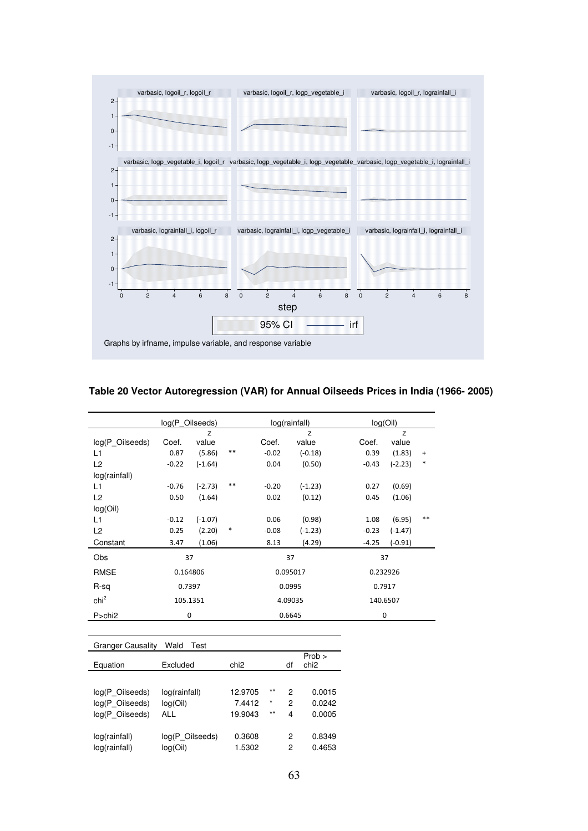

## **Table 20 Vector Autoregression (VAR) for Annual Oilseeds Prices in India (1966- 2005)**

|                  | log(P Oilseeds) |           |       |          | log(rainfall) | log(Oil) |           |           |
|------------------|-----------------|-----------|-------|----------|---------------|----------|-----------|-----------|
|                  |                 | z         |       |          | Z             |          | z         |           |
| log(P Oilseeds)  | Coef.           | value     |       | Coef.    | value         | Coef.    | value     |           |
| L1               | 0.87            | (5.86)    | $* *$ | $-0.02$  | $(-0.18)$     | 0.39     | (1.83)    | $\ddot{}$ |
| L2               | $-0.22$         | $(-1.64)$ |       | 0.04     | (0.50)        | $-0.43$  | $(-2.23)$ | $\ast$    |
| log(rainfall)    |                 |           |       |          |               |          |           |           |
| L1               | $-0.76$         | $(-2.73)$ | $* *$ | $-0.20$  | $(-1.23)$     | 0.27     | (0.69)    |           |
| L <sub>2</sub>   | 0.50            | (1.64)    |       | 0.02     | (0.12)        | 0.45     | (1.06)    |           |
| log(Oil)         |                 |           |       |          |               |          |           |           |
| L1               | $-0.12$         | $(-1.07)$ |       | 0.06     | (0.98)        | 1.08     | (6.95)    | $***$     |
| L2               | 0.25            | (2.20)    | *     | $-0.08$  | $(-1.23)$     | $-0.23$  | $(-1.47)$ |           |
| Constant         | 3.47            | (1.06)    |       | 8.13     | (4.29)        | $-4.25$  | $(-0.91)$ |           |
| Obs              | 37              |           |       |          | 37            |          | 37        |           |
| <b>RMSE</b>      | 0.164806        |           |       | 0.095017 |               | 0.232926 |           |           |
| R-sq             | 0.7397          |           |       | 0.0995   |               | 0.7917   |           |           |
| chi <sup>2</sup> | 105.1351        |           |       | 4.09035  |               |          | 140.6507  |           |
| P>chi2           | 0               |           |       |          | 0.6645        | 0        |           |           |

| <b>Granger Causality</b><br>Wald<br>Test |                 |                  |          |    |                              |  |  |
|------------------------------------------|-----------------|------------------|----------|----|------------------------------|--|--|
| Equation                                 | Excluded        | chi <sub>2</sub> |          | df | $Prob$ ><br>chi <sub>2</sub> |  |  |
|                                          |                 |                  |          |    |                              |  |  |
| log(P Oilseeds)                          | log(rainfall)   | 12.9705          | $***$    | 2  | 0.0015                       |  |  |
| log(P Oilseeds)                          | log(Oil)        | 7.4412           | $^\star$ | 2  | 0.0242                       |  |  |
| log(P Oilseeds)                          | AI I            | 19.9043          | $***$    | 4  | 0.0005                       |  |  |
|                                          |                 |                  |          |    |                              |  |  |
| log(rainfall)                            | log(P_Oilseeds) | 0.3608           |          | 2  | 0.8349                       |  |  |
| log(rainfall)                            | log(Oil)        | 1.5302           |          | 2  | 0.4653                       |  |  |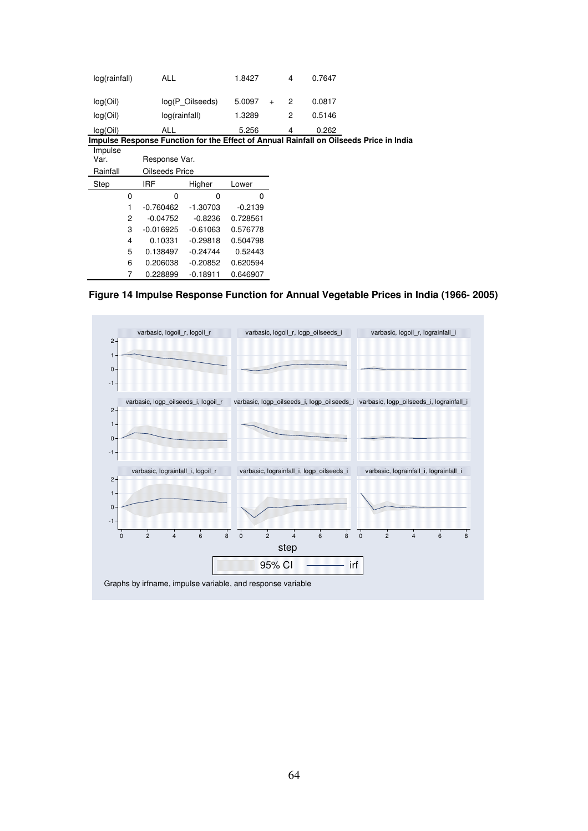| log(rainfall) | <b>ALL</b>                                                                             | 1.8427           | 4 | 0.7647 |  |
|---------------|----------------------------------------------------------------------------------------|------------------|---|--------|--|
| log(Oil)      | log(P Oilseeds)                                                                        | 5.0097<br>$\div$ | 2 | 0.0817 |  |
| log(Oil)      | log(rainfall)                                                                          | 1.3289           | 2 | 0.5146 |  |
| log(Oil)      | ALL                                                                                    | 5.256            | 4 | 0.262  |  |
|               | Impulse Response Function for the Effect of Annual Rainfall on Oilseeds Price in India |                  |   |        |  |
| Impulse       |                                                                                        |                  |   |        |  |

| Var.     |   | Response Var.         |            |           |  |  |  |
|----------|---|-----------------------|------------|-----------|--|--|--|
| Rainfall |   | <b>Oilseeds Price</b> |            |           |  |  |  |
| Step     |   | IRF                   | Higher     | Lower     |  |  |  |
|          | 0 | 0                     | 0          | 0         |  |  |  |
|          | 1 | $-0.760462$           | $-1.30703$ | $-0.2139$ |  |  |  |
|          | 2 | $-0.04752$            | $-0.8236$  | 0.728561  |  |  |  |
|          | 3 | $-0.016925$           | $-0.61063$ | 0.576778  |  |  |  |
|          | 4 | 0.10331               | $-0.29818$ | 0.504798  |  |  |  |
|          | 5 | 0.138497              | $-0.24744$ | 0.52443   |  |  |  |
|          | 6 | 0.206038              | $-0.20852$ | 0.620594  |  |  |  |
|          | 7 | 0.228899              | $-0.18911$ | 0.646907  |  |  |  |

**Figure 14 Impulse Response Function for Annual Vegetable Prices in India (1966- 2005)** 

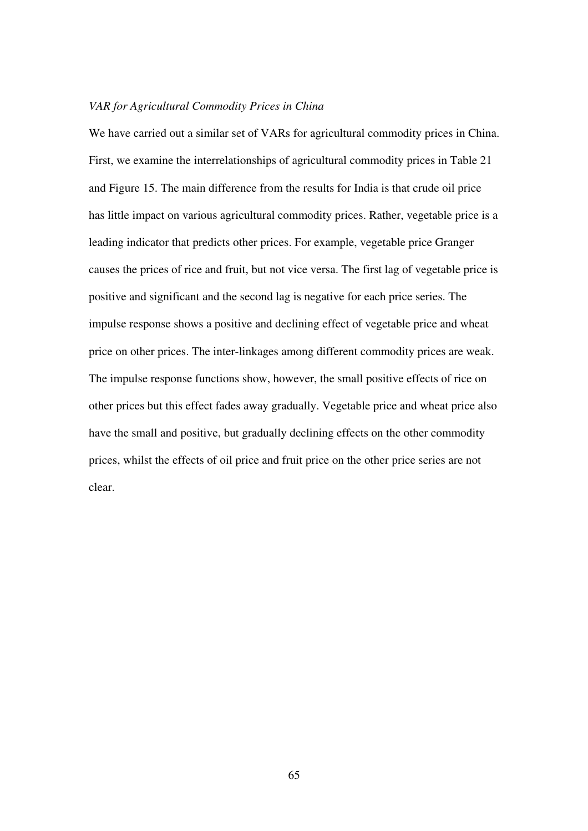## *VAR for Agricultural Commodity Prices in China*

We have carried out a similar set of VARs for agricultural commodity prices in China. First, we examine the interrelationships of agricultural commodity prices in Table 21 and Figure 15. The main difference from the results for India is that crude oil price has little impact on various agricultural commodity prices. Rather, vegetable price is a leading indicator that predicts other prices. For example, vegetable price Granger causes the prices of rice and fruit, but not vice versa. The first lag of vegetable price is positive and significant and the second lag is negative for each price series. The impulse response shows a positive and declining effect of vegetable price and wheat price on other prices. The inter-linkages among different commodity prices are weak. The impulse response functions show, however, the small positive effects of rice on other prices but this effect fades away gradually. Vegetable price and wheat price also have the small and positive, but gradually declining effects on the other commodity prices, whilst the effects of oil price and fruit price on the other price series are not clear.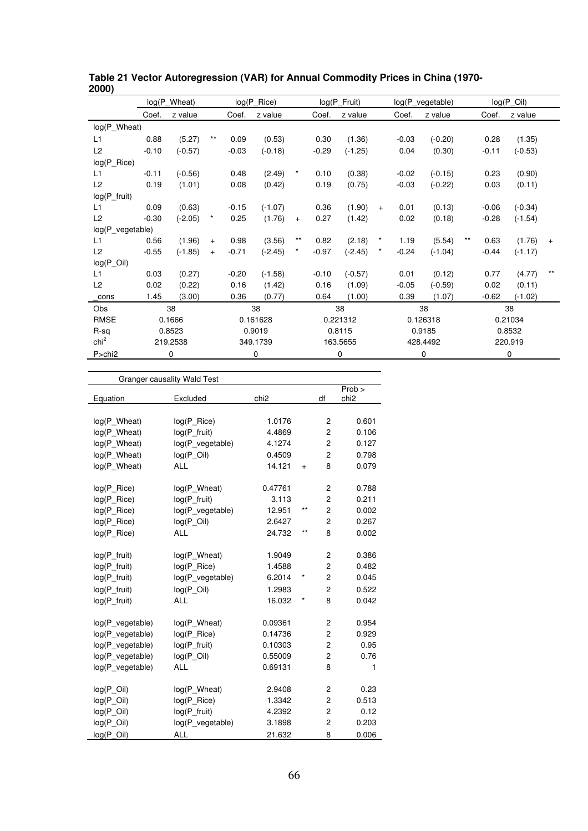|                  | log(P)  | Wheat)    |          | $log(P_$ | Rice)       |           | log(P)  | Fruit)    |          | $log(P_$ | vegetable) |       |         | $log(P$ Oil) |       |
|------------------|---------|-----------|----------|----------|-------------|-----------|---------|-----------|----------|----------|------------|-------|---------|--------------|-------|
|                  | Coef.   | z value   |          | Coef.    | z value     |           | Coef.   | z value   |          | Coef.    | z value    |       | Coef.   | z value      |       |
| $log(P_W$ heat)  |         |           |          |          |             |           |         |           |          |          |            |       |         |              |       |
| L1               | 0.88    | (5.27)    | $***$    | 0.09     | (0.53)      |           | 0.30    | (1.36)    |          | $-0.03$  | $(-0.20)$  |       | 0.28    | (1.35)       |       |
| L <sub>2</sub>   | $-0.10$ | $(-0.57)$ |          | $-0.03$  | $(-0.18)$   |           | $-0.29$ | $(-1.25)$ |          | 0.04     | (0.30)     |       | $-0.11$ | $(-0.53)$    |       |
| log(P_Rice)      |         |           |          |          |             |           |         |           |          |          |            |       |         |              |       |
| L1               | $-0.11$ | $(-0.56)$ |          | 0.48     | (2.49)      | $\star$   | 0.10    | (0.38)    |          | $-0.02$  | $(-0.15)$  |       | 0.23    | (0.90)       |       |
| L2               | 0.19    | (1.01)    |          | 0.08     | (0.42)      |           | 0.19    | (0.75)    |          | $-0.03$  | $(-0.22)$  |       | 0.03    | (0.11)       |       |
| $log(P_$ fruit)  |         |           |          |          |             |           |         |           |          |          |            |       |         |              |       |
| L1               | 0.09    | (0.63)    |          | $-0.15$  | $(-1.07)$   |           | 0.36    | (1.90)    | $+$      | 0.01     | (0.13)     |       | $-0.06$ | $(-0.34)$    |       |
| L2               | $-0.30$ | $(-2.05)$ | $^\star$ | 0.25     | (1.76)      | $\ddot{}$ | 0.27    | (1.42)    |          | 0.02     | (0.18)     |       | $-0.28$ | $(-1.54)$    |       |
| log(P_vegetable) |         |           |          |          |             |           |         |           |          |          |            |       |         |              |       |
| L1               | 0.56    | (1.96)    | $+$      | 0.98     | (3.56)      | $***$     | 0.82    | (2.18)    | $^\star$ | 1.19     | (5.54)     | $***$ | 0.63    | (1.76)       | $+$   |
| L2               | $-0.55$ | $(-1.85)$ | $+$      | $-0.71$  | $(-2.45)$   | *         | $-0.97$ | $(-2.45)$ | $^\star$ | $-0.24$  | $(-1.04)$  |       | $-0.44$ | $(-1.17)$    |       |
| $log(P_$ Oil)    |         |           |          |          |             |           |         |           |          |          |            |       |         |              |       |
| L1               | 0.03    | (0.27)    |          | $-0.20$  | $(-1.58)$   |           | $-0.10$ | $(-0.57)$ |          | 0.01     | (0.12)     |       | 0.77    | (4.77)       | $***$ |
| L <sub>2</sub>   | 0.02    | (0.22)    |          | 0.16     | (1.42)      |           | 0.16    | (1.09)    |          | $-0.05$  | $(-0.59)$  |       | 0.02    | (0.11)       |       |
| cons             | 1.45    | (3.00)    |          | 0.36     | (0.77)      |           | 0.64    | (1.00)    |          | 0.39     | (1.07)     |       | $-0.62$ | $(-1.02)$    |       |
| Obs              |         | 38        |          |          | 38          |           |         | 38        |          |          | 38         |       |         | 38           |       |
| <b>RMSE</b>      |         | 0.1666    |          |          | 0.161628    |           |         | 0.221312  |          |          | 0.126318   |       |         | 0.21034      |       |
| R-sq             |         | 0.8523    |          |          | 0.9019      |           |         | 0.8115    |          |          | 0.9185     |       |         | 0.8532       |       |
| chi <sup>2</sup> |         | 219.2538  |          |          | 349.1739    |           |         | 163.5655  |          |          | 428.4492   |       |         | 220.919      |       |
| P>chi2           |         | 0         |          |          | $\mathbf 0$ |           |         | 0         |          |          | 0          |       |         | $\mathbf 0$  |       |
|                  |         |           |          |          |             |           |         |           |          |          |            |       |         |              |       |

#### **Table 21 Vector Autoregression (VAR) for Annual Commodity Prices in China (1970- 2000)**

|                  | <b>Granger causality Wald Test</b> |                  |           |                |                  |
|------------------|------------------------------------|------------------|-----------|----------------|------------------|
|                  |                                    |                  |           |                | $Prob$ >         |
| Equation         | Excluded                           | chi <sub>2</sub> |           | df             | chi <sub>2</sub> |
|                  |                                    |                  |           |                |                  |
| $log(P_W$ heat)  | $log(P_Rice)$                      | 1.0176           |           | 2              | 0.601            |
| log(P Wheat)     | $log(P$ fruit)                     | 4.4869           |           | $\overline{c}$ | 0.106            |
| log(P_Wheat)     | log(P_vegetable)                   | 4.1274           |           | $\overline{c}$ | 0.127            |
| log(P_Wheat)     | log(P_Oil)                         | 0.4509           |           | $\overline{c}$ | 0.798            |
| log(P_Wheat)     | ALL                                | 14.121           | $\ddot{}$ | 8              | 0.079            |
|                  |                                    |                  |           |                |                  |
| $log(P$ Rice)    | log(P Wheat)                       | 0.47761          |           | 2              | 0.788            |
| $log(P_Rice)$    | $log(P_$ fruit)                    | 3.113            |           | 2              | 0.211            |
| log(P_Rice)      | log(P_vegetable)                   | 12.951           | $***$     | 2              | 0.002            |
| log(P_Rice)      | $log(P$ Oil)                       | 2.6427           |           | 2              | 0.267            |
| $log(P$ Rice)    | ALL                                | 24.732           | **        | 8              | 0.002            |
|                  |                                    |                  |           |                |                  |
| $log(P_$ fruit)  | log(P Wheat)                       | 1.9049           |           | $\overline{c}$ | 0.386            |
| $log(P$ fruit)   | $log(P$ Rice)                      | 1.4588           |           | 2              | 0.482            |
| log(P_fruit)     | log(P_vegetable)                   | 6.2014           | $\star$   | 2              | 0.045            |
| $log(P_$ fruit)  | $log(P_$ Oil)                      | 1.2983           |           | $\overline{c}$ | 0.522            |
| $log(P_$ fruit)  | ALL                                | 16.032           | *         | 8              | 0.042            |
|                  |                                    |                  |           |                |                  |
| log(P vegetable) | log(P Wheat)                       | 0.09361          |           | 2              | 0.954            |
| log(P_vegetable) | log(P_Rice)                        | 0.14736          |           | 2              | 0.929            |
| log(P_vegetable) | $log(P$ fruit)                     | 0.10303          |           | 2              | 0.95             |
| log(P_vegetable) | log(P_Oil)                         | 0.55009          |           | 2              | 0.76             |
| log(P_vegetable) | ALL                                | 0.69131          |           | 8              | 1                |
|                  |                                    |                  |           |                |                  |
| $log(P_$ il)     | log(P Wheat)                       | 2.9408           |           | $\overline{c}$ | 0.23             |
| log(P_Oil)       | log(P_Rice)                        | 1.3342           |           | 2              | 0.513            |
| log(P_Oil)       | log(P_fruit)                       | 4.2392           |           | 2              | 0.12             |
| $log(P_$ Oil)    | log(P_vegetable)                   | 3.1898           |           | 2              | 0.203            |
| log(P_Oil)       | ALL                                | 21.632           |           | 8              | 0.006            |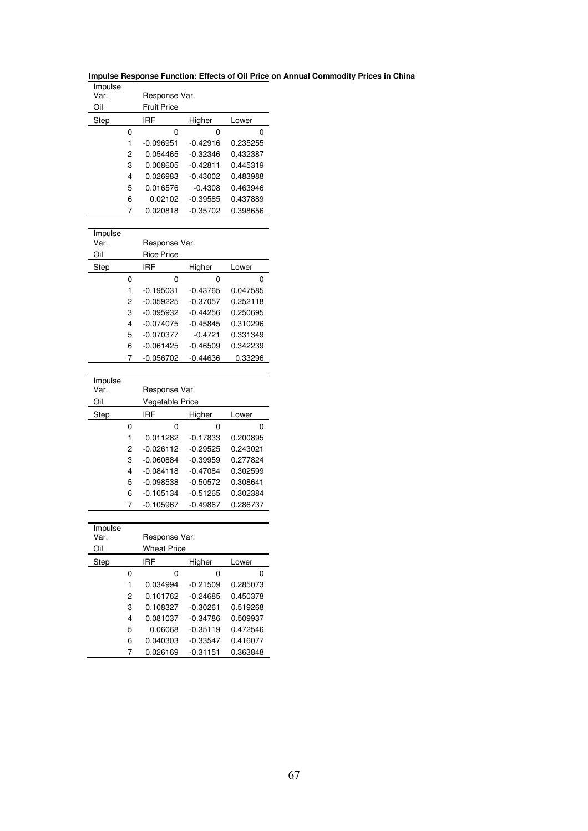| Impulse Response Function: Effects of Oil Price on Annual Commodity Prices in China |  |
|-------------------------------------------------------------------------------------|--|
|-------------------------------------------------------------------------------------|--|

| Impulse |   |                    |            |          |  |  |  |  |
|---------|---|--------------------|------------|----------|--|--|--|--|
| Var.    |   | Response Var.      |            |          |  |  |  |  |
| Oil     |   | <b>Fruit Price</b> |            |          |  |  |  |  |
| Step    |   | IRF                | Higher     | Lower    |  |  |  |  |
|         | 0 | 0                  | 0          | 0        |  |  |  |  |
|         | 1 | $-0.096951$        | $-0.42916$ | 0.235255 |  |  |  |  |
|         | 2 | 0.054465           | $-0.32346$ | 0.432387 |  |  |  |  |
|         | 3 | 0.008605           | $-0.42811$ | 0.445319 |  |  |  |  |
|         | 4 | 0.026983           | $-0.43002$ | 0.483988 |  |  |  |  |
|         | 5 | 0.016576           | $-0.4308$  | 0.463946 |  |  |  |  |
|         | 6 | 0.02102            | -0.39585   | 0.437889 |  |  |  |  |
|         | 7 | 0.020818           | $-0.35702$ | 0.398656 |  |  |  |  |
|         |   |                    |            |          |  |  |  |  |
| Impulse |   |                    |            |          |  |  |  |  |
| Var.    |   | Response Var.      |            |          |  |  |  |  |
| Oil     |   | <b>Rice Price</b>  |            |          |  |  |  |  |
| Step    |   | IRF                | Higher     | Lower    |  |  |  |  |
|         |   |                    |            |          |  |  |  |  |

| Step |   | <b>IRF</b>  | Higher     | Lower    |  |
|------|---|-------------|------------|----------|--|
|      | 0 | 0           | 0          | 0        |  |
|      | 1 | $-0.195031$ | $-0.43765$ | 0.047585 |  |
|      | 2 | $-0.059225$ | $-0.37057$ | 0.252118 |  |
|      | 3 | $-0.095932$ | $-0.44256$ | 0.250695 |  |
|      | 4 | $-0.074075$ | $-0.45845$ | 0.310296 |  |
|      | 5 | $-0.070377$ | $-0.4721$  | 0.331349 |  |
|      | 6 | $-0.061425$ | $-0.46509$ | 0.342239 |  |
|      |   | $-0.056702$ | $-0.44636$ | 0.33296  |  |

| Impulse<br>Var. |   |             |                 |          |  |  |  |  |  |  |
|-----------------|---|-------------|-----------------|----------|--|--|--|--|--|--|
|                 |   |             | Response Var.   |          |  |  |  |  |  |  |
| Oil             |   |             | Vegetable Price |          |  |  |  |  |  |  |
| Step            |   | IRF         | Higher          | Lower    |  |  |  |  |  |  |
|                 | ი | ი           | 0               | O        |  |  |  |  |  |  |
|                 | 1 | 0.011282    | $-0.17833$      | 0.200895 |  |  |  |  |  |  |
|                 | 2 | $-0.026112$ | $-0.29525$      | 0.243021 |  |  |  |  |  |  |
|                 | 3 | $-0.060884$ | $-0.39959$      | 0.277824 |  |  |  |  |  |  |
|                 | 4 | $-0.084118$ | $-0.47084$      | 0.302599 |  |  |  |  |  |  |
|                 | 5 | $-0.098538$ | $-0.50572$      | 0.308641 |  |  |  |  |  |  |
|                 | 6 | $-0.105134$ | $-0.51265$      | 0.302384 |  |  |  |  |  |  |
|                 | 7 | $-0.105967$ | $-0.49867$      | 0.286737 |  |  |  |  |  |  |

| Impulse<br>Var. |   | Response Var.      |            |          |  |  |  |  |  |  |
|-----------------|---|--------------------|------------|----------|--|--|--|--|--|--|
| Oil             |   | <b>Wheat Price</b> |            |          |  |  |  |  |  |  |
| Step            |   | <b>IRF</b>         | Higher     | Lower    |  |  |  |  |  |  |
|                 | 0 | ი                  | ი          | ი        |  |  |  |  |  |  |
|                 | 1 | 0.034994           | $-0.21509$ | 0.285073 |  |  |  |  |  |  |
|                 | 2 | 0.101762           | $-0.24685$ | 0.450378 |  |  |  |  |  |  |
|                 | 3 | 0.108327           | $-0.30261$ | 0.519268 |  |  |  |  |  |  |
|                 | 4 | 0.081037           | $-0.34786$ | 0.509937 |  |  |  |  |  |  |
|                 | 5 | 0.06068            | $-0.35119$ | 0.472546 |  |  |  |  |  |  |
|                 | 6 | 0.040303           | $-0.33547$ | 0.416077 |  |  |  |  |  |  |
|                 | 7 | 0.026169           | $-0.31151$ | 0.363848 |  |  |  |  |  |  |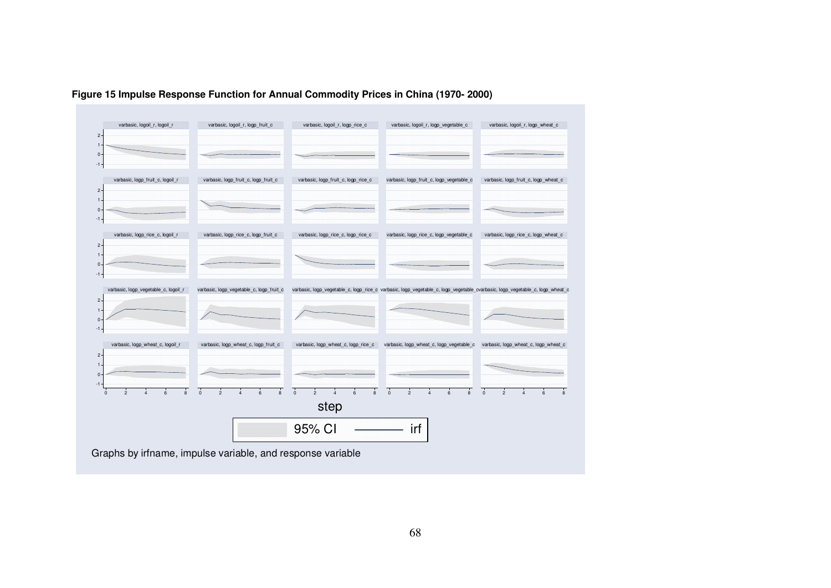

**Figure 15 Impulse Response Function for Annual Commodity Prices in China (1970- 2000)**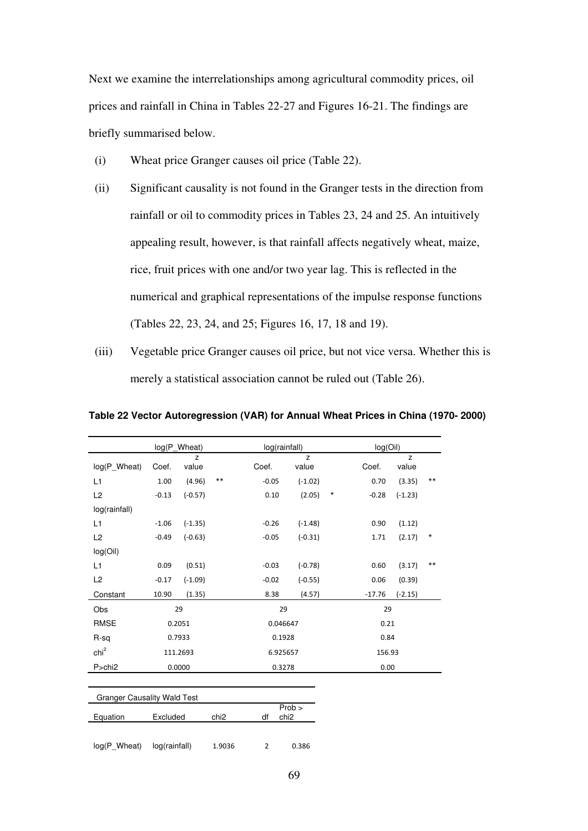Next we examine the interrelationships among agricultural commodity prices, oil prices and rainfall in China in Tables 22-27 and Figures 16-21. The findings are briefly summarised below.

- (i) Wheat price Granger causes oil price (Table 22).
- (ii) Significant causality is not found in the Granger tests in the direction from rainfall or oil to commodity prices in Tables 23, 24 and 25. An intuitively appealing result, however, is that rainfall affects negatively wheat, maize, rice, fruit prices with one and/or two year lag. This is reflected in the numerical and graphical representations of the impulse response functions (Tables 22, 23, 24, and 25; Figures 16, 17, 18 and 19).
- (iii) Vegetable price Granger causes oil price, but not vice versa. Whether this is merely a statistical association cannot be ruled out (Table 26).

**Table 22 Vector Autoregression (VAR) for Annual Wheat Prices in China (1970- 2000)** 

|                                    |          | log(P_Wheat) |                  |         | log(rainfall)            |   |          | log(Oil)   |      |  |
|------------------------------------|----------|--------------|------------------|---------|--------------------------|---|----------|------------|------|--|
| log(P_Wheat)                       | Coef.    | z<br>value   |                  | Coef.   | z<br>value               |   | Coef.    | Z<br>value |      |  |
| L1                                 | 1.00     | (4.96)       | $***$            | $-0.05$ | $(-1.02)$                |   | 0.70     | (3.35)     | $**$ |  |
| L2                                 | $-0.13$  | $(-0.57)$    |                  | 0.10    | (2.05)                   | * | $-0.28$  | $(-1.23)$  |      |  |
| log(rainfall)                      |          |              |                  |         |                          |   |          |            |      |  |
| L1                                 | $-1.06$  | $(-1.35)$    |                  | $-0.26$ | $(-1.48)$                |   | 0.90     | (1.12)     |      |  |
| L2                                 | $-0.49$  | $(-0.63)$    |                  | $-0.05$ | $(-0.31)$                |   | 1.71     | (2.17)     | *    |  |
| log(Oil)                           |          |              |                  |         |                          |   |          |            |      |  |
| L1                                 | 0.09     | (0.51)       |                  | $-0.03$ | $(-0.78)$                |   | 0.60     | (3.17)     | $**$ |  |
| L <sub>2</sub>                     | $-0.17$  | $(-1.09)$    |                  | $-0.02$ | $(-0.55)$                |   | 0.06     | (0.39)     |      |  |
| Constant                           | 10.90    | (1.35)       |                  | 8.38    | (4.57)                   |   | $-17.76$ | $(-2.15)$  |      |  |
| Obs                                |          | 29           |                  | 29      |                          |   | 29       |            |      |  |
| <b>RMSE</b>                        |          | 0.2051       |                  |         | 0.046647                 |   |          | 0.21       |      |  |
| R-sq                               |          | 0.7933       |                  |         | 0.1928                   |   |          | 0.84       |      |  |
| $\text{chi}^2$                     |          | 111.2693     |                  |         | 6.925657                 |   | 156.93   |            |      |  |
| P>chi2                             |          | 0.0000       |                  |         | 0.3278                   |   |          | 0.00       |      |  |
|                                    |          |              |                  |         |                          |   |          |            |      |  |
| <b>Granger Causality Wald Test</b> |          |              |                  |         |                          |   |          |            |      |  |
| Equation                           | Excluded |              | chi <sub>2</sub> | df      | Prob<br>chi <sub>2</sub> |   |          |            |      |  |

log(P\_Wheat) log(rainfall) 1.9036 2 0.386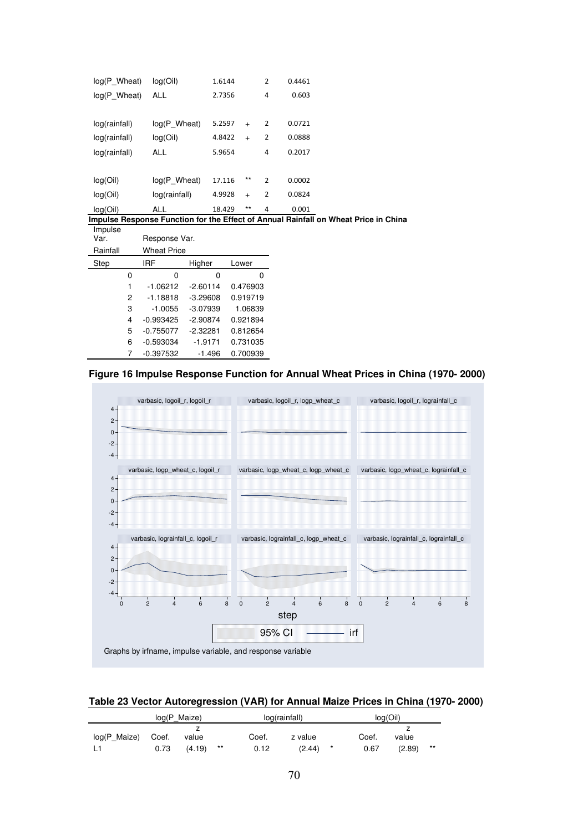| log(P Wheat)   | log(Oil)                                                                            | 1.6144 |           | $\overline{2}$ | 0.4461 |  |
|----------------|-------------------------------------------------------------------------------------|--------|-----------|----------------|--------|--|
| $log(P$ Wheat) | <b>ALL</b>                                                                          | 2.7356 |           | 4              | 0.603  |  |
|                |                                                                                     |        |           |                |        |  |
| log(rainfall)  | $log(P$ Wheat)                                                                      | 5.2597 | $\ddot{}$ | 2              | 0.0721 |  |
| log(rainfall)  | log(Oil)                                                                            | 4.8422 | $\ddot{}$ | $\overline{2}$ | 0.0888 |  |
| log(rainfall)  | <b>ALL</b>                                                                          | 5.9654 |           | 4              | 0.2017 |  |
|                |                                                                                     |        |           |                |        |  |
| log(Oil)       | $log(P$ Wheat)                                                                      | 17.116 | $***$     | $\overline{2}$ | 0.0002 |  |
| log(Oil)       | log(rainfall)                                                                       | 4.9928 | $\ddot{}$ | 2              | 0.0824 |  |
| log(Oil)       | <b>ALL</b>                                                                          | 18.429 | $***$     | 4              | 0.001  |  |
|                | Impulse Response Function for the Effect of Annual Rainfall on Wheat Price in China |        |           |                |        |  |

| Impulse  |   |                    |            |          |  |  |  |  |
|----------|---|--------------------|------------|----------|--|--|--|--|
| Var.     |   | Response Var.      |            |          |  |  |  |  |
| Rainfall |   | <b>Wheat Price</b> |            |          |  |  |  |  |
| Step     |   | <b>IRF</b>         | Higher     | Lower    |  |  |  |  |
|          | 0 | O                  | ი          | O        |  |  |  |  |
|          | 1 | $-1.06212$         | $-2.60114$ | 0.476903 |  |  |  |  |
|          | 2 | $-1.18818$         | $-3.29608$ | 0.919719 |  |  |  |  |
|          | 3 | $-1.0055$          | $-3.07939$ | 1.06839  |  |  |  |  |
|          | 4 | $-0.993425$        | $-2.90874$ | 0.921894 |  |  |  |  |
|          | 5 | $-0.755077$        | $-2.32281$ | 0.812654 |  |  |  |  |
|          | 6 | $-0.593034$        | $-1.9171$  | 0.731035 |  |  |  |  |
|          | 7 | $-0.397532$        | $-1.496$   | 0.700939 |  |  |  |  |



**Table 23 Vector Autoregression (VAR) for Annual Maize Prices in China (1970- 2000)** 

|                    | $log(P$ Maize) |        |       | log(rainfall) |         |  | log(Oil) |        |       |
|--------------------|----------------|--------|-------|---------------|---------|--|----------|--------|-------|
|                    |                |        |       |               |         |  |          |        |       |
| log(P Maize) Coef. |                | value  |       | Coef.         | z value |  | Coef.    | value  |       |
| -L1                | 0.73           | (4.19) | $***$ | 0.12          | (2.44)  |  | 0.67     | (2.89) | $***$ |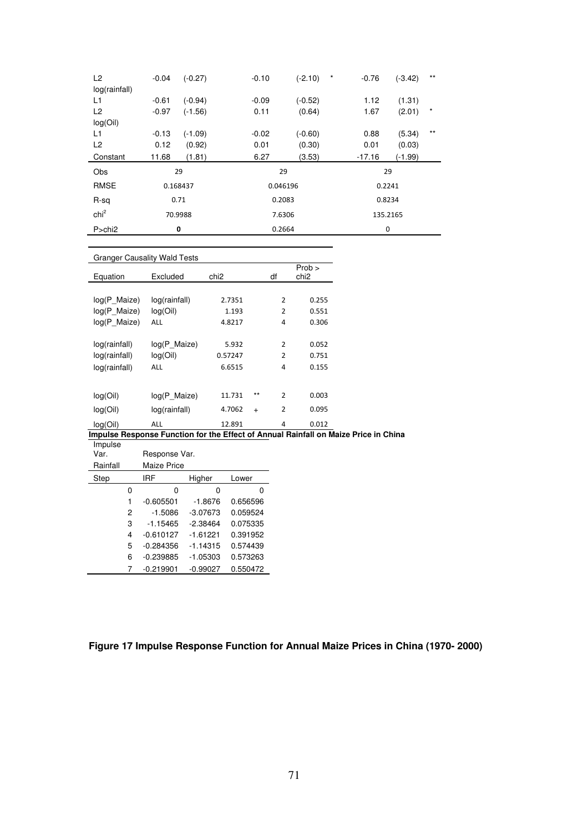| L <sub>2</sub>   | $-0.04$ | $(-0.27)$ | $-0.10$ | $(-2.10)$ | $\star$ | $-0.76$  | $(-3.42)$ | $***$  |
|------------------|---------|-----------|---------|-----------|---------|----------|-----------|--------|
| log(rainfall)    |         |           |         |           |         |          |           |        |
| L1               | $-0.61$ | $(-0.94)$ | $-0.09$ | $(-0.52)$ |         | 1.12     | (1.31)    |        |
| L <sub>2</sub>   | $-0.97$ | $(-1.56)$ | 0.11    | (0.64)    |         | 1.67     | (2.01)    | $\ast$ |
| log(Oil)         |         |           |         |           |         |          |           |        |
| L1               | $-0.13$ | $(-1.09)$ | $-0.02$ | $(-0.60)$ |         | 0.88     | (5.34)    | $***$  |
| L <sub>2</sub>   | 0.12    | (0.92)    | 0.01    | (0.30)    |         | 0.01     | (0.03)    |        |
| Constant         | 11.68   | (1.81)    | 6.27    | (3.53)    |         | $-17.16$ | (-1.99)   |        |
| Obs              | 29      |           |         | 29        |         | 29       |           |        |
| <b>RMSE</b>      |         | 0.168437  |         | 0.046196  |         | 0.2241   |           |        |
| R-sq             |         | 0.71      |         | 0.2083    |         | 0.8234   |           |        |
| chi <sup>2</sup> | 70.9988 |           |         | 7.6306    |         | 135.2165 |           |        |
| P>chi2           |         | 0         |         | 0.2664    |         | 0        |           |        |

| <b>Granger Causality Wald Tests</b> |               |         |           |                |                          |  |  |  |
|-------------------------------------|---------------|---------|-----------|----------------|--------------------------|--|--|--|
| Equation                            | Excluded      | chi2    |           | df             | Prob<br>chi <sub>2</sub> |  |  |  |
|                                     |               |         |           |                |                          |  |  |  |
| $log(P$ Maize)                      | log(rainfall) | 2.7351  |           | $\overline{2}$ | 0.255                    |  |  |  |
| $log(P$ Maize)                      | log(Oil)      | 1.193   |           | $\overline{2}$ | 0.551                    |  |  |  |
| $log(P$ Maize)                      | <b>ALL</b>    | 4.8217  |           | 4              | 0.306                    |  |  |  |
|                                     |               |         |           |                |                          |  |  |  |
| log(rainfall)                       | log(P Maize)  | 5.932   |           | $\overline{2}$ | 0.052                    |  |  |  |
| log(rainfall)                       | log(Oil)      | 0.57247 |           | $\overline{2}$ | 0.751                    |  |  |  |
| log(rainfall)                       | <b>ALL</b>    | 6.6515  |           | 4              | 0.155                    |  |  |  |
|                                     |               |         |           |                |                          |  |  |  |
| log(Oil)                            | log(P Maize)  | 11.731  | $***$     | $\mathfrak{p}$ | 0.003                    |  |  |  |
| log(Oil)                            | log(rainfall) | 4.7062  | $\ddot{}$ | $\overline{2}$ | 0.095                    |  |  |  |
| log(Oil)                            | ALL           | 12.891  |           | 4              | 0.012                    |  |  |  |

|         | Impulse Response Function for the Effect of Annual Rainfall on Maize Price in China |  |  |
|---------|-------------------------------------------------------------------------------------|--|--|
| Impulse |                                                                                     |  |  |

| Var.     |   |             | Response Var. |          |  |  |  |  |  |
|----------|---|-------------|---------------|----------|--|--|--|--|--|
| Rainfall |   | Maize Price |               |          |  |  |  |  |  |
| Step     |   | IRF         | Higher        | Lower    |  |  |  |  |  |
|          | 0 | ი           | ი             | O        |  |  |  |  |  |
|          | 1 | $-0.605501$ | $-1.8676$     | 0.656596 |  |  |  |  |  |
|          | 2 | $-1.5086$   | $-3.07673$    | 0.059524 |  |  |  |  |  |
|          | 3 | $-1.15465$  | $-2.38464$    | 0.075335 |  |  |  |  |  |
|          | 4 | $-0.610127$ | $-1.61221$    | 0.391952 |  |  |  |  |  |
|          | 5 | $-0.284356$ | $-1.14315$    | 0.574439 |  |  |  |  |  |
|          | 6 | $-0.239885$ | $-1.05303$    | 0.573263 |  |  |  |  |  |
|          | 7 | $-0.219901$ | $-0.99027$    | 0.550472 |  |  |  |  |  |
|          |   |             |               |          |  |  |  |  |  |

# **Figure 17 Impulse Response Function for Annual Maize Prices in China (1970- 2000)**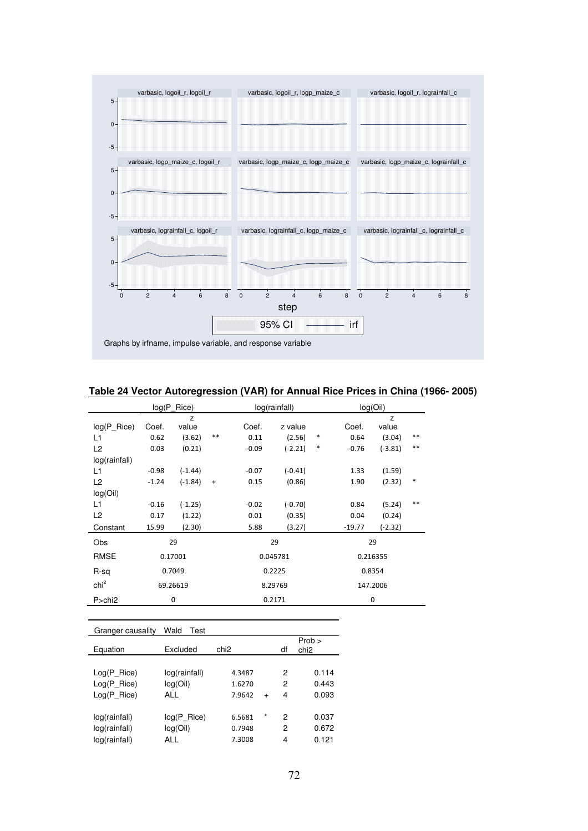

**Table 24 Vector Autoregression (VAR) for Annual Rice Prices in China (1966- 2005)** 

|                       | log(P_Rice) |            |           |         | log(rainfall) |   |          | log(Oil)   |       |  |
|-----------------------|-------------|------------|-----------|---------|---------------|---|----------|------------|-------|--|
| $log(P \text{ Rice})$ | Coef.       | z<br>value |           | Coef.   | z value       |   | Coef.    | z<br>value |       |  |
| L1                    | 0.62        | (3.62)     | $**$      | 0.11    | (2.56)        | ∗ | 0.64     | (3.04)     | $***$ |  |
| L2                    | 0.03        | (0.21)     |           | $-0.09$ | $(-2.21)$     | * | $-0.76$  | $(-3.81)$  | $***$ |  |
| log(rainfall)         |             |            |           |         |               |   |          |            |       |  |
| L1                    | $-0.98$     | $(-1.44)$  |           | $-0.07$ | $(-0.41)$     |   | 1.33     | (1.59)     |       |  |
| L <sub>2</sub>        | $-1.24$     | $(-1.84)$  | $\ddot{}$ | 0.15    | (0.86)        |   | 1.90     | (2.32)     | *     |  |
| log(Oil)              |             |            |           |         |               |   |          |            |       |  |
| L1                    | $-0.16$     | $(-1.25)$  |           | $-0.02$ | $(-0.70)$     |   | 0.84     | (5.24)     | $**$  |  |
| L2                    | 0.17        | (1.22)     |           | 0.01    | (0.35)        |   | 0.04     | (0.24)     |       |  |
| Constant              | 15.99       | (2.30)     |           | 5.88    | (3.27)        |   | $-19.77$ | $(-2.32)$  |       |  |
| Obs                   |             | 29         |           |         | 29            |   |          | 29         |       |  |
| <b>RMSE</b>           |             | 0.17001    |           |         | 0.045781      |   | 0.216355 |            |       |  |
| R-sq                  |             | 0.7049     |           |         | 0.2225        |   | 0.8354   |            |       |  |
| $\text{chi}^2$        |             | 69.26619   |           |         | 8.29769       |   |          | 147.2006   |       |  |
| $P >$ chi $2$         |             | 0          |           |         | 0.2171        |   |          | 0          |       |  |

| Granger causality     | Wald<br>Test          |        |           |    |                              |
|-----------------------|-----------------------|--------|-----------|----|------------------------------|
| Equation              | Excluded              | chi2   |           | df | $Prob$ ><br>chi <sub>2</sub> |
|                       |                       |        |           |    |                              |
| $Log(P_Rice)$         | log(rainfall)         | 4.3487 |           | 2  | 0.114                        |
| $Log(P_Rice)$         | log(Oil)              | 1.6270 |           | 2  | 0.443                        |
| $Log(P \text{ Rice})$ | AI I                  | 7.9642 | $\ddot{}$ | 4  | 0.093                        |
|                       |                       |        |           |    |                              |
| log(rainfall)         | $log(P \text{ Rice})$ | 6.5681 | *         | 2  | 0.037                        |
| log(rainfall)         | log(Oil)              | 0.7948 |           | 2  | 0.672                        |
| log(rainfall)         | AI I                  | 7.3008 |           | 4  | 0.121                        |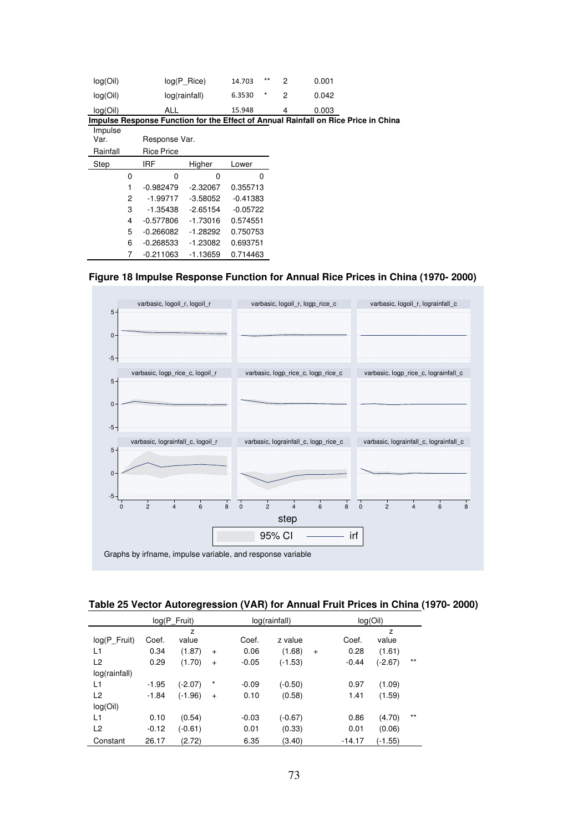| log(Oil)        | $log(P \text{ Rice})$ | 14.703        | $* *$      | 2 | 0.001 |                                                                                    |  |
|-----------------|-----------------------|---------------|------------|---|-------|------------------------------------------------------------------------------------|--|
| log(Oil)        |                       | log(rainfall) | 6.3530     | * | 2     | 0.042                                                                              |  |
| log(Oil)        | <b>ALL</b>            |               | 15.948     |   | 4     | 0.003                                                                              |  |
|                 |                       |               |            |   |       | Impulse Response Function for the Effect of Annual Rainfall on Rice Price in China |  |
| Impulse<br>Var. | Response Var.         |               |            |   |       |                                                                                    |  |
| Rainfall        | <b>Rice Price</b>     |               |            |   |       |                                                                                    |  |
| Step            | IRF                   | Higher        | Lower      |   |       |                                                                                    |  |
| 0               | $\Omega$              | $\Omega$      |            | O |       |                                                                                    |  |
|                 | $-0.982479$           | $-2.32067$    | 0.355713   |   |       |                                                                                    |  |
| 2               | $-1.99717$            | $-3.58052$    | -0.41383   |   |       |                                                                                    |  |
| 3               | -1.35438              | $-2.65154$    | $-0.05722$ |   |       |                                                                                    |  |
| 4               | $-0.577806$           | $-1.73016$    | 0.574551   |   |       |                                                                                    |  |
| 5               | $-0.266082$           | $-1.28292$    | 0.750753   |   |       |                                                                                    |  |
| 6               | $-0.268533$           | $-1.23082$    | 0.693751   |   |       |                                                                                    |  |
| 7               | $-0.211063$           | $-1.13659$    | 0.714463   |   |       |                                                                                    |  |

**Figure 18 Impulse Response Function for Annual Rice Prices in China (1970- 2000)** 



| Table 25 Vector Autoregression (VAR) for Annual Fruit Prices in China (1970- 2000) |
|------------------------------------------------------------------------------------|
|------------------------------------------------------------------------------------|

|                | log(P Fruit) |           |          |         | log(rainfall) | log(Oil)  |          |           |       |
|----------------|--------------|-----------|----------|---------|---------------|-----------|----------|-----------|-------|
|                |              | z         |          |         |               |           |          | z         |       |
| $log(P$ Fruit) | Coef.        | value     |          | Coef.   | z value       |           | Coef.    | value     |       |
| L1             | 0.34         | (1.87)    | $+$      | 0.06    | (1.68)        | $\ddot{}$ | 0.28     | (1.61)    |       |
| L <sub>2</sub> | 0.29         | (1.70)    | $+$      | $-0.05$ | (-1.53)       |           | $-0.44$  | $(-2.67)$ | $***$ |
| log(rainfall)  |              |           |          |         |               |           |          |           |       |
| L1             | $-1.95$      | (-2.07)   | $^\star$ | $-0.09$ | $(-0.50)$     |           | 0.97     | (1.09)    |       |
| L <sub>2</sub> | $-1.84$      | $(-1.96)$ | $+$      | 0.10    | (0.58)        |           | 1.41     | (1.59)    |       |
| log(Oil)       |              |           |          |         |               |           |          |           |       |
| L1             | 0.10         | (0.54)    |          | $-0.03$ | $(-0.67)$     |           | 0.86     | (4.70)    | $***$ |
| L <sub>2</sub> | $-0.12$      | $(-0.61)$ |          | 0.01    | (0.33)        |           | 0.01     | (0.06)    |       |
| Constant       | 26.17        | (2.72)    |          | 6.35    | (3.40)        |           | $-14.17$ | (-1.55)   |       |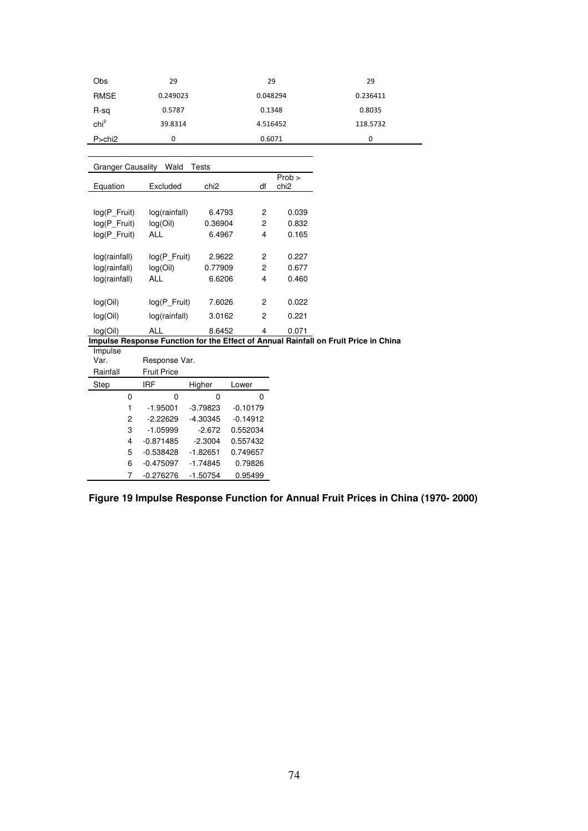| Obs              | 29       | 29       | 29       |
|------------------|----------|----------|----------|
| RMSE             | 0.249023 | 0.048294 | 0.236411 |
| R-sq             | 0.5787   | 0.1348   | 0.8035   |
| chi <sup>2</sup> | 39.8314  | 4.516452 | 118.5732 |
| $P >$ chi2       | 0        | 0.6071   | 0        |

| Wald<br><b>Granger Causality</b><br>Tests |                |                  |    |                          |  |  |  |  |
|-------------------------------------------|----------------|------------------|----|--------------------------|--|--|--|--|
| Equation                                  | Excluded       | chi <sub>2</sub> | df | Prob<br>chi <sub>2</sub> |  |  |  |  |
|                                           |                |                  |    |                          |  |  |  |  |
| log(P Fruit)                              | log(rainfall)  | 6.4793           | 2  | 0.039                    |  |  |  |  |
| log(P Fruit)                              | log(Oil)       | 0.36904          | 2  | 0.832                    |  |  |  |  |
| log(P Fruit)                              | ALL            | 6.4967           | 4  | 0.165                    |  |  |  |  |
|                                           |                |                  |    |                          |  |  |  |  |
| log(rainfall)                             | log(P Fruit)   | 2.9622           | 2  | 0.227                    |  |  |  |  |
| log(rainfall)                             | log(Oil)       | 0.77909          | 2  | 0.677                    |  |  |  |  |
| log(rainfall)                             | ALL            | 6.6206           | 4  | 0.460                    |  |  |  |  |
|                                           |                |                  |    |                          |  |  |  |  |
| log(Oil)                                  | $log(P$ Fruit) | 7.6026           | 2  | 0.022                    |  |  |  |  |
| log(Oil)                                  | log(rainfall)  | 3.0162           | 2  | 0.221                    |  |  |  |  |
| log(Oil)                                  | ALL<br>        | 8.6452<br>---    | 4  | 0.071<br>.               |  |  |  |  |

**Impulse Response Function for the Effect of Annual Rainfall on Fruit Price in China** 

| Impulse<br>Var. |   | Response Var.      |            |            |
|-----------------|---|--------------------|------------|------------|
| Rainfall        |   | <b>Fruit Price</b> |            |            |
| Step            |   | <b>IRF</b>         | Higher     | Lower      |
|                 | 0 | 0                  | 0          | 0          |
|                 | 1 | $-1.95001$         | $-3.79823$ | $-0.10179$ |
|                 | 2 | $-2.22629$         | $-4.30345$ | $-0.14912$ |
|                 | 3 | $-1.05999$         | $-2.672$   | 0.552034   |
|                 | 4 | $-0.871485$        | $-2.3004$  | 0.557432   |
|                 | 5 | $-0.538428$        | $-1.82651$ | 0.749657   |
|                 | 6 | $-0.475097$        | $-1.74845$ | 0.79826    |
|                 | 7 | $-0.276276$        | $-1.50754$ | 0.95499    |

**Figure 19 Impulse Response Function for Annual Fruit Prices in China (1970- 2000)**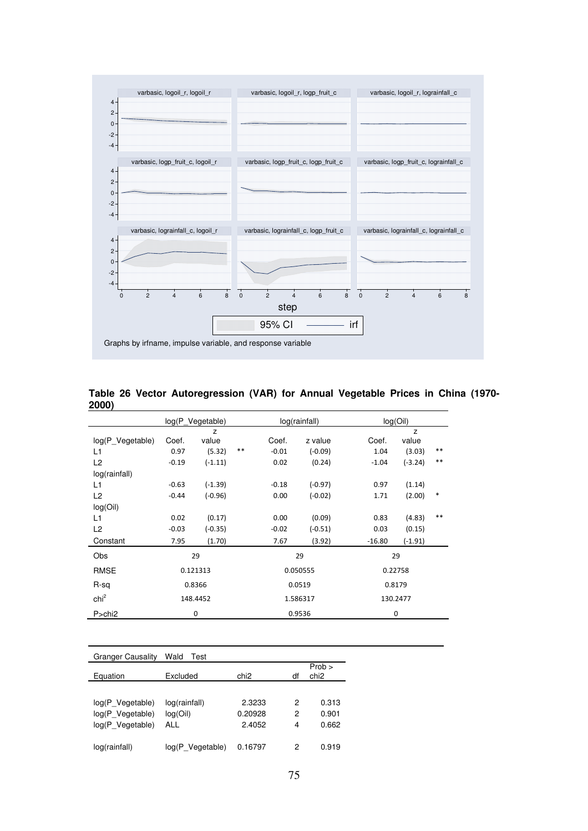

**Table 26 Vector Autoregression (VAR) for Annual Vegetable Prices in China (1970- 2000)** 

|                            |                      | log(P Vegetable) |       | log(rainfall)    |           |          | log(Oil)   |        |
|----------------------------|----------------------|------------------|-------|------------------|-----------|----------|------------|--------|
| $log(P \text{ Vegetable})$ | z<br>Coef.<br>value  |                  |       | Coef.<br>z value |           | Coef.    | Z<br>value |        |
| L1                         | 0.97                 | (5.32)           | $* *$ | $-0.01$          | $(-0.09)$ | 1.04     | (3.03)     | $***$  |
| L2                         | $-0.19$              | $(-1.11)$        |       | 0.02             | (0.24)    | $-1.04$  | $(-3.24)$  | $***$  |
| log(rainfall)              |                      |                  |       |                  |           |          |            |        |
| L1                         | $-0.63$              | $(-1.39)$        |       | $-0.18$          | $(-0.97)$ | 0.97     | (1.14)     |        |
| L <sub>2</sub>             | $-0.44$<br>$(-0.96)$ |                  |       | 0.00             | $(-0.02)$ | 1.71     | (2.00)     | $\ast$ |
| log(Oil)                   |                      |                  |       |                  |           |          |            |        |
| L1                         | 0.02                 | (0.17)           |       | 0.00             | (0.09)    | 0.83     | (4.83)     | $**$   |
| L2                         | $-0.03$              | $(-0.35)$        |       | $-0.02$          | $(-0.51)$ | 0.03     | (0.15)     |        |
| Constant                   | 7.95                 | (1.70)           |       | 7.67             | (3.92)    | $-16.80$ | $(-1.91)$  |        |
| Obs                        |                      | 29               |       | 29               |           | 29       |            |        |
| <b>RMSE</b>                |                      | 0.121313         |       |                  | 0.050555  | 0.22758  |            |        |
| R-sq                       |                      | 0.8366           |       |                  | 0.0519    | 0.8179   |            |        |
| chi <sup>2</sup>           |                      | 148.4452         |       |                  | 1.586317  | 130.2477 |            |        |
| P>chi2                     |                      | 0                |       |                  | 0.9536    |          | 0          |        |

| <b>Granger Causality</b>   | Wald<br>Test     |         |    |                            |
|----------------------------|------------------|---------|----|----------------------------|
| Equation                   | Excluded         | chi2    | df | Prob ><br>chi <sub>2</sub> |
|                            |                  |         |    |                            |
| $log(P \text{ Vegetable})$ | log(rainfall)    | 2.3233  | 2  | 0.313                      |
| $log(P \text{ Vegetable})$ | log(Oil)         | 0.20928 | 2  | 0.901                      |
| $log(P \text{ Vegetable})$ | <b>ALL</b>       | 2.4052  | 4  | 0.662                      |
|                            |                  |         |    |                            |
| log(rainfall)              | log(P Vegetable) | 0.16797 | 2  | 0.919                      |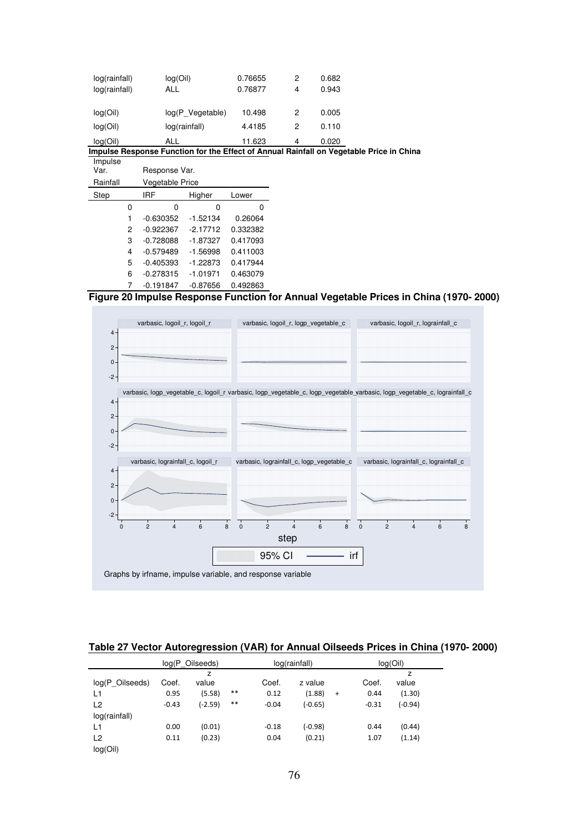| log(rainfall) | log(Oil)                   | 0.76655 | 2 | 0.682 |  |
|---------------|----------------------------|---------|---|-------|--|
| log(rainfall) | ALL                        | 0.76877 | 4 | 0.943 |  |
|               |                            |         |   |       |  |
| log(Oil)      | $log(P \text{ Vegetable})$ | 10.498  | 2 | 0.005 |  |
| log(Oil)      | log(rainfall)              | 4.4185  | 2 | 0.110 |  |
| log(Oil)      | ALL                        | 11.623  | 4 | 0.020 |  |

|          |   |                        |            |          | Impulse Response Function for the Effect of Annual Rainfall on Vegetable Price in China |
|----------|---|------------------------|------------|----------|-----------------------------------------------------------------------------------------|
| Impulse  |   |                        |            |          |                                                                                         |
| Var.     |   | Response Var.          |            |          |                                                                                         |
| Rainfall |   | <b>Vegetable Price</b> |            |          |                                                                                         |
| Step     |   | IRF                    | Higher     | Lower    |                                                                                         |
|          | 0 | 0                      | 0          | 0        |                                                                                         |
|          |   | $-0.630352$            | $-1.52134$ | 0.26064  |                                                                                         |
|          | 2 | $-0.922367$            | $-2.17712$ | 0.332382 |                                                                                         |
|          | 3 | $-0.728088$            | $-1.87327$ | 0.417093 |                                                                                         |
|          | 4 | $-0.579489$            | $-1.56998$ | 0.411003 |                                                                                         |
|          | 5 | $-0.405393$            | $-1.22873$ | 0.417944 |                                                                                         |
|          | 6 | $-0.278315$            | $-1.01971$ | 0.463079 |                                                                                         |

7 -0.191847 -0.87656 0.492863

**Figure 20 Impulse Response Function for Annual Vegetable Prices in China (1970- 2000)** 



## **Table 27 Vector Autoregression (VAR) for Annual Oilseeds Prices in China (1970- 2000)**

|                 | log(P Oilseeds) |           |       | log(rainfall) |           |           | log(Oil) |            |  |
|-----------------|-----------------|-----------|-------|---------------|-----------|-----------|----------|------------|--|
| log(P Oilseeds) | Coef.           | value     |       | Coef.         | z value   |           | Coef.    | z<br>value |  |
| L1              | 0.95            | (5.58)    | $***$ | 0.12          | (1.88)    | $\ddot{}$ | 0.44     | (1.30)     |  |
| L <sub>2</sub>  | $-0.43$         | $(-2.59)$ | $***$ | $-0.04$       | $(-0.65)$ |           | $-0.31$  | $(-0.94)$  |  |
| log(rainfall)   |                 |           |       |               |           |           |          |            |  |
| L1              | 0.00            | (0.01)    |       | $-0.18$       | $(-0.98)$ |           | 0.44     | (0.44)     |  |
| L <sub>2</sub>  | 0.11            | (0.23)    |       | 0.04          | (0.21)    |           | 1.07     | (1.14)     |  |
| log(Oil)        |                 |           |       |               |           |           |          |            |  |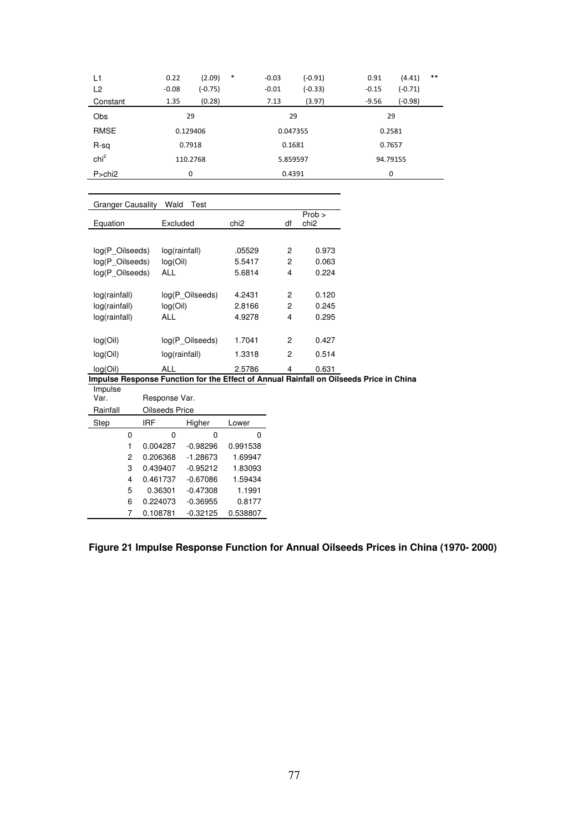| L1               | 0.22     | (2.09)    | $\ast$ | $-0.03$  | $(-0.91)$ | 0.91     | (4.41)    | $***$ |
|------------------|----------|-----------|--------|----------|-----------|----------|-----------|-------|
| L2               | $-0.08$  | $(-0.75)$ |        | $-0.01$  | $(-0.33)$ | $-0.15$  | $(-0.71)$ |       |
| Constant         | 1.35     | (0.28)    |        | 7.13     | (3.97)    | $-9.56$  | $(-0.98)$ |       |
| Obs              | 29       |           |        |          | 29        | 29       |           |       |
| <b>RMSE</b>      | 0.129406 |           |        | 0.047355 |           |          | 0.2581    |       |
| R-sq             | 0.7918   |           |        |          | 0.1681    | 0.7657   |           |       |
| chi <sup>2</sup> | 110.2768 |           |        | 5.859597 |           | 94.79155 |           |       |
| $P >$ chi2       | 0        |           |        |          | 0.4391    |          | 0         |       |
|                  |          |           |        |          |           |          |           |       |

| <b>Granger Causality</b>                                                               | Wald       | Test            |                  |                |                          |  |
|----------------------------------------------------------------------------------------|------------|-----------------|------------------|----------------|--------------------------|--|
| Equation                                                                               | Excluded   |                 | chi <sub>2</sub> | df             | Prob<br>chi <sub>2</sub> |  |
|                                                                                        |            |                 |                  |                |                          |  |
| log(P Oilseeds)                                                                        |            | log(rainfall)   | .05529           | 2              | 0.973                    |  |
| log(P Oilseeds)                                                                        | log(Oil)   |                 | 5.5417           | $\overline{c}$ | 0.063                    |  |
| log(P Oilseeds)                                                                        | <b>ALL</b> |                 | 5.6814           | 4              | 0.224                    |  |
| log(rainfall)                                                                          |            | log(P Oilseeds) | 4.2431           | 2              | 0.120                    |  |
| log(rainfall)                                                                          | log(Oil)   |                 | 2.8166           | 2              | 0.245                    |  |
| log(rainfall)                                                                          | <b>ALL</b> |                 | 4.9278           | 4              | 0.295                    |  |
| log(Oil)                                                                               |            | log(P Oilseeds) | 1.7041           | 2              | 0.427                    |  |
|                                                                                        |            |                 |                  |                |                          |  |
| log(Oil)                                                                               |            | log(rainfall)   | 1.3318           | $\overline{c}$ | 0.514                    |  |
| ALL<br>log(Oil)                                                                        |            | 2.5786          | 4                | 0.631          |                          |  |
| Impulse Response Function for the Effect of Annual Rainfall on Oilseeds Price in China |            |                 |                  |                |                          |  |
| Impulse<br>Var.<br>Response Var.                                                       |            |                 |                  |                |                          |  |
| Rainfall<br><b>Oilseeds Price</b>                                                      |            |                 |                  |                |                          |  |
|                                                                                        |            |                 |                  |                |                          |  |
| Step<br><b>IRF</b>                                                                     |            | Higher          | Lower            |                |                          |  |
| 0                                                                                      | $\Omega$   | $\Omega$        | $\Omega$         |                |                          |  |
| 1                                                                                      | 0.004287   | $-0.98296$      | 0.991538         |                |                          |  |
| $\overline{c}$                                                                         | 0.206368   | $-1.28673$      | 1.69947          |                |                          |  |
| 3                                                                                      | 0.439407   | $-0.95212$      | 1.83093          |                |                          |  |
| 4                                                                                      | 0.461737   | $-0.67086$      | 1.59434          |                |                          |  |
| 5                                                                                      | 0.36301    | $-0.47308$      | 1.1991           |                |                          |  |
| 6                                                                                      | 0.224073   | $-0.36955$      | 0.8177           |                |                          |  |
| 7                                                                                      | 0.108781   | $-0.32125$      | 0.538807         |                |                          |  |

**Figure 21 Impulse Response Function for Annual Oilseeds Prices in China (1970- 2000)**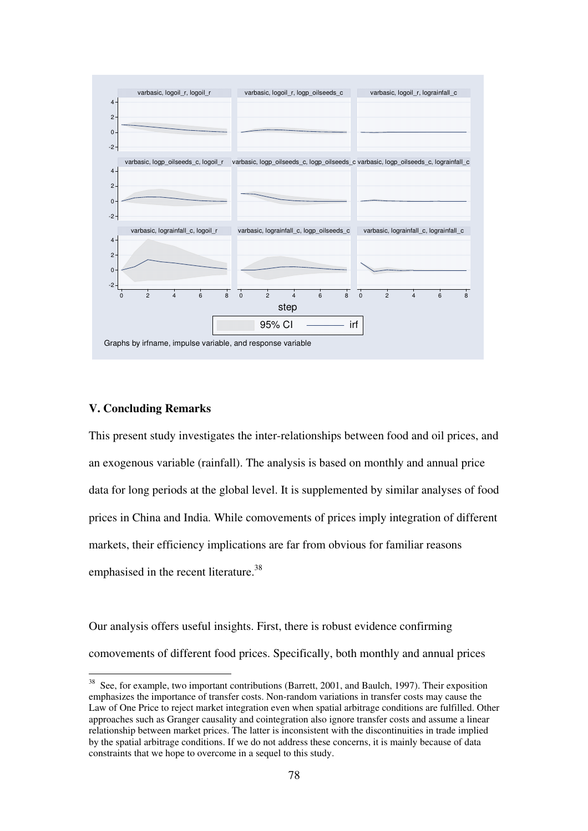

## **V. Concluding Remarks**

 $\overline{a}$ 

This present study investigates the inter-relationships between food and oil prices, and an exogenous variable (rainfall). The analysis is based on monthly and annual price data for long periods at the global level. It is supplemented by similar analyses of food prices in China and India. While comovements of prices imply integration of different markets, their efficiency implications are far from obvious for familiar reasons emphasised in the recent literature.<sup>38</sup>

Our analysis offers useful insights. First, there is robust evidence confirming comovements of different food prices. Specifically, both monthly and annual prices

<sup>&</sup>lt;sup>38</sup> See, for example, two important contributions (Barrett, 2001, and Baulch, 1997). Their exposition emphasizes the importance of transfer costs. Non-random variations in transfer costs may cause the Law of One Price to reject market integration even when spatial arbitrage conditions are fulfilled. Other approaches such as Granger causality and cointegration also ignore transfer costs and assume a linear relationship between market prices. The latter is inconsistent with the discontinuities in trade implied by the spatial arbitrage conditions. If we do not address these concerns, it is mainly because of data constraints that we hope to overcome in a sequel to this study.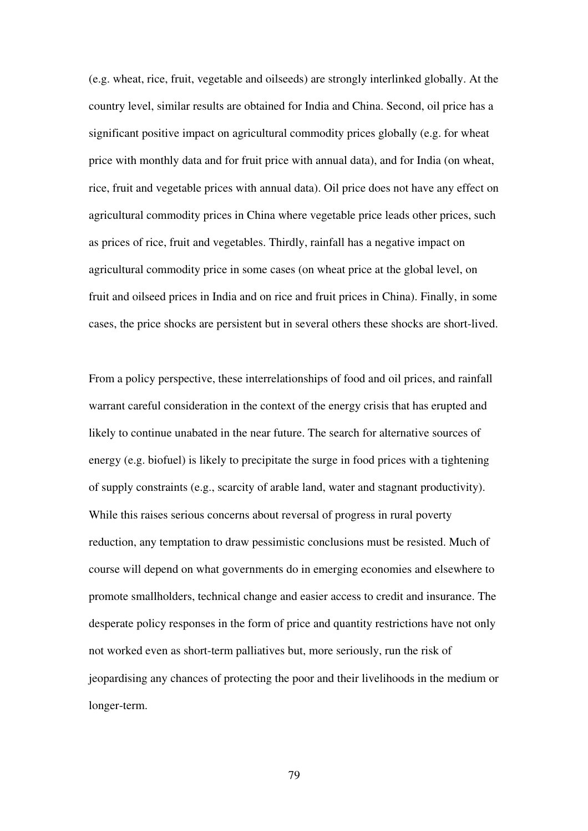(e.g. wheat, rice, fruit, vegetable and oilseeds) are strongly interlinked globally. At the country level, similar results are obtained for India and China. Second, oil price has a significant positive impact on agricultural commodity prices globally (e.g. for wheat price with monthly data and for fruit price with annual data), and for India (on wheat, rice, fruit and vegetable prices with annual data). Oil price does not have any effect on agricultural commodity prices in China where vegetable price leads other prices, such as prices of rice, fruit and vegetables. Thirdly, rainfall has a negative impact on agricultural commodity price in some cases (on wheat price at the global level, on fruit and oilseed prices in India and on rice and fruit prices in China). Finally, in some cases, the price shocks are persistent but in several others these shocks are short-lived.

From a policy perspective, these interrelationships of food and oil prices, and rainfall warrant careful consideration in the context of the energy crisis that has erupted and likely to continue unabated in the near future. The search for alternative sources of energy (e.g. biofuel) is likely to precipitate the surge in food prices with a tightening of supply constraints (e.g., scarcity of arable land, water and stagnant productivity). While this raises serious concerns about reversal of progress in rural poverty reduction, any temptation to draw pessimistic conclusions must be resisted. Much of course will depend on what governments do in emerging economies and elsewhere to promote smallholders, technical change and easier access to credit and insurance. The desperate policy responses in the form of price and quantity restrictions have not only not worked even as short-term palliatives but, more seriously, run the risk of jeopardising any chances of protecting the poor and their livelihoods in the medium or longer-term.

79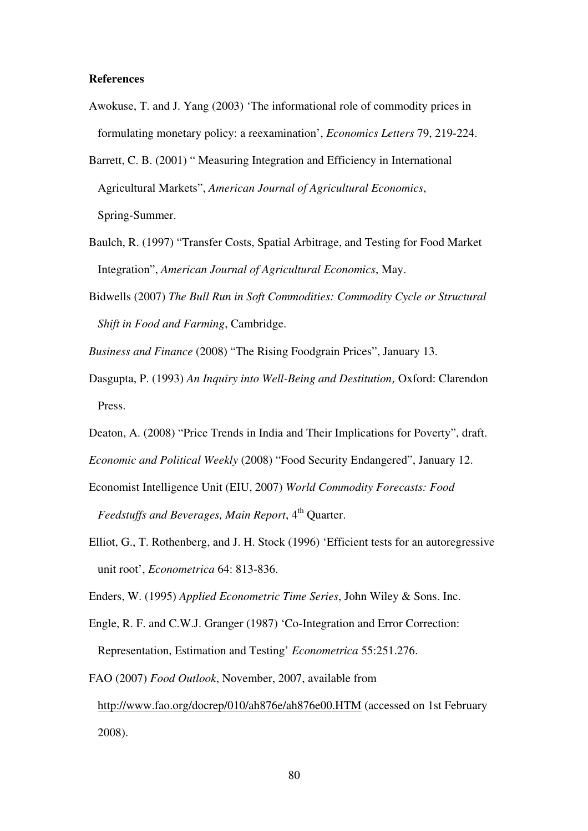## **References**

- Awokuse, T. and J. Yang (2003) 'The informational role of commodity prices in formulating monetary policy: a reexamination', *Economics Letters* 79, 219-224.
- Barrett, C. B. (2001) " Measuring Integration and Efficiency in International Agricultural Markets", *American Journal of Agricultural Economics*, Spring-Summer.
- Baulch, R. (1997) "Transfer Costs, Spatial Arbitrage, and Testing for Food Market Integration", *American Journal of Agricultural Economics*, May.
- Bidwells (2007) *The Bull Run in Soft Commodities: Commodity Cycle or Structural Shift in Food and Farming*, Cambridge.
- *Business and Finance* (2008) "The Rising Foodgrain Prices", January 13.
- Dasgupta, P. (1993) *An Inquiry into Well-Being and Destitution*, Oxford: Clarendon Press.
- Deaton, A. (2008) "Price Trends in India and Their Implications for Poverty", draft.

*Economic and Political Weekly* (2008) "Food Security Endangered", January 12.

- Economist Intelligence Unit (EIU, 2007) *World Commodity Forecasts: Food Feedstuffs and Beverages, Main Report,* 4<sup>th</sup> Quarter.
- Elliot, G., T. Rothenberg, and J. H. Stock (1996) 'Efficient tests for an autoregressive unit root', *Econometrica* 64: 813-836.
- Enders, W. (1995) *Applied Econometric Time Series*, John Wiley & Sons. Inc.
- Engle, R. F. and C.W.J. Granger (1987) 'Co-Integration and Error Correction: Representation, Estimation and Testing' *Econometrica* 55:251.276.
- FAO (2007) *Food Outlook*, November, 2007, available from http://www.fao.org/docrep/010/ah876e/ah876e00.HTM (accessed on 1st February 2008).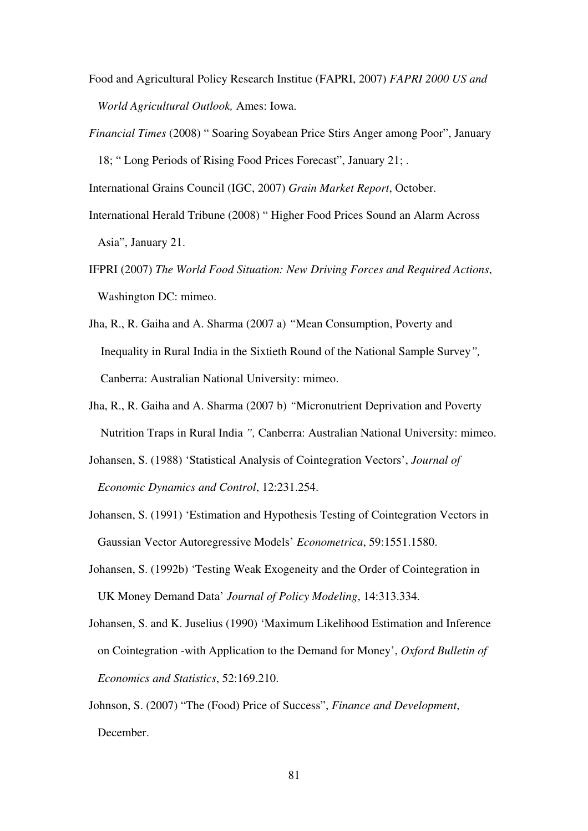- Food and Agricultural Policy Research Institue (FAPRI, 2007) *FAPRI 2000 US and World Agricultural Outlook,* Ames: Iowa.
- *Financial Times* (2008) " Soaring Soyabean Price Stirs Anger among Poor", January 18; " Long Periods of Rising Food Prices Forecast", January 21; .

International Grains Council (IGC, 2007) *Grain Market Report*, October.

- International Herald Tribune (2008) " Higher Food Prices Sound an Alarm Across Asia", January 21.
- IFPRI (2007) *The World Food Situation: New Driving Forces and Required Actions*, Washington DC: mimeo.
- Jha, R., R. Gaiha and A. Sharma (2007 a) *"*Mean Consumption, Poverty and Inequality in Rural India in the Sixtieth Round of the National Sample Survey*",*  Canberra: Australian National University: mimeo.
- Jha, R., R. Gaiha and A. Sharma (2007 b) *"*Micronutrient Deprivation and Poverty Nutrition Traps in Rural India *",* Canberra: Australian National University: mimeo.
- Johansen, S. (1988) 'Statistical Analysis of Cointegration Vectors', *Journal of Economic Dynamics and Control*, 12:231.254.
- Johansen, S. (1991) 'Estimation and Hypothesis Testing of Cointegration Vectors in Gaussian Vector Autoregressive Models' *Econometrica*, 59:1551.1580.
- Johansen, S. (1992b) 'Testing Weak Exogeneity and the Order of Cointegration in UK Money Demand Data' *Journal of Policy Modeling*, 14:313.334.
- Johansen, S. and K. Juselius (1990) 'Maximum Likelihood Estimation and Inference on Cointegration -with Application to the Demand for Money', *Oxford Bulletin of Economics and Statistics*, 52:169.210.

Johnson, S. (2007) "The (Food) Price of Success", *Finance and Development*, December.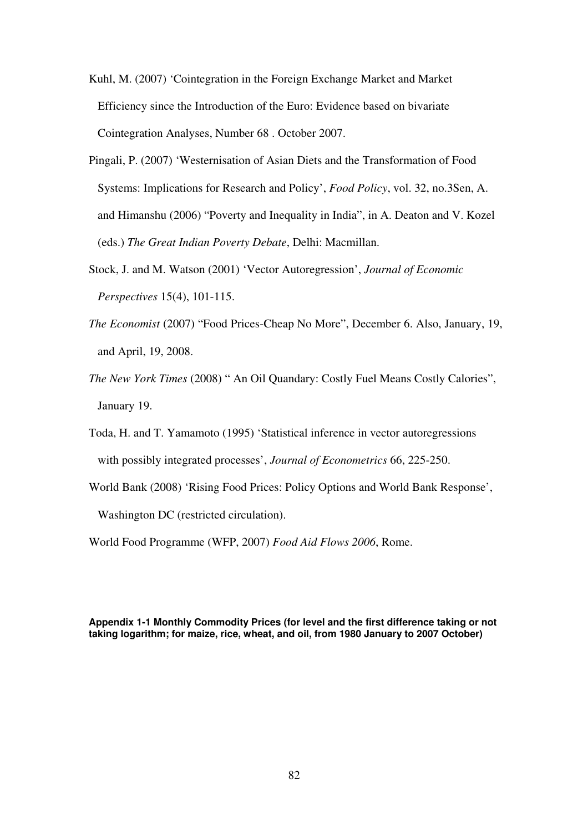- Kuhl, M. (2007) 'Cointegration in the Foreign Exchange Market and Market Efficiency since the Introduction of the Euro: Evidence based on bivariate Cointegration Analyses, Number 68 . October 2007.
- Pingali, P. (2007) 'Westernisation of Asian Diets and the Transformation of Food Systems: Implications for Research and Policy', *Food Policy*, vol. 32, no.3Sen, A. and Himanshu (2006) "Poverty and Inequality in India", in A. Deaton and V. Kozel (eds.) *The Great Indian Poverty Debate*, Delhi: Macmillan.
- Stock, J. and M. Watson (2001) 'Vector Autoregression', *Journal of Economic Perspectives* 15(4), 101-115.
- *The Economist* (2007) "Food Prices-Cheap No More", December 6. Also, January, 19, and April, 19, 2008.
- *The New York Times* (2008) " An Oil Quandary: Costly Fuel Means Costly Calories", January 19.
- Toda, H. and T. Yamamoto (1995) 'Statistical inference in vector autoregressions with possibly integrated processes', *Journal of Econometrics* 66, 225-250.
- World Bank (2008) 'Rising Food Prices: Policy Options and World Bank Response', Washington DC (restricted circulation).

World Food Programme (WFP, 2007) *Food Aid Flows 2006*, Rome.

**Appendix 1-1 Monthly Commodity Prices (for level and the first difference taking or not taking logarithm; for maize, rice, wheat, and oil, from 1980 January to 2007 October)**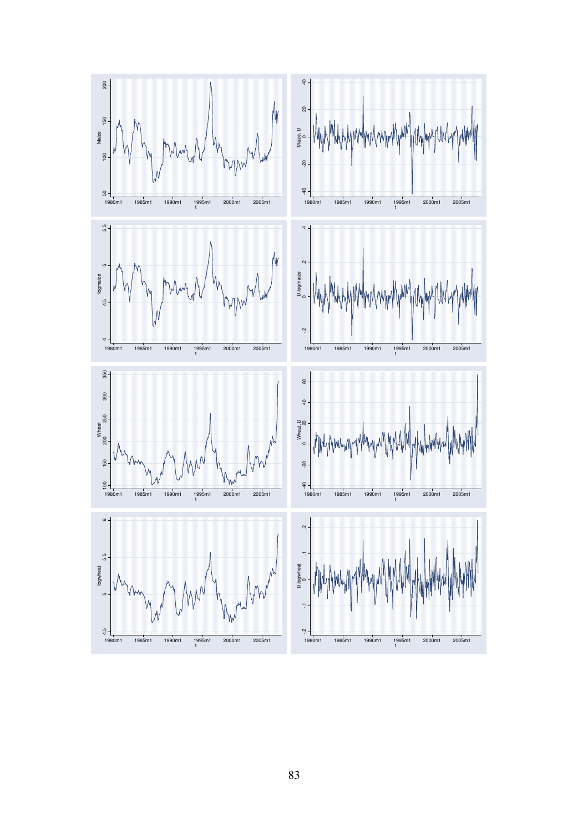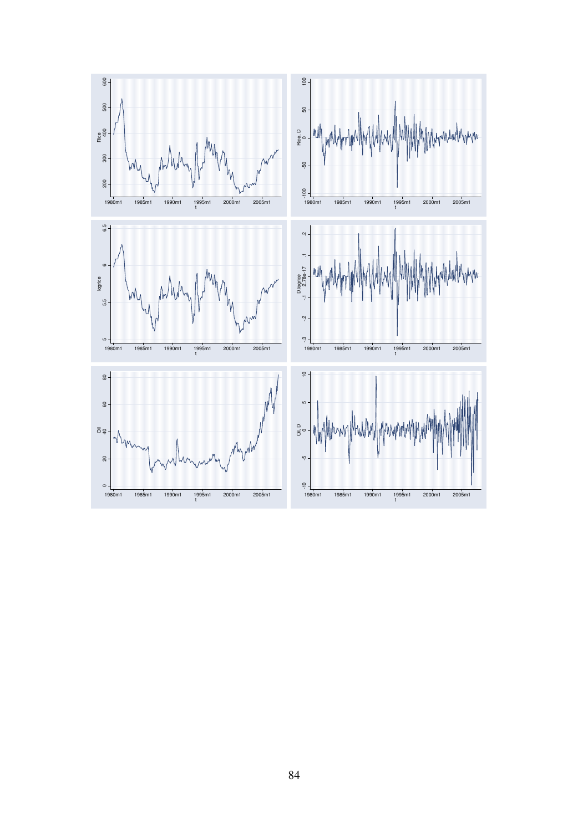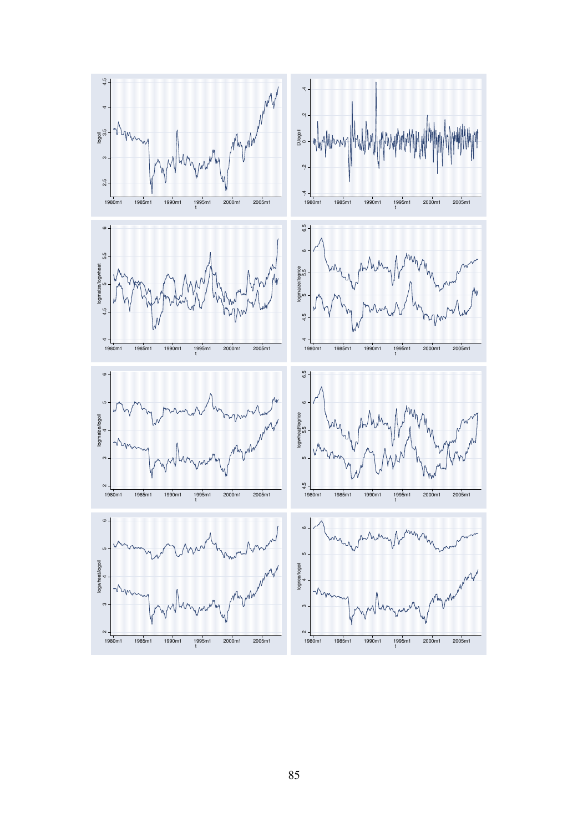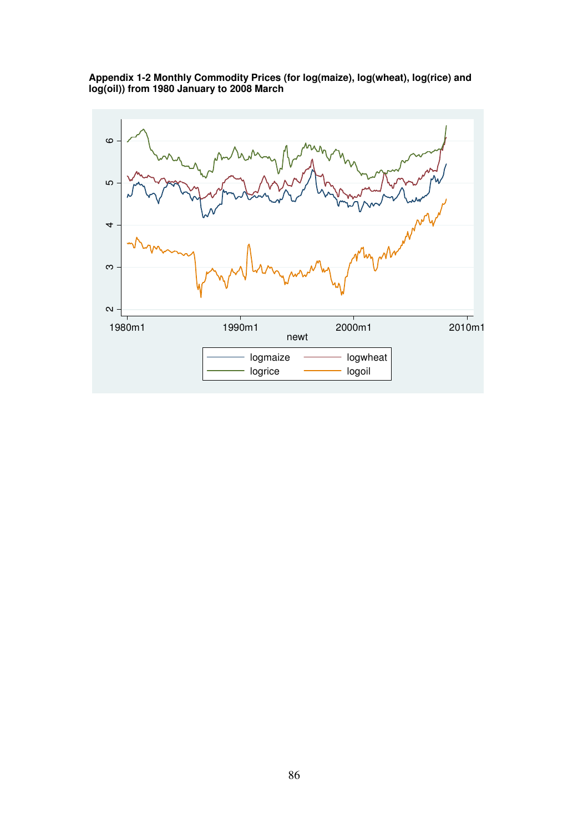**Appendix 1-2 Monthly Commodity Prices (for log(maize), log(wheat), log(rice) and log(oil)) from 1980 January to 2008 March** 

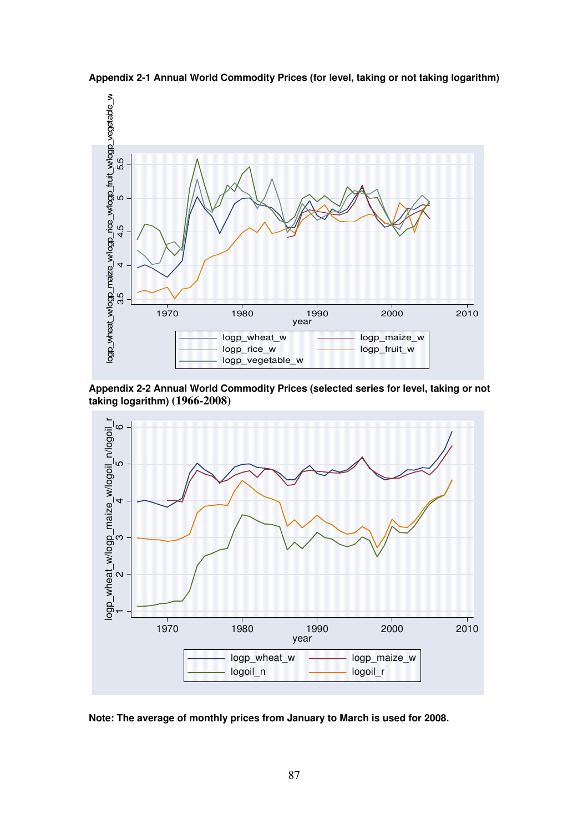



**Appendix 2-2 Annual World Commodity Prices (selected series for level, taking or not taking logarithm) (1966-2008)** 



**Note: The average of monthly prices from January to March is used for 2008.**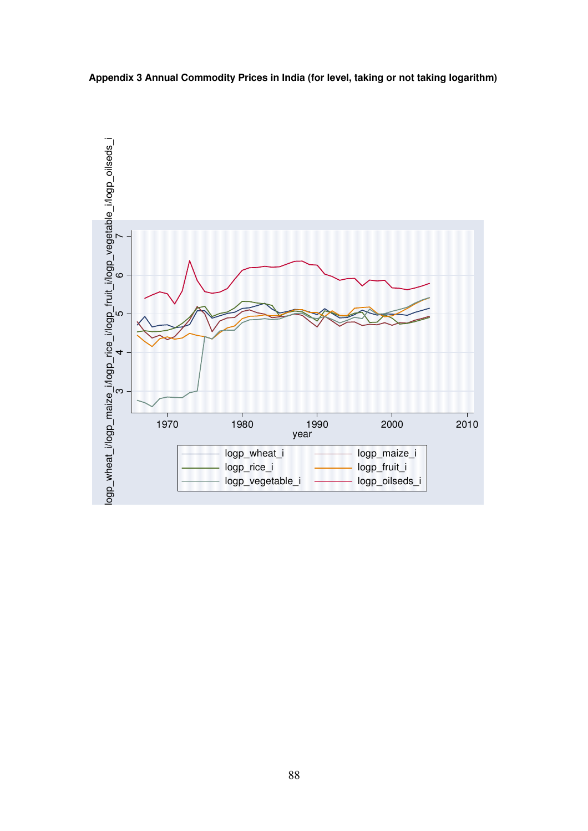

## **Appendix 3 Annual Commodity Prices in India (for level, taking or not taking logarithm)**